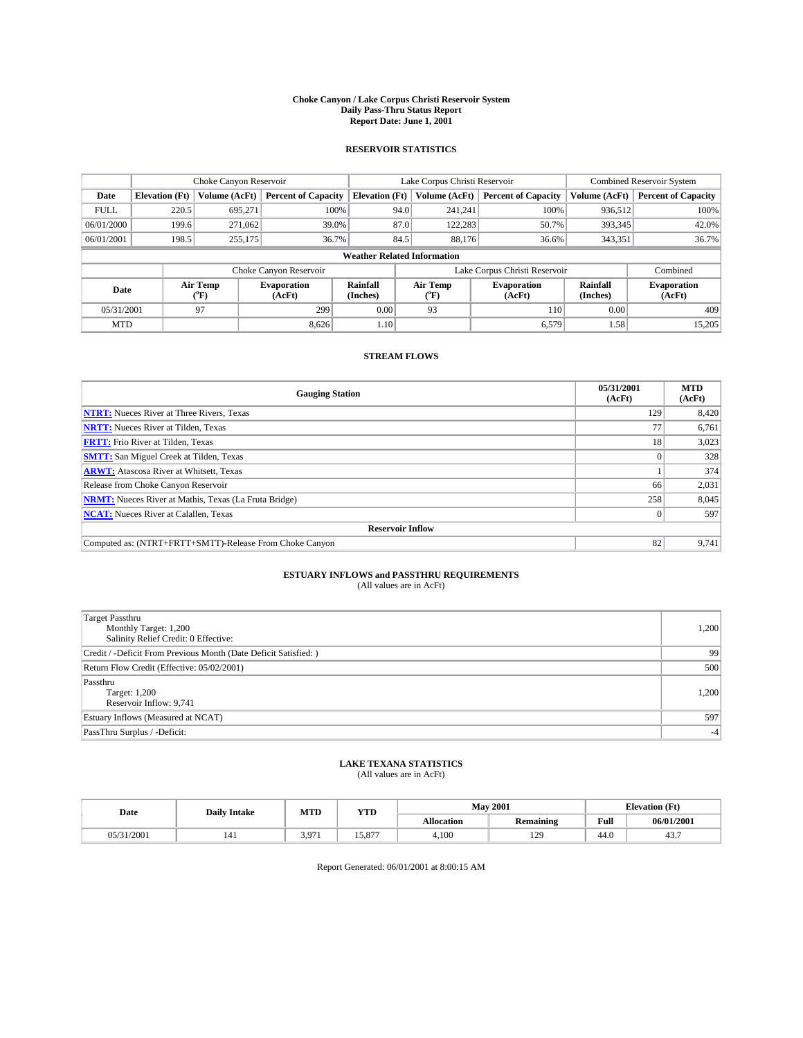#### **Choke Canyon / Lake Corpus Christi Reservoir System Daily Pass-Thru Status Report Report Date: June 1, 2001**

### **RESERVOIR STATISTICS**

|                                    |                                                                     | Choke Canyon Reservoir      |                              |                             | Lake Corpus Christi Reservoir | <b>Combined Reservoir System</b> |                      |                              |
|------------------------------------|---------------------------------------------------------------------|-----------------------------|------------------------------|-----------------------------|-------------------------------|----------------------------------|----------------------|------------------------------|
| Date                               | <b>Elevation</b> (Ft)                                               | Volume (AcFt)               | <b>Percent of Capacity</b>   | <b>Elevation</b> (Ft)       | Volume (AcFt)                 | <b>Percent of Capacity</b>       | Volume (AcFt)        | <b>Percent of Capacity</b>   |
| <b>FULL</b>                        | 220.5                                                               | 695,271                     | 100%                         | 94.0                        | 241,241                       | 100%                             | 936,512              | 100%                         |
| 06/01/2000                         | 199.6                                                               | 271,062                     | 39.0%                        | 87.0                        | 122,283                       | 50.7%                            | 393,345              | 42.0%                        |
| 06/01/2001                         | 198.5                                                               | 255,175                     | 36.7%                        | 84.5                        | 88.176                        | 36.6%                            | 343,351              | 36.7%                        |
| <b>Weather Related Information</b> |                                                                     |                             |                              |                             |                               |                                  |                      |                              |
|                                    | Lake Corpus Christi Reservoir<br>Choke Canyon Reservoir<br>Combined |                             |                              |                             |                               |                                  |                      |                              |
| Date                               |                                                                     | Air Temp<br>${}^{\circ}$ F) | <b>Evaporation</b><br>(AcFt) | <b>Rainfall</b><br>(Inches) | Air Temp<br>("F)              | <b>Evaporation</b><br>(AcFt)     | Rainfall<br>(Inches) | <b>Evaporation</b><br>(AcFt) |
| 05/31/2001                         |                                                                     | 97                          | 299                          | 0.00                        | 93                            | 110                              | 0.00                 | 409                          |
| <b>MTD</b>                         |                                                                     |                             | 8.626                        | 1.10                        |                               | 6,579                            | 1.58                 | 15,205                       |

### **STREAM FLOWS**

| <b>Gauging Station</b>                                       | 05/31/2001<br>(AcFt) | <b>MTD</b><br>(AcFt) |  |  |  |  |
|--------------------------------------------------------------|----------------------|----------------------|--|--|--|--|
| <b>NTRT:</b> Nueces River at Three Rivers, Texas             | 129                  | 8,420                |  |  |  |  |
| <b>NRTT:</b> Nueces River at Tilden, Texas                   |                      | 6,761                |  |  |  |  |
| <b>FRTT:</b> Frio River at Tilden, Texas                     | 18                   | 3,023                |  |  |  |  |
| <b>SMTT:</b> San Miguel Creek at Tilden, Texas               |                      | 328                  |  |  |  |  |
| <b>ARWT:</b> Atascosa River at Whitsett, Texas               |                      | 374                  |  |  |  |  |
| Release from Choke Canyon Reservoir                          | 66                   | 2,031                |  |  |  |  |
| <b>NRMT:</b> Nueces River at Mathis, Texas (La Fruta Bridge) | 258                  | 8,045                |  |  |  |  |
| <b>NCAT:</b> Nueces River at Calallen, Texas                 |                      | 597                  |  |  |  |  |
| <b>Reservoir Inflow</b>                                      |                      |                      |  |  |  |  |
| Computed as: (NTRT+FRTT+SMTT)-Release From Choke Canyon      | 82                   | 9.741                |  |  |  |  |

# **ESTUARY INFLOWS and PASSTHRU REQUIREMENTS**<br>(All values are in AcFt)

| <b>Target Passthru</b><br>Monthly Target: 1,200<br>Salinity Relief Credit: 0 Effective: | 1,200 |
|-----------------------------------------------------------------------------------------|-------|
| Credit / -Deficit From Previous Month (Date Deficit Satisfied: )                        | 99    |
| Return Flow Credit (Effective: 05/02/2001)                                              | 500   |
| Passthru<br>Target: 1,200<br>Reservoir Inflow: 9,741                                    | 1,200 |
| Estuary Inflows (Measured at NCAT)                                                      | 597   |
| PassThru Surplus / -Deficit:                                                            | $-4$  |

# **LAKE TEXANA STATISTICS** (All values are in AcFt)

| Date       | <b>Daily Intake</b> | MTD   | <b>VTT</b><br>1 I.D | <b>May 2001</b>   |                                  | $\sqrt{W}$<br><b>TAL</b><br>tlevation |            |
|------------|---------------------|-------|---------------------|-------------------|----------------------------------|---------------------------------------|------------|
|            |                     |       |                     | <b>Allocation</b> | <b>Remaining</b>                 | Full                                  | 06/01/2001 |
| 05/31/2001 | 141                 | 3.971 | $ -$<br>15.87       | 4,100             | $\overline{c}$<br>$\overline{1}$ | 44.0                                  | 43.        |

Report Generated: 06/01/2001 at 8:00:15 AM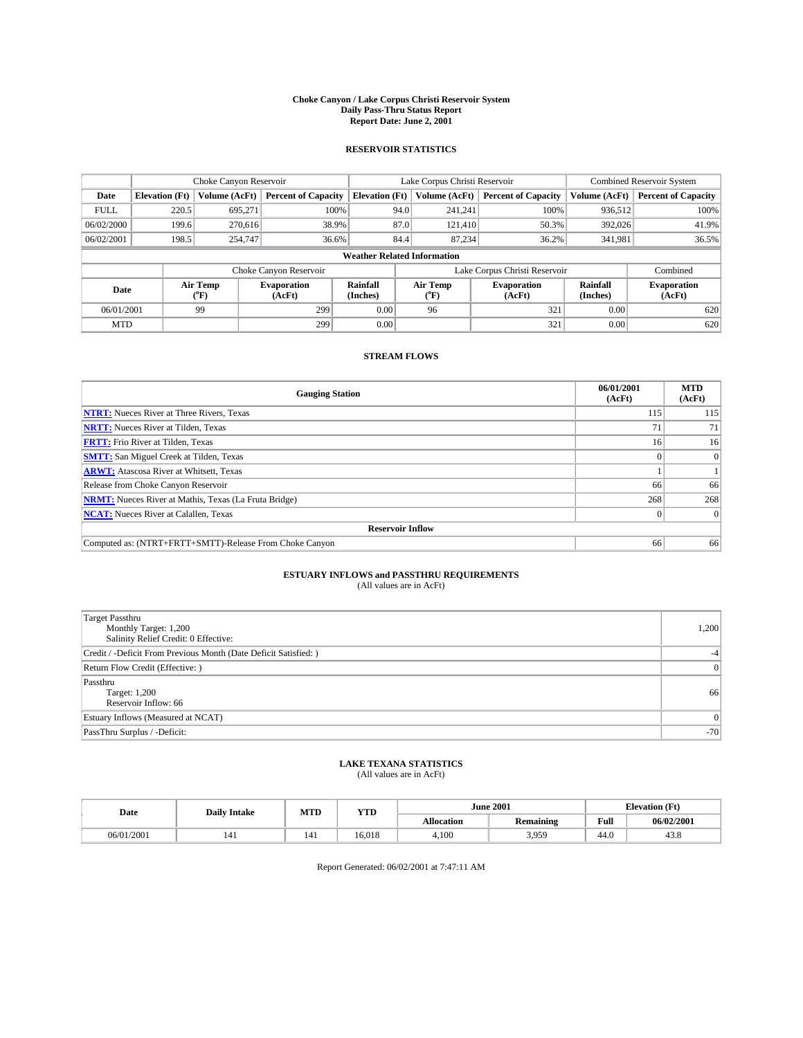#### **Choke Canyon / Lake Corpus Christi Reservoir System Daily Pass-Thru Status Report Report Date: June 2, 2001**

### **RESERVOIR STATISTICS**

|                                    | Choke Canyon Reservoir |                  |                              |                             | Lake Corpus Christi Reservoir | <b>Combined Reservoir System</b> |                      |                              |
|------------------------------------|------------------------|------------------|------------------------------|-----------------------------|-------------------------------|----------------------------------|----------------------|------------------------------|
| Date                               | <b>Elevation</b> (Ft)  | Volume (AcFt)    | <b>Percent of Capacity</b>   | <b>Elevation (Ft)</b>       | Volume (AcFt)                 | <b>Percent of Capacity</b>       | Volume (AcFt)        | <b>Percent of Capacity</b>   |
| <b>FULL</b>                        | 220.5                  | 695,271          | 100%                         | 94.0                        | 241,241                       | 100%                             | 936,512              | 100%                         |
| 06/02/2000                         | 199.6                  | 270,616          | 38.9%                        | 87.0                        | 121,410                       | 50.3%                            | 392,026              | 41.9%                        |
| 06/02/2001                         | 198.5                  | 254,747          | 36.6%                        | 84.4                        | 87.234                        | 36.2%                            | 341,981              | 36.5%                        |
| <b>Weather Related Information</b> |                        |                  |                              |                             |                               |                                  |                      |                              |
|                                    |                        |                  | Choke Canyon Reservoir       |                             |                               | Lake Corpus Christi Reservoir    |                      | Combined                     |
| Date                               |                        | Air Temp<br>(°F) | <b>Evaporation</b><br>(AcFt) | <b>Rainfall</b><br>(Inches) | Air Temp<br>("F)              | <b>Evaporation</b><br>(AcFt)     | Rainfall<br>(Inches) | <b>Evaporation</b><br>(AcFt) |
| 06/01/2001                         |                        | 99               | 299                          | 0.00                        | 96                            | 321                              | 0.00                 | 620                          |
| <b>MTD</b>                         |                        |                  | 299                          | 0.00                        |                               | 321                              | 0.00                 | 620                          |

### **STREAM FLOWS**

| <b>Gauging Station</b>                                       | 06/01/2001<br>(AcFt) | <b>MTD</b><br>(AcFt) |  |  |  |  |  |
|--------------------------------------------------------------|----------------------|----------------------|--|--|--|--|--|
| <b>NTRT:</b> Nueces River at Three Rivers, Texas             | 115                  | 115                  |  |  |  |  |  |
| <b>NRTT:</b> Nueces River at Tilden, Texas                   | 71                   | 71                   |  |  |  |  |  |
| <b>FRTT:</b> Frio River at Tilden, Texas                     | 16                   | 16                   |  |  |  |  |  |
| <b>SMTT:</b> San Miguel Creek at Tilden, Texas               |                      |                      |  |  |  |  |  |
| <b>ARWT:</b> Atascosa River at Whitsett, Texas               |                      |                      |  |  |  |  |  |
| Release from Choke Canyon Reservoir                          | 66                   | 66                   |  |  |  |  |  |
| <b>NRMT:</b> Nueces River at Mathis, Texas (La Fruta Bridge) | 268                  | 268                  |  |  |  |  |  |
| <b>NCAT:</b> Nueces River at Calallen, Texas                 |                      |                      |  |  |  |  |  |
| <b>Reservoir Inflow</b>                                      |                      |                      |  |  |  |  |  |
| Computed as: (NTRT+FRTT+SMTT)-Release From Choke Canyon      | 66                   | 66                   |  |  |  |  |  |

# **ESTUARY INFLOWS and PASSTHRU REQUIREMENTS**<br>(All values are in AcFt)

| <b>Target Passthru</b><br>Monthly Target: 1,200<br>Salinity Relief Credit: 0 Effective: | 1,200          |
|-----------------------------------------------------------------------------------------|----------------|
| Credit / -Deficit From Previous Month (Date Deficit Satisfied: )                        | $-4$           |
| Return Flow Credit (Effective:)                                                         | $\overline{0}$ |
| Passthru<br>Target: 1,200<br>Reservoir Inflow: 66                                       | 66             |
| Estuary Inflows (Measured at NCAT)                                                      | $\overline{0}$ |
| PassThru Surplus / -Deficit:                                                            | $-70$          |

# **LAKE TEXANA STATISTICS** (All values are in AcFt)

| Date       | <b>Daily Intake</b> | MTD | <b>VTT</b><br>1 I.D |                   | <b>June 2001</b>        | $\mathbf{F}$<br>$\mathbf{r}$<br>tlevation |            |
|------------|---------------------|-----|---------------------|-------------------|-------------------------|-------------------------------------------|------------|
|            |                     |     |                     | <b>Allocation</b> | <b>Remaining</b>        | Full                                      | 06/02/2001 |
| 06/01/2001 | 141                 | .   | 6.018               | 4,100             | 3.050<br>J. <i>J.J.</i> | 44.0                                      | 45.8       |

Report Generated: 06/02/2001 at 7:47:11 AM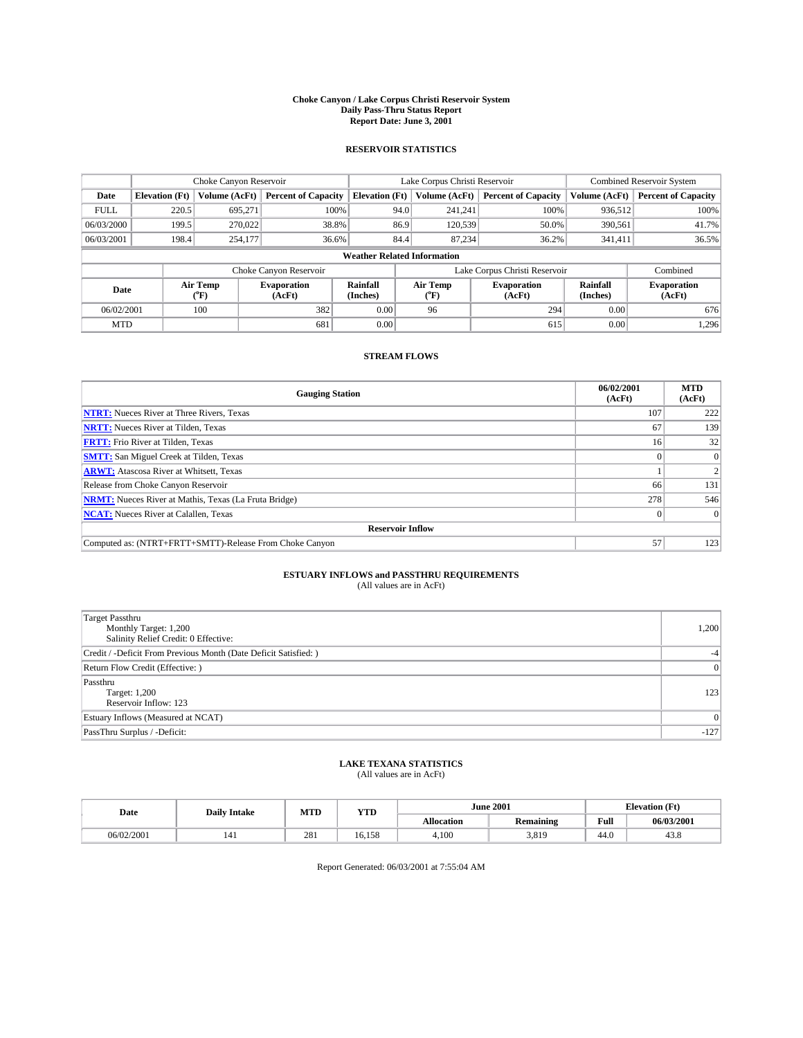#### **Choke Canyon / Lake Corpus Christi Reservoir System Daily Pass-Thru Status Report Report Date: June 3, 2001**

### **RESERVOIR STATISTICS**

|                                    |                       | Choke Canyon Reservoir |                              |                       | Lake Corpus Christi Reservoir | <b>Combined Reservoir System</b> |                      |                              |
|------------------------------------|-----------------------|------------------------|------------------------------|-----------------------|-------------------------------|----------------------------------|----------------------|------------------------------|
| Date                               | <b>Elevation</b> (Ft) | <b>Volume (AcFt)</b>   | <b>Percent of Capacity</b>   | <b>Elevation</b> (Ft) | Volume (AcFt)                 | <b>Percent of Capacity</b>       | Volume (AcFt)        | <b>Percent of Capacity</b>   |
| <b>FULL</b>                        | 220.5                 | 695,271                | 100%                         | 94.0                  | 241,241                       | 100%                             | 936.512              | 100%                         |
| 06/03/2000                         | 199.5                 | 270,022                | 38.8%                        | 86.9                  | 120,539                       | 50.0%                            | 390,561              | 41.7%                        |
| 06/03/2001                         | 198.4                 | 254,177                | 36.6%                        | 84.4                  | 87.234                        | 36.2%                            | 341,411              | 36.5%                        |
| <b>Weather Related Information</b> |                       |                        |                              |                       |                               |                                  |                      |                              |
|                                    |                       |                        | Choke Canyon Reservoir       |                       |                               | Lake Corpus Christi Reservoir    |                      | Combined                     |
| Date                               |                       | Air Temp<br>(°F)       | <b>Evaporation</b><br>(AcFt) | Rainfall<br>(Inches)  | Air Temp<br>("F)              | <b>Evaporation</b><br>(AcFt)     | Rainfall<br>(Inches) | <b>Evaporation</b><br>(AcFt) |
| 06/02/2001                         |                       | 100                    | 382                          | 0.00                  | 96                            | 294                              | 0.00                 | 676                          |
| <b>MTD</b>                         |                       |                        | 681                          | 0.00                  |                               | 615                              | 0.00                 | 1,296                        |

### **STREAM FLOWS**

| <b>Gauging Station</b>                                       | 06/02/2001<br>(AcFt) | <b>MTD</b><br>(AcFt) |  |  |  |  |  |
|--------------------------------------------------------------|----------------------|----------------------|--|--|--|--|--|
| <b>NTRT:</b> Nueces River at Three Rivers, Texas             | 107                  | 222                  |  |  |  |  |  |
| <b>NRTT:</b> Nueces River at Tilden, Texas                   | 67                   | 139                  |  |  |  |  |  |
| <b>FRTT:</b> Frio River at Tilden, Texas                     | 16                   | 32                   |  |  |  |  |  |
| <b>SMTT:</b> San Miguel Creek at Tilden, Texas               |                      |                      |  |  |  |  |  |
| <b>ARWT:</b> Atascosa River at Whitsett, Texas               |                      |                      |  |  |  |  |  |
| Release from Choke Canyon Reservoir                          | 66                   | 131                  |  |  |  |  |  |
| <b>NRMT:</b> Nueces River at Mathis, Texas (La Fruta Bridge) | 278                  | 546                  |  |  |  |  |  |
| <b>NCAT:</b> Nueces River at Calallen, Texas                 |                      |                      |  |  |  |  |  |
| <b>Reservoir Inflow</b>                                      |                      |                      |  |  |  |  |  |
| Computed as: (NTRT+FRTT+SMTT)-Release From Choke Canyon      | 57                   | 123                  |  |  |  |  |  |

# **ESTUARY INFLOWS and PASSTHRU REQUIREMENTS**<br>(All values are in AcFt)

| <b>Target Passthru</b><br>Monthly Target: 1,200<br>Salinity Relief Credit: 0 Effective: | 1,200          |
|-----------------------------------------------------------------------------------------|----------------|
| Credit / -Deficit From Previous Month (Date Deficit Satisfied: )                        | $-4$           |
| Return Flow Credit (Effective:)                                                         | $\overline{0}$ |
| Passthru<br>Target: 1,200<br>Reservoir Inflow: 123                                      | 123            |
| Estuary Inflows (Measured at NCAT)                                                      | $\Omega$       |
| PassThru Surplus / -Deficit:                                                            | $-127$         |

# **LAKE TEXANA STATISTICS** (All values are in AcFt)

| Date       | <b>Daily Intake</b> | MTD           | <b>VTT</b><br>1 I.D |                   | <b>June 2001</b> | $\sqrt{F}t$<br><br>tlevation |            |
|------------|---------------------|---------------|---------------------|-------------------|------------------|------------------------------|------------|
|            |                     |               |                     | <b>Allocation</b> | <b>Remaining</b> | Full                         | 06/03/2001 |
| 06/02/2001 | 141                 | $\cap$<br>281 | 16.158              | 4,100             | 3.819            | 44.0                         | 45.8       |

Report Generated: 06/03/2001 at 7:55:04 AM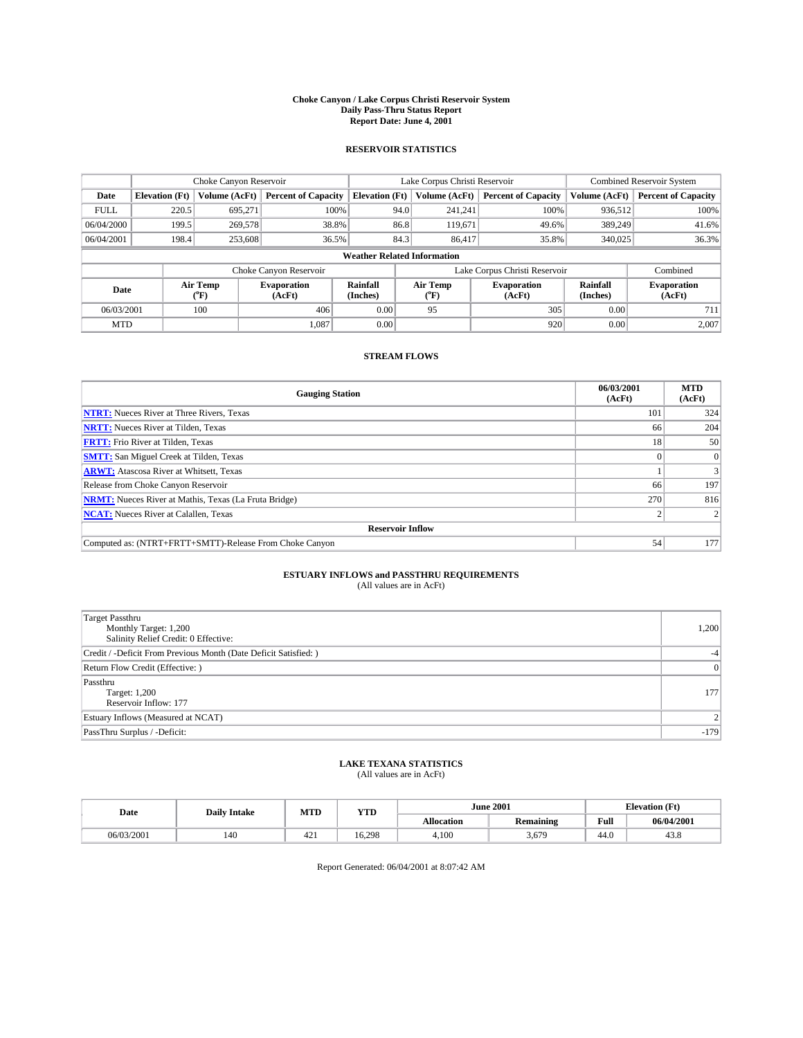#### **Choke Canyon / Lake Corpus Christi Reservoir System Daily Pass-Thru Status Report Report Date: June 4, 2001**

### **RESERVOIR STATISTICS**

|                                    | Choke Canyon Reservoir |                  |                              |                             | Lake Corpus Christi Reservoir |         |                               |                      | <b>Combined Reservoir System</b> |  |
|------------------------------------|------------------------|------------------|------------------------------|-----------------------------|-------------------------------|---------|-------------------------------|----------------------|----------------------------------|--|
| Date                               | <b>Elevation</b> (Ft)  | Volume (AcFt)    | <b>Percent of Capacity</b>   | <b>Elevation</b> (Ft)       | Volume (AcFt)                 |         | <b>Percent of Capacity</b>    | Volume (AcFt)        | <b>Percent of Capacity</b>       |  |
| <b>FULL</b>                        | 220.5                  | 695,271          | 100%                         |                             | 94.0                          | 241,241 | 100%                          | 936.512              | 100%                             |  |
| 06/04/2000                         | 199.5                  | 269,578          | 38.8%                        |                             | 86.8                          | 119,671 | 49.6%                         | 389.249              | 41.6%                            |  |
| 06/04/2001                         | 198.4                  | 253,608          | 36.5%                        |                             | 84.3                          | 86,417  | 35.8%                         | 340,025              | 36.3%                            |  |
| <b>Weather Related Information</b> |                        |                  |                              |                             |                               |         |                               |                      |                                  |  |
|                                    |                        |                  | Choke Canyon Reservoir       |                             |                               |         | Lake Corpus Christi Reservoir |                      | Combined                         |  |
| Date                               |                        | Air Temp<br>(°F) | <b>Evaporation</b><br>(AcFt) | <b>Rainfall</b><br>(Inches) | Air Temp<br>("F)              |         | <b>Evaporation</b><br>(AcFt)  | Rainfall<br>(Inches) | <b>Evaporation</b><br>(AcFt)     |  |
| 06/03/2001                         |                        | 100              | 406                          | 0.00                        | 95                            |         | 305                           | 0.00                 | 711                              |  |
| <b>MTD</b>                         |                        |                  | 1.087                        | 0.00                        |                               |         | 920                           | 0.00                 | 2,007                            |  |

### **STREAM FLOWS**

| <b>Gauging Station</b>                                       | 06/03/2001<br>(AcFt) | <b>MTD</b><br>(AcFt) |  |  |  |  |
|--------------------------------------------------------------|----------------------|----------------------|--|--|--|--|
| <b>NTRT:</b> Nueces River at Three Rivers, Texas             | 101                  | 324                  |  |  |  |  |
| <b>NRTT:</b> Nueces River at Tilden, Texas                   | 66                   | 204                  |  |  |  |  |
| <b>FRTT:</b> Frio River at Tilden, Texas                     | 18                   | 50                   |  |  |  |  |
| <b>SMTT:</b> San Miguel Creek at Tilden, Texas               |                      |                      |  |  |  |  |
| <b>ARWT:</b> Atascosa River at Whitsett, Texas               |                      |                      |  |  |  |  |
| Release from Choke Canyon Reservoir                          | 66                   | 197                  |  |  |  |  |
| <b>NRMT:</b> Nueces River at Mathis, Texas (La Fruta Bridge) | 270                  | 816                  |  |  |  |  |
| <b>NCAT:</b> Nueces River at Calallen, Texas                 |                      |                      |  |  |  |  |
| <b>Reservoir Inflow</b>                                      |                      |                      |  |  |  |  |
| Computed as: (NTRT+FRTT+SMTT)-Release From Choke Canyon      | 54                   | 177                  |  |  |  |  |

# **ESTUARY INFLOWS and PASSTHRU REQUIREMENTS**<br>(All values are in AcFt)

| <b>Target Passthru</b><br>Monthly Target: 1,200<br>Salinity Relief Credit: 0 Effective: | 1,200          |
|-----------------------------------------------------------------------------------------|----------------|
| Credit / -Deficit From Previous Month (Date Deficit Satisfied: )                        | $-4$           |
| Return Flow Credit (Effective:)                                                         | $\overline{0}$ |
| Passthru<br>Target: 1,200<br>Reservoir Inflow: 177                                      | 177            |
| Estuary Inflows (Measured at NCAT)                                                      | $\overline{2}$ |
| PassThru Surplus / -Deficit:                                                            | $-179$         |

# **LAKE TEXANA STATISTICS** (All values are in AcFt)

| Date       | <b>Daily Intake</b> | MTD           | <b>VTT</b><br>1 I.D |                   | <b>June 2001</b> | $\sqrt{F}$<br>--<br>tlevation |            |
|------------|---------------------|---------------|---------------------|-------------------|------------------|-------------------------------|------------|
|            |                     |               |                     | <b>Allocation</b> | <b>Remaining</b> | Full                          | 06/04/2001 |
| 06/03/2001 | 140                 | $\sim$<br>44. | 6.298               | 4,100             | 5.679            | 44.0                          | 45.8       |

Report Generated: 06/04/2001 at 8:07:42 AM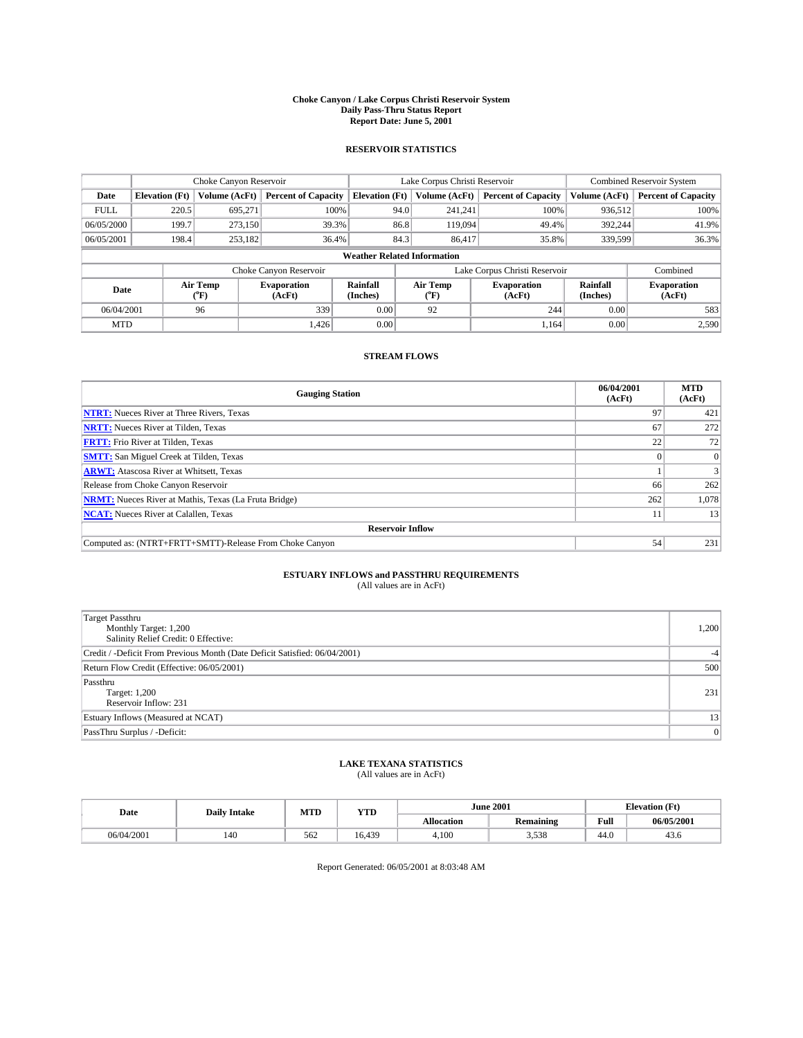#### **Choke Canyon / Lake Corpus Christi Reservoir System Daily Pass-Thru Status Report Report Date: June 5, 2001**

### **RESERVOIR STATISTICS**

|                                    | Choke Canyon Reservoir |                  |                              |                             | Lake Corpus Christi Reservoir |               |                               |                      | <b>Combined Reservoir System</b> |  |
|------------------------------------|------------------------|------------------|------------------------------|-----------------------------|-------------------------------|---------------|-------------------------------|----------------------|----------------------------------|--|
| Date                               | <b>Elevation</b> (Ft)  | Volume (AcFt)    | <b>Percent of Capacity</b>   | <b>Elevation</b> (Ft)       |                               | Volume (AcFt) | <b>Percent of Capacity</b>    | Volume (AcFt)        | <b>Percent of Capacity</b>       |  |
| <b>FULL</b>                        | 220.5                  | 695,271          | 100%                         |                             | 94.0                          | 241,241       | 100%                          | 936,512              | 100%                             |  |
| 06/05/2000                         | 199.7                  | 273.150          | 39.3%                        |                             | 86.8                          | 119,094       | 49.4%                         | 392,244              | 41.9%                            |  |
| 06/05/2001                         | 198.4                  | 253,182          | 36.4%                        |                             | 84.3                          | 86,417        | 35.8%                         | 339,599              | 36.3%                            |  |
| <b>Weather Related Information</b> |                        |                  |                              |                             |                               |               |                               |                      |                                  |  |
|                                    |                        |                  | Choke Canyon Reservoir       |                             |                               |               | Lake Corpus Christi Reservoir |                      | Combined                         |  |
| Date                               |                        | Air Temp<br>(°F) | <b>Evaporation</b><br>(AcFt) | <b>Rainfall</b><br>(Inches) | Air Temp<br>("F)              |               | <b>Evaporation</b><br>(AcFt)  | Rainfall<br>(Inches) | <b>Evaporation</b><br>(AcFt)     |  |
| 06/04/2001                         |                        | 96               | 339                          | 0.00                        | 92                            |               | 244                           | 0.00                 | 583                              |  |
| <b>MTD</b>                         |                        |                  | 1.426                        | 0.00                        |                               |               | 1.164                         | 0.00                 | 2,590                            |  |

### **STREAM FLOWS**

| <b>Gauging Station</b>                                       | 06/04/2001<br>(AcFt) | <b>MTD</b><br>(AcFt) |  |  |  |
|--------------------------------------------------------------|----------------------|----------------------|--|--|--|
| <b>NTRT:</b> Nueces River at Three Rivers, Texas             | 97                   | 421                  |  |  |  |
| <b>NRTT:</b> Nueces River at Tilden, Texas                   | 67                   | 272                  |  |  |  |
| <b>FRTT:</b> Frio River at Tilden, Texas                     | 22                   | 72                   |  |  |  |
| <b>SMTT:</b> San Miguel Creek at Tilden, Texas               |                      | $\Omega$             |  |  |  |
| <b>ARWT:</b> Atascosa River at Whitsett, Texas               |                      | 3                    |  |  |  |
| Release from Choke Canyon Reservoir                          | 66                   | 262                  |  |  |  |
| <b>NRMT:</b> Nueces River at Mathis, Texas (La Fruta Bridge) | 262                  | 1,078                |  |  |  |
| <b>NCAT:</b> Nueces River at Calallen, Texas                 |                      | 13                   |  |  |  |
| <b>Reservoir Inflow</b>                                      |                      |                      |  |  |  |
| Computed as: (NTRT+FRTT+SMTT)-Release From Choke Canyon      | 54                   | 231                  |  |  |  |

# **ESTUARY INFLOWS and PASSTHRU REQUIREMENTS**<br>(All values are in AcFt)

| Target Passthru<br>Monthly Target: 1,200<br>Salinity Relief Credit: 0 Effective: | 1,200 |
|----------------------------------------------------------------------------------|-------|
| Credit / -Deficit From Previous Month (Date Deficit Satisfied: 06/04/2001)       | $-4$  |
| Return Flow Credit (Effective: 06/05/2001)                                       | 500   |
| Passthru<br>Target: 1,200<br>Reservoir Inflow: 231                               | 231   |
| Estuary Inflows (Measured at NCAT)                                               | 13    |
| PassThru Surplus / -Deficit:                                                     | 0     |

# **LAKE TEXANA STATISTICS** (All values are in AcFt)

| Date       | <b>Daily Intake</b> | MTD | <b>YTD</b> | <b>June 2001</b>  |              | <b>Elevation (Ft)</b> |            |
|------------|---------------------|-----|------------|-------------------|--------------|-----------------------|------------|
|            |                     |     |            | <b>Allocation</b> | Remaining    | Full                  | 06/05/2001 |
| 06/04/2001 | 140                 | 562 | 16.439     | 4.100             | 520<br>J.JJ0 | 44.0                  | 45.0       |

Report Generated: 06/05/2001 at 8:03:48 AM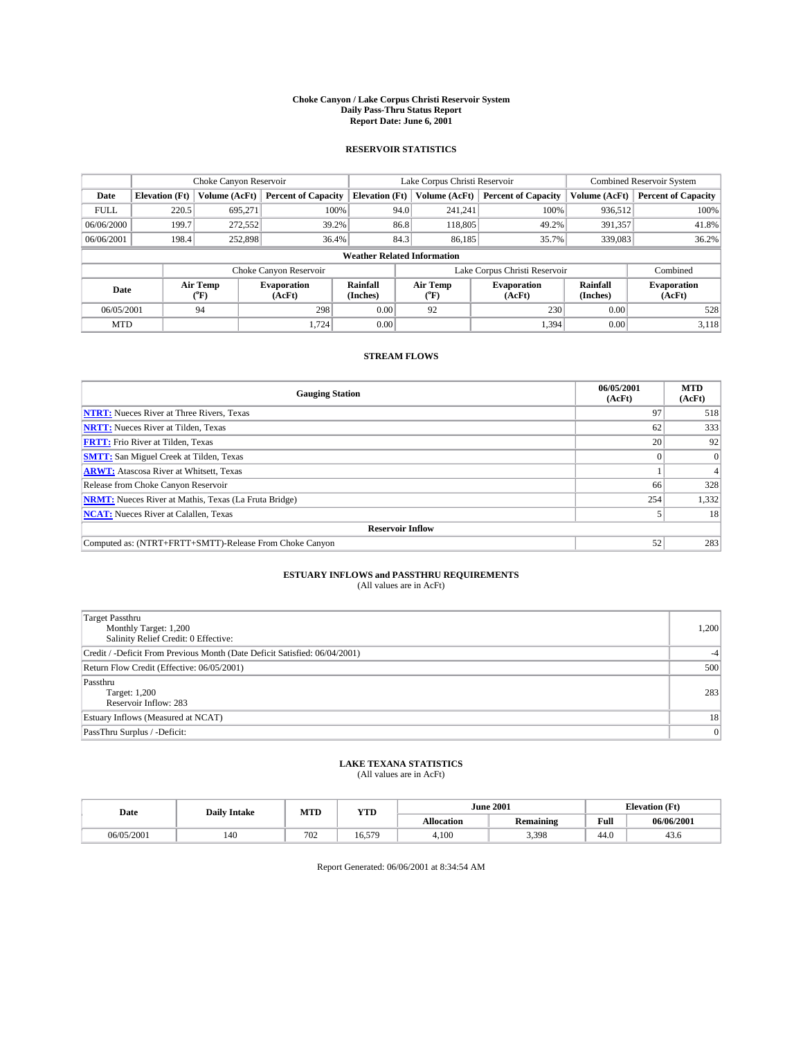#### **Choke Canyon / Lake Corpus Christi Reservoir System Daily Pass-Thru Status Report Report Date: June 6, 2001**

### **RESERVOIR STATISTICS**

|                                    | Choke Canyon Reservoir |                      |                              |                       | Lake Corpus Christi Reservoir | <b>Combined Reservoir System</b> |                      |                              |
|------------------------------------|------------------------|----------------------|------------------------------|-----------------------|-------------------------------|----------------------------------|----------------------|------------------------------|
| Date                               | <b>Elevation</b> (Ft)  | <b>Volume (AcFt)</b> | <b>Percent of Capacity</b>   | <b>Elevation</b> (Ft) | Volume (AcFt)                 | <b>Percent of Capacity</b>       | Volume (AcFt)        | <b>Percent of Capacity</b>   |
| <b>FULL</b>                        | 220.5                  | 695,271              | 100%                         | 94.0                  | 241,241                       | 100%                             | 936.512              | 100%                         |
| 06/06/2000                         | 199.7                  | 272,552              | 39.2%                        | 86.8                  | 118,805                       | 49.2%                            | 391,357              | 41.8%                        |
| 06/06/2001                         | 198.4                  | 252,898              | 36.4%                        | 84.3                  | 86.185                        | 35.7%                            | 339,083              | 36.2%                        |
| <b>Weather Related Information</b> |                        |                      |                              |                       |                               |                                  |                      |                              |
|                                    |                        |                      | Choke Canyon Reservoir       |                       |                               | Lake Corpus Christi Reservoir    |                      | Combined                     |
| Date                               |                        | Air Temp<br>(°F)     | <b>Evaporation</b><br>(AcFt) | Rainfall<br>(Inches)  | Air Temp<br>("F)              | <b>Evaporation</b><br>(AcFt)     | Rainfall<br>(Inches) | <b>Evaporation</b><br>(AcFt) |
| 06/05/2001                         |                        | 94                   | 298                          | 0.00                  | 92                            | 230                              | 0.00                 | 528                          |
| <b>MTD</b>                         |                        |                      | 1.724                        | 0.00                  |                               | 1,394                            | 0.00                 | 3,118                        |

### **STREAM FLOWS**

| <b>Gauging Station</b>                                       | 06/05/2001<br>(AcFt) | <b>MTD</b><br>(AcFt) |  |  |  |
|--------------------------------------------------------------|----------------------|----------------------|--|--|--|
| <b>NTRT:</b> Nueces River at Three Rivers, Texas             | 97                   | 518                  |  |  |  |
| <b>NRTT:</b> Nueces River at Tilden, Texas                   | 62                   | 333                  |  |  |  |
| <b>FRTT:</b> Frio River at Tilden, Texas                     | 20                   | 92                   |  |  |  |
| <b>SMTT:</b> San Miguel Creek at Tilden, Texas               |                      |                      |  |  |  |
| <b>ARWT:</b> Atascosa River at Whitsett, Texas               |                      |                      |  |  |  |
| Release from Choke Canyon Reservoir                          | 66                   | 328                  |  |  |  |
| <b>NRMT:</b> Nueces River at Mathis, Texas (La Fruta Bridge) | 254                  | 1,332                |  |  |  |
| <b>NCAT:</b> Nueces River at Calallen, Texas                 |                      | 18                   |  |  |  |
| <b>Reservoir Inflow</b>                                      |                      |                      |  |  |  |
| Computed as: (NTRT+FRTT+SMTT)-Release From Choke Canyon      | 52                   | 283                  |  |  |  |

# **ESTUARY INFLOWS and PASSTHRU REQUIREMENTS**<br>(All values are in AcFt)

| Target Passthru<br>Monthly Target: 1,200<br>Salinity Relief Credit: 0 Effective: | 1,200 |
|----------------------------------------------------------------------------------|-------|
| Credit / -Deficit From Previous Month (Date Deficit Satisfied: 06/04/2001)       | $-4$  |
| Return Flow Credit (Effective: 06/05/2001)                                       | 500   |
| Passthru<br>Target: 1,200<br>Reservoir Inflow: 283                               | 283   |
| Estuary Inflows (Measured at NCAT)                                               | 18    |
| PassThru Surplus / -Deficit:                                                     | 0     |

# **LAKE TEXANA STATISTICS** (All values are in AcFt)

| Date       | <b>Daily Intake</b> | MTD | <b>WITH</b><br>1 I.D |                   | <b>June 2001</b> | $\int$ Ft<br>--<br>tlevation |            |
|------------|---------------------|-----|----------------------|-------------------|------------------|------------------------------|------------|
|            |                     |     |                      | <b>Allocation</b> | Remaining        | -<br>Full                    | 06/06/2001 |
| 06/05/2001 | 140                 | 702 | 6.579                | 4,100             | 3,398            | 44.0                         | 45.0       |

Report Generated: 06/06/2001 at 8:34:54 AM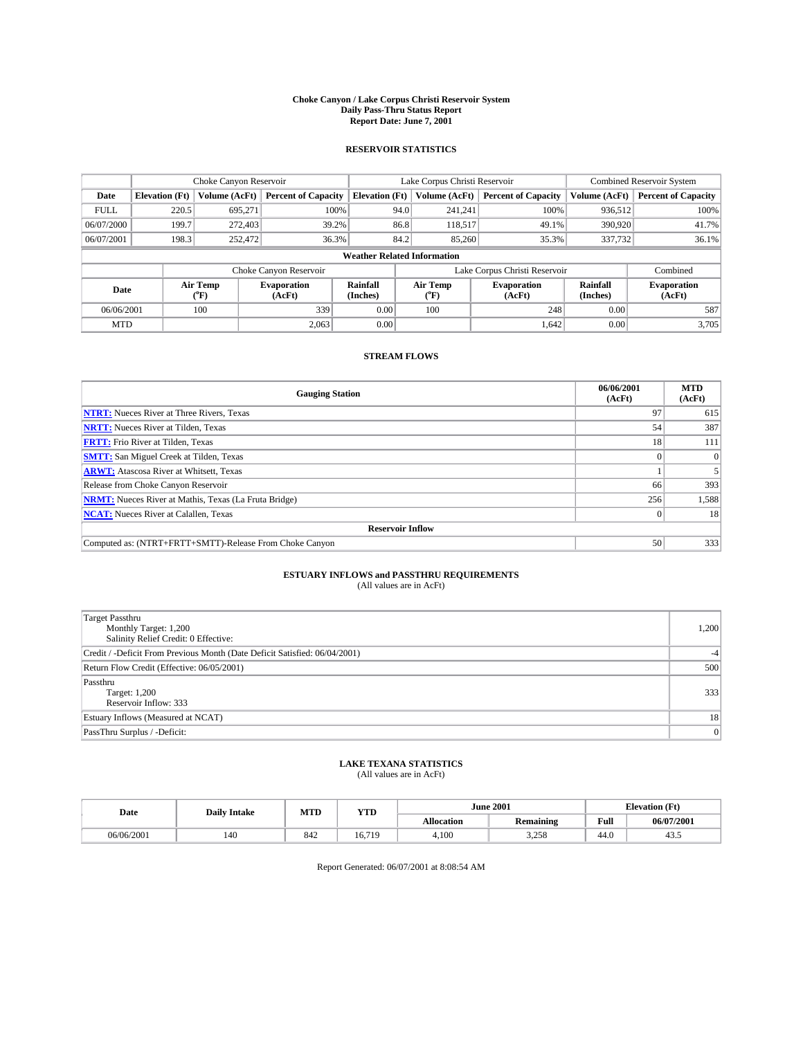#### **Choke Canyon / Lake Corpus Christi Reservoir System Daily Pass-Thru Status Report Report Date: June 7, 2001**

### **RESERVOIR STATISTICS**

|                                    | Choke Canyon Reservoir                                                                               |                      |                              |                       | Lake Corpus Christi Reservoir | <b>Combined Reservoir System</b> |               |                            |
|------------------------------------|------------------------------------------------------------------------------------------------------|----------------------|------------------------------|-----------------------|-------------------------------|----------------------------------|---------------|----------------------------|
| Date                               | <b>Elevation</b> (Ft)                                                                                | <b>Volume (AcFt)</b> | <b>Percent of Capacity</b>   | <b>Elevation</b> (Ft) | Volume (AcFt)                 | <b>Percent of Capacity</b>       | Volume (AcFt) | <b>Percent of Capacity</b> |
| <b>FULL</b>                        | 220.5                                                                                                | 695,271              | 100%                         |                       | 241,241<br>94.0               | 100%                             | 936.512       | 100%                       |
| 06/07/2000                         | 199.7                                                                                                | 272,403              | 39.2%                        |                       | 86.8<br>118,517               | 49.1%                            | 390,920       | 41.7%                      |
| 06/07/2001                         | 198.3                                                                                                | 252,472              | 36.3%                        |                       | 84.2<br>85,260                | 35.3%                            | 337,732       | 36.1%                      |
| <b>Weather Related Information</b> |                                                                                                      |                      |                              |                       |                               |                                  |               |                            |
|                                    |                                                                                                      |                      | Choke Canyon Reservoir       |                       |                               | Lake Corpus Christi Reservoir    |               | Combined                   |
|                                    | Air Temp<br>Rainfall<br>Air Temp<br><b>Evaporation</b><br>Date<br>(Inches)<br>(AcFt)<br>(°F)<br>("F) |                      | <b>Evaporation</b><br>(AcFt) | Rainfall<br>(Inches)  | <b>Evaporation</b><br>(AcFt)  |                                  |               |                            |
| 06/06/2001                         |                                                                                                      | 100                  | 339                          | 0.00                  | 100                           | 248                              | 0.00          | 587                        |
| <b>MTD</b>                         |                                                                                                      |                      | 2.063                        | 0.00                  |                               | 1,642                            | 0.00          | 3,705                      |

### **STREAM FLOWS**

| <b>Gauging Station</b>                                       | 06/06/2001<br>(AcFt) | <b>MTD</b><br>(AcFt) |  |  |  |  |
|--------------------------------------------------------------|----------------------|----------------------|--|--|--|--|
| <b>NTRT:</b> Nueces River at Three Rivers, Texas             | 97                   | 615                  |  |  |  |  |
| <b>NRTT:</b> Nueces River at Tilden, Texas                   | 54                   | 387                  |  |  |  |  |
| <b>FRTT:</b> Frio River at Tilden, Texas                     | 18                   | 111                  |  |  |  |  |
| <b>SMTT:</b> San Miguel Creek at Tilden, Texas               |                      | $\Omega$             |  |  |  |  |
| <b>ARWT:</b> Atascosa River at Whitsett, Texas               |                      |                      |  |  |  |  |
| Release from Choke Canyon Reservoir                          | 66                   | 393                  |  |  |  |  |
| <b>NRMT:</b> Nueces River at Mathis, Texas (La Fruta Bridge) | 256                  | 1,588                |  |  |  |  |
| <b>NCAT:</b> Nueces River at Calallen, Texas                 |                      | 18                   |  |  |  |  |
| <b>Reservoir Inflow</b>                                      |                      |                      |  |  |  |  |
| Computed as: (NTRT+FRTT+SMTT)-Release From Choke Canyon      | 50                   | 333                  |  |  |  |  |

# **ESTUARY INFLOWS and PASSTHRU REQUIREMENTS**<br>(All values are in AcFt)

| <b>Target Passthru</b><br>Monthly Target: 1,200<br>Salinity Relief Credit: 0 Effective: | 1,200 |
|-----------------------------------------------------------------------------------------|-------|
| Credit / -Deficit From Previous Month (Date Deficit Satisfied: 06/04/2001)              | $-4$  |
| Return Flow Credit (Effective: 06/05/2001)                                              | 500   |
| Passthru<br>Target: 1,200<br>Reservoir Inflow: 333                                      | 333   |
| Estuary Inflows (Measured at NCAT)                                                      | 18    |
| PassThru Surplus / -Deficit:                                                            | 0     |

# **LAKE TEXANA STATISTICS** (All values are in AcFt)

| Date       | <b>Daily Intake</b> | MTD | <b>YTD</b>  |                   | <b>June 2001</b> | <b>Elevation</b> (Ft) |            |
|------------|---------------------|-----|-------------|-------------------|------------------|-----------------------|------------|
|            |                     |     |             | <b>Allocation</b> | <b>Remaining</b> | Full                  | 06/07/2001 |
| 06/06/2001 | 140                 | 842 | 6.719<br>6. | 4,100             | 3.258            | $\sim$<br>44.V        | 43.3       |

Report Generated: 06/07/2001 at 8:08:54 AM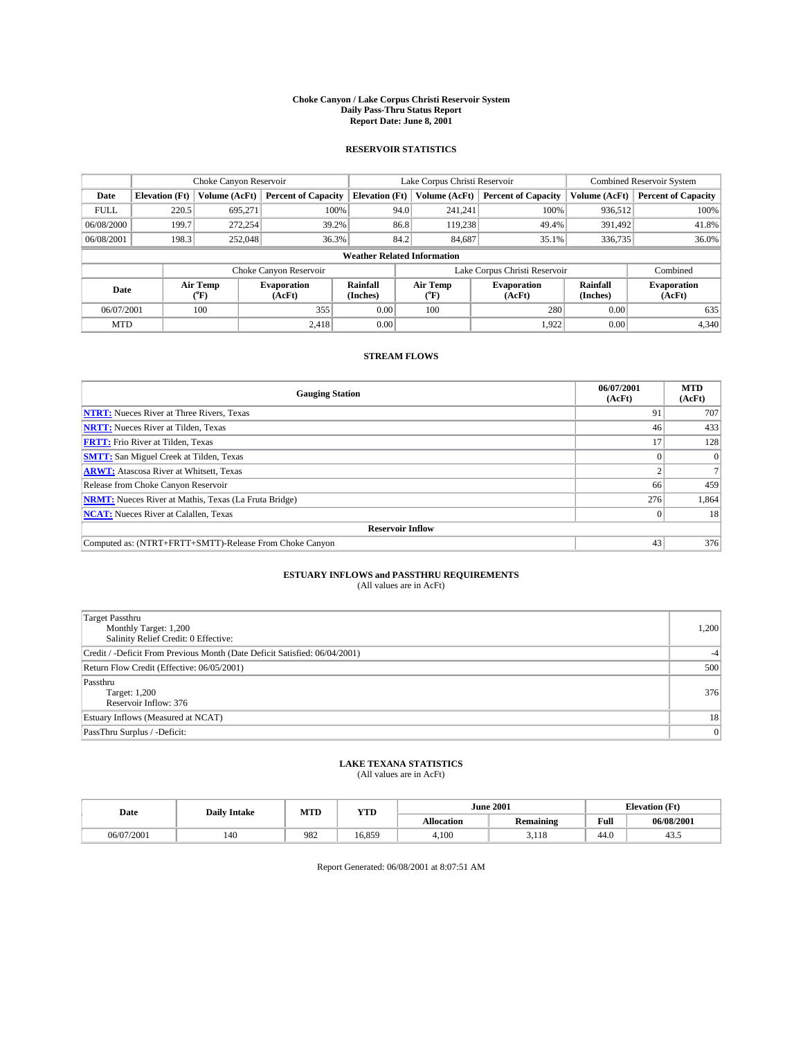#### **Choke Canyon / Lake Corpus Christi Reservoir System Daily Pass-Thru Status Report Report Date: June 8, 2001**

### **RESERVOIR STATISTICS**

|                                    | Choke Canyon Reservoir                                                                                      |               |                              |                       | Lake Corpus Christi Reservoir |               |                               |               | <b>Combined Reservoir System</b> |  |
|------------------------------------|-------------------------------------------------------------------------------------------------------------|---------------|------------------------------|-----------------------|-------------------------------|---------------|-------------------------------|---------------|----------------------------------|--|
| Date                               | <b>Elevation</b> (Ft)                                                                                       | Volume (AcFt) | <b>Percent of Capacity</b>   | <b>Elevation</b> (Ft) |                               | Volume (AcFt) | <b>Percent of Capacity</b>    | Volume (AcFt) | <b>Percent of Capacity</b>       |  |
| <b>FULL</b>                        | 220.5                                                                                                       | 695,271       | 100%                         |                       | 94.0                          | 241,241       | 100%                          | 936.512       | 100%                             |  |
| 06/08/2000                         | 199.7                                                                                                       | 272,254       | 39.2%                        |                       | 86.8                          | 119,238       | 49.4%                         | 391.492       | 41.8%                            |  |
| 06/08/2001                         | 198.3                                                                                                       | 252,048       | 36.3%                        |                       | 84.2                          | 84,687        | 35.1%                         | 336,735       | 36.0%                            |  |
| <b>Weather Related Information</b> |                                                                                                             |               |                              |                       |                               |               |                               |               |                                  |  |
|                                    |                                                                                                             |               | Choke Canyon Reservoir       |                       |                               |               | Lake Corpus Christi Reservoir |               | Combined                         |  |
|                                    | Air Temp<br>Air Temp<br><b>Rainfall</b><br><b>Evaporation</b><br>Date<br>(Inches)<br>(°F)<br>(AcFt)<br>("F) |               | <b>Evaporation</b><br>(AcFt) | Rainfall<br>(Inches)  | <b>Evaporation</b><br>(AcFt)  |               |                               |               |                                  |  |
| 06/07/2001                         |                                                                                                             | 100           | 355                          | 0.00                  |                               | 100           | 280                           | 0.00          | 635                              |  |
| <b>MTD</b>                         |                                                                                                             |               | 2.418                        | 0.00                  |                               |               | 1.922                         | 0.00          | 4,340                            |  |

### **STREAM FLOWS**

| <b>Gauging Station</b>                                       | 06/07/2001<br>(AcFt) | <b>MTD</b><br>(AcFt) |  |  |  |  |  |
|--------------------------------------------------------------|----------------------|----------------------|--|--|--|--|--|
| <b>NTRT:</b> Nueces River at Three Rivers, Texas             | 91                   | 707                  |  |  |  |  |  |
| <b>NRTT:</b> Nueces River at Tilden, Texas                   | 46                   | 433                  |  |  |  |  |  |
| <b>FRTT:</b> Frio River at Tilden, Texas                     |                      | 128                  |  |  |  |  |  |
| <b>SMTT:</b> San Miguel Creek at Tilden, Texas               |                      | $\Omega$             |  |  |  |  |  |
| <b>ARWT:</b> Atascosa River at Whitsett, Texas               |                      |                      |  |  |  |  |  |
| Release from Choke Canyon Reservoir                          | 66                   | 459                  |  |  |  |  |  |
| <b>NRMT:</b> Nueces River at Mathis, Texas (La Fruta Bridge) | 276                  | 1,864                |  |  |  |  |  |
| <b>NCAT:</b> Nueces River at Calallen, Texas                 |                      | 18                   |  |  |  |  |  |
| <b>Reservoir Inflow</b>                                      |                      |                      |  |  |  |  |  |
| Computed as: (NTRT+FRTT+SMTT)-Release From Choke Canyon      | 43                   | 376                  |  |  |  |  |  |

# **ESTUARY INFLOWS and PASSTHRU REQUIREMENTS**<br>(All values are in AcFt)

| <b>Target Passthru</b><br>Monthly Target: 1,200<br>Salinity Relief Credit: 0 Effective: | 1,200 |
|-----------------------------------------------------------------------------------------|-------|
| Credit / -Deficit From Previous Month (Date Deficit Satisfied: 06/04/2001)              | $-4$  |
| Return Flow Credit (Effective: 06/05/2001)                                              | 500   |
| Passthru<br><b>Target: 1,200</b><br>Reservoir Inflow: 376                               | 376   |
| Estuary Inflows (Measured at NCAT)                                                      | 18    |
| PassThru Surplus / -Deficit:                                                            | 0     |

# **LAKE TEXANA STATISTICS** (All values are in AcFt)

| Date       | <b>Daily Intake</b> | MTD | <b>YTD</b> |                   | <b>June 2001</b> | <b>Elevation</b> (Ft) |            |
|------------|---------------------|-----|------------|-------------------|------------------|-----------------------|------------|
|            |                     |     |            | <b>Allocation</b> | <b>Remaining</b> | Full                  | 06/08/2001 |
| 06/07/2001 | 140                 | 982 | 6.859      | 4,100             | 1 1 C<br>5.110   | 44.0                  | 45.5       |

Report Generated: 06/08/2001 at 8:07:51 AM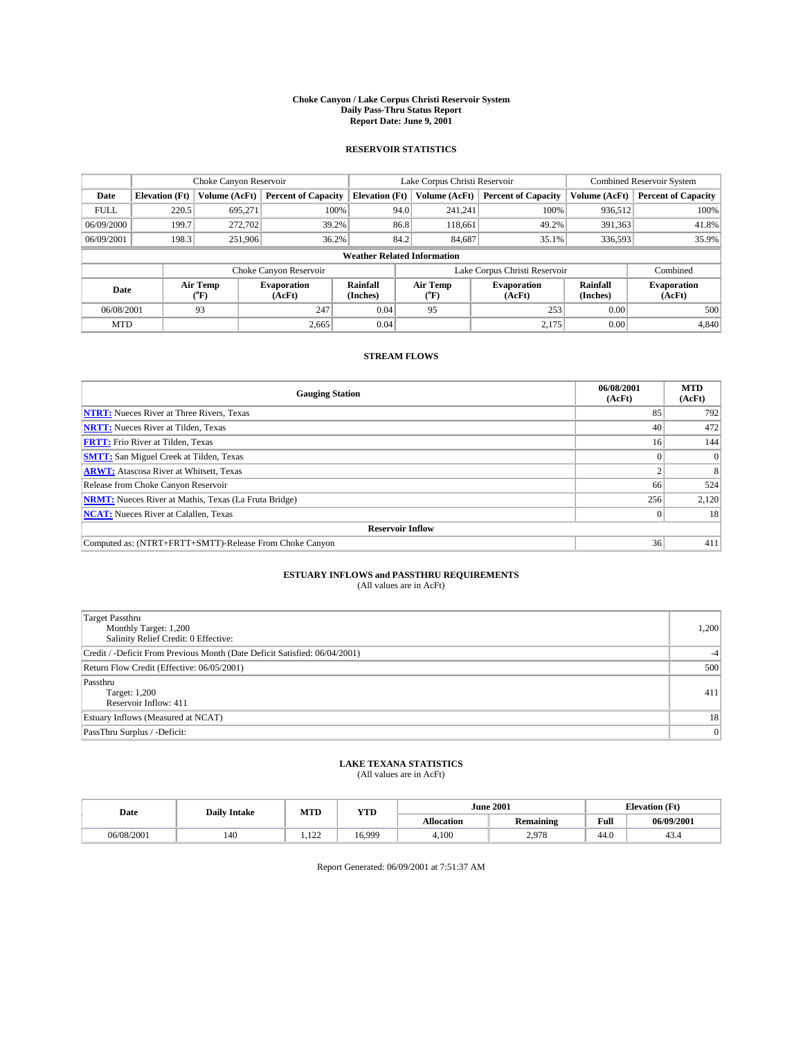#### **Choke Canyon / Lake Corpus Christi Reservoir System Daily Pass-Thru Status Report Report Date: June 9, 2001**

### **RESERVOIR STATISTICS**

|                                                                                                    | Choke Canyon Reservoir             |                  |                              |                       | Lake Corpus Christi Reservoir | <b>Combined Reservoir System</b> |               |                            |  |
|----------------------------------------------------------------------------------------------------|------------------------------------|------------------|------------------------------|-----------------------|-------------------------------|----------------------------------|---------------|----------------------------|--|
| Date                                                                                               | <b>Elevation</b> (Ft)              | Volume (AcFt)    | <b>Percent of Capacity</b>   | <b>Elevation</b> (Ft) | Volume (AcFt)                 | <b>Percent of Capacity</b>       | Volume (AcFt) | <b>Percent of Capacity</b> |  |
| <b>FULL</b>                                                                                        | 220.5                              | 695,271          | 100%                         | 94.0                  | 241,241                       | 100%                             | 936,512       | 100%                       |  |
| 06/09/2000                                                                                         | 199.7                              | 272,702          | 39.2%                        | 86.8                  | 118,661                       | 49.2%                            | 391,363       | 41.8%                      |  |
| 06/09/2001                                                                                         | 198.3                              | 251,906          | 36.2%                        | 84.2                  | 84,687                        | 35.1%                            | 336,593       | 35.9%                      |  |
|                                                                                                    | <b>Weather Related Information</b> |                  |                              |                       |                               |                                  |               |                            |  |
|                                                                                                    |                                    |                  | Choke Canyon Reservoir       |                       |                               | Lake Corpus Christi Reservoir    |               | Combined                   |  |
| Air Temp<br><b>Rainfall</b><br><b>Evaporation</b><br>Date<br>(Inches)<br>(AcFt)<br>${}^{\circ}$ F) |                                    | Air Temp<br>("F) | <b>Evaporation</b><br>(AcFt) | Rainfall<br>(Inches)  | <b>Evaporation</b><br>(AcFt)  |                                  |               |                            |  |
| 06/08/2001                                                                                         |                                    | 93               | 247                          | 0.04                  | 95                            | 253                              | 0.00          | 500                        |  |
| <b>MTD</b>                                                                                         |                                    |                  | 2,665                        | 0.04                  |                               | 2,175                            | 0.00          | 4,840                      |  |

### **STREAM FLOWS**

| <b>Gauging Station</b>                                       | 06/08/2001<br>(AcFt) | <b>MTD</b><br>(AcFt) |  |  |  |  |
|--------------------------------------------------------------|----------------------|----------------------|--|--|--|--|
| <b>NTRT:</b> Nueces River at Three Rivers, Texas             | 85                   | 792                  |  |  |  |  |
| <b>NRTT:</b> Nueces River at Tilden, Texas                   | 40                   | 472                  |  |  |  |  |
| <b>FRTT:</b> Frio River at Tilden, Texas                     | 16 <sup>1</sup>      | 144                  |  |  |  |  |
| <b>SMTT:</b> San Miguel Creek at Tilden, Texas               |                      |                      |  |  |  |  |
| <b>ARWT:</b> Atascosa River at Whitsett, Texas               |                      | 8                    |  |  |  |  |
| Release from Choke Canyon Reservoir                          | 66                   | 524                  |  |  |  |  |
| <b>NRMT:</b> Nueces River at Mathis, Texas (La Fruta Bridge) | 256                  | 2,120                |  |  |  |  |
| <b>NCAT:</b> Nueces River at Calallen, Texas                 |                      | 18 <sup>1</sup>      |  |  |  |  |
| <b>Reservoir Inflow</b>                                      |                      |                      |  |  |  |  |
| Computed as: (NTRT+FRTT+SMTT)-Release From Choke Canyon      | 36                   | 411                  |  |  |  |  |

# **ESTUARY INFLOWS and PASSTHRU REQUIREMENTS**<br>(All values are in AcFt)

| Target Passthru<br>Monthly Target: 1,200<br>Salinity Relief Credit: 0 Effective: | 1,200 |
|----------------------------------------------------------------------------------|-------|
| Credit / -Deficit From Previous Month (Date Deficit Satisfied: 06/04/2001)       | $-4$  |
| Return Flow Credit (Effective: 06/05/2001)                                       | 500   |
| Passthru<br>Target: 1,200<br>Reservoir Inflow: 411                               | 411   |
| Estuary Inflows (Measured at NCAT)                                               | 18    |
| PassThru Surplus / -Deficit:                                                     | 0     |

# **LAKE TEXANA STATISTICS** (All values are in AcFt)

| Date       | <b>Daily Intake</b> | MTD                         | YTD  | <b>June 2001</b>  |                                          | <b>Elevation</b> (Ft) |             |
|------------|---------------------|-----------------------------|------|-------------------|------------------------------------------|-----------------------|-------------|
|            |                     |                             |      | <b>Allocation</b> | $\ddot{\phantom{a}}$<br><b>Remaining</b> | Full                  | 06/09/2001  |
| 06/08/2001 | 140                 | 10 <sup>1</sup><br>$-1 - 1$ | 6999 | 4,100             | 2.978                                    | $\sim$<br>44.U        | 4.5<br>-. ت |

Report Generated: 06/09/2001 at 7:51:37 AM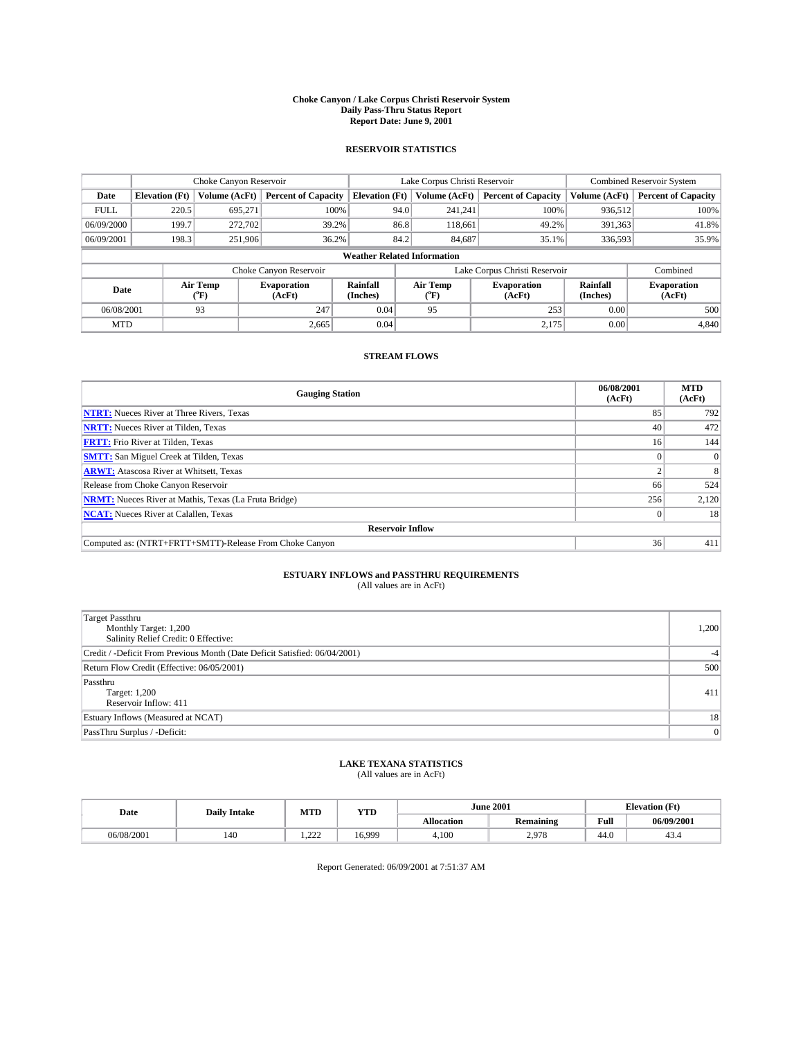#### **Choke Canyon / Lake Corpus Christi Reservoir System Daily Pass-Thru Status Report Report Date: June 9, 2001**

### **RESERVOIR STATISTICS**

|             | Choke Canyon Reservoir             |                      |                              |                       | Lake Corpus Christi Reservoir | <b>Combined Reservoir System</b> |                      |                              |  |
|-------------|------------------------------------|----------------------|------------------------------|-----------------------|-------------------------------|----------------------------------|----------------------|------------------------------|--|
| Date        | <b>Elevation</b> (Ft)              | <b>Volume (AcFt)</b> | <b>Percent of Capacity</b>   | <b>Elevation</b> (Ft) | Volume (AcFt)                 | <b>Percent of Capacity</b>       | Volume (AcFt)        | <b>Percent of Capacity</b>   |  |
| <b>FULL</b> | 220.5                              | 695,271              | 100%                         |                       | 241,241<br>94.0               | 100%                             | 936.512              | 100%                         |  |
| 06/09/2000  | 199.7                              | 272,702              | 39.2%                        |                       | 86.8<br>118,661               | 49.2%                            | 391,363              | 41.8%                        |  |
| 06/09/2001  | 198.3                              | 251.906              | 36.2%                        |                       | 84.2<br>84,687                | 35.1%                            | 336,593              | 35.9%                        |  |
|             | <b>Weather Related Information</b> |                      |                              |                       |                               |                                  |                      |                              |  |
|             |                                    |                      | Choke Canyon Reservoir       |                       | Lake Corpus Christi Reservoir |                                  |                      | Combined                     |  |
| Date        |                                    | Air Temp<br>(°F)     | <b>Evaporation</b><br>(AcFt) | Rainfall<br>(Inches)  | Air Temp<br>("F)              | <b>Evaporation</b><br>(AcFt)     | Rainfall<br>(Inches) | <b>Evaporation</b><br>(AcFt) |  |
| 06/08/2001  |                                    | 93                   | 247                          | 0.04                  | 95                            | 253                              | 0.00                 | 500                          |  |
| <b>MTD</b>  |                                    |                      | 2,665                        | 0.04                  |                               | 2,175                            | 0.00                 | 4,840                        |  |

### **STREAM FLOWS**

| <b>Gauging Station</b>                                       | 06/08/2001<br>(AcFt) | <b>MTD</b><br>(AcFt) |
|--------------------------------------------------------------|----------------------|----------------------|
| <b>NTRT:</b> Nueces River at Three Rivers, Texas             | 85                   | 792                  |
| <b>NRTT:</b> Nueces River at Tilden, Texas                   | 40                   | 472                  |
| <b>FRTT:</b> Frio River at Tilden, Texas                     | 16                   | 144                  |
| <b>SMTT:</b> San Miguel Creek at Tilden, Texas               |                      |                      |
| <b>ARWT:</b> Atascosa River at Whitsett, Texas               |                      | 8                    |
| Release from Choke Canyon Reservoir                          | 66                   | 524                  |
| <b>NRMT:</b> Nueces River at Mathis, Texas (La Fruta Bridge) | 256                  | 2,120                |
| <b>NCAT:</b> Nueces River at Calallen, Texas                 |                      | 18                   |
| <b>Reservoir Inflow</b>                                      |                      |                      |
| Computed as: (NTRT+FRTT+SMTT)-Release From Choke Canyon      | 36                   | 411                  |

# **ESTUARY INFLOWS and PASSTHRU REQUIREMENTS**<br>(All values are in AcFt)

| Target Passthru<br>Monthly Target: 1,200<br>Salinity Relief Credit: 0 Effective: | 1,200 |
|----------------------------------------------------------------------------------|-------|
| Credit / -Deficit From Previous Month (Date Deficit Satisfied: 06/04/2001)       | $-4$  |
| Return Flow Credit (Effective: 06/05/2001)                                       | 500   |
| Passthru<br>Target: 1,200<br>Reservoir Inflow: 411                               | 411   |
| Estuary Inflows (Measured at NCAT)                                               | 18    |
| PassThru Surplus / -Deficit:                                                     | 0     |

# **LAKE TEXANA STATISTICS** (All values are in AcFt)

| Date       | <b>Daily Intake</b> | MTD             | YTD   |                   | <b>June 2001</b>                         | <b>Elevation</b> (Ft) |             |
|------------|---------------------|-----------------|-------|-------------------|------------------------------------------|-----------------------|-------------|
|            |                     |                 |       | <b>Allocation</b> | $\ddot{\phantom{a}}$<br><b>Remaining</b> | Full                  | 06/09/2001  |
| 06/08/2001 | 140                 | $\sim$<br>----- | 6.999 | 4,100             | 2.978                                    | $\sim$<br>44.U        | 4.5<br>-. ت |

Report Generated: 06/09/2001 at 7:51:37 AM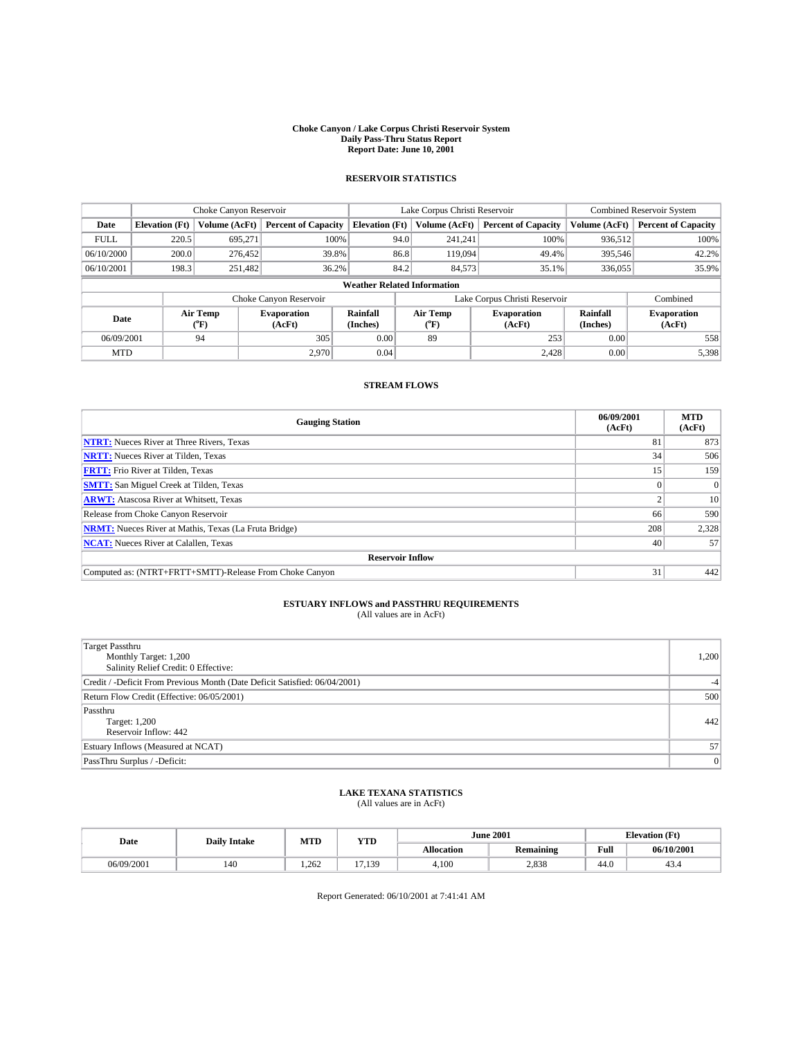#### **Choke Canyon / Lake Corpus Christi Reservoir System Daily Pass-Thru Status Report Report Date: June 10, 2001**

## **RESERVOIR STATISTICS**

|                                    | Choke Canyon Reservoir |                  |                              |                       | Lake Corpus Christi Reservoir |                  |                              |                      | <b>Combined Reservoir System</b> |  |
|------------------------------------|------------------------|------------------|------------------------------|-----------------------|-------------------------------|------------------|------------------------------|----------------------|----------------------------------|--|
| Date                               | <b>Elevation</b> (Ft)  | Volume (AcFt)    | <b>Percent of Capacity</b>   | <b>Elevation</b> (Ft) |                               | Volume (AcFt)    | <b>Percent of Capacity</b>   | Volume (AcFt)        | <b>Percent of Capacity</b>       |  |
| <b>FULL</b>                        | 220.5                  | 695,271          | 100%                         |                       | 94.0                          | 241,241          | 100%                         | 936,512              | 100%                             |  |
| 06/10/2000                         | 200.0                  | 276,452          | 39.8%                        |                       | 86.8                          | 119,094          | 49.4%                        | 395.546              | 42.2%                            |  |
| 06/10/2001                         | 198.3                  | 251,482          | 36.2%                        |                       | 84.2                          | 84,573           | 35.1%                        | 336,055              | 35.9%                            |  |
| <b>Weather Related Information</b> |                        |                  |                              |                       |                               |                  |                              |                      |                                  |  |
|                                    |                        |                  | Choke Canyon Reservoir       |                       | Lake Corpus Christi Reservoir |                  |                              |                      | Combined                         |  |
| Date                               |                        | Air Temp<br>(°F) | <b>Evaporation</b><br>(AcFt) | Rainfall<br>(Inches)  |                               | Air Temp<br>("F) | <b>Evaporation</b><br>(AcFt) | Rainfall<br>(Inches) | <b>Evaporation</b><br>(AcFt)     |  |
| 06/09/2001                         |                        | 94               | 305                          | 0.00                  |                               | 89               | 253                          | 0.00                 | 558                              |  |
| <b>MTD</b>                         |                        |                  | 2,970                        | 0.04                  |                               |                  | 2,428                        | 0.00                 | 5,398                            |  |

### **STREAM FLOWS**

| <b>Gauging Station</b>                                       | 06/09/2001<br>(AcFt) | <b>MTD</b><br>(AcFt) |
|--------------------------------------------------------------|----------------------|----------------------|
| <b>NTRT:</b> Nueces River at Three Rivers, Texas             | 81                   | 873                  |
| <b>NRTT:</b> Nueces River at Tilden, Texas                   | 34                   | 506                  |
| <b>FRTT:</b> Frio River at Tilden, Texas                     | 15                   | 159                  |
| <b>SMTT:</b> San Miguel Creek at Tilden, Texas               |                      | $\Omega$             |
| <b>ARWT:</b> Atascosa River at Whitsett, Texas               |                      | 10                   |
| Release from Choke Canyon Reservoir                          | 66                   | 590                  |
| <b>NRMT:</b> Nueces River at Mathis, Texas (La Fruta Bridge) | 208                  | 2,328                |
| <b>NCAT:</b> Nueces River at Calallen, Texas                 | 40                   | 57                   |
| <b>Reservoir Inflow</b>                                      |                      |                      |
| Computed as: (NTRT+FRTT+SMTT)-Release From Choke Canyon      | 31                   | 442                  |

## **ESTUARY INFLOWS and PASSTHRU REQUIREMENTS**<br>(All values are in AcFt)

| <b>Target Passthru</b><br>Monthly Target: 1,200<br>Salinity Relief Credit: 0 Effective: | 1,200 |
|-----------------------------------------------------------------------------------------|-------|
| Credit / -Deficit From Previous Month (Date Deficit Satisfied: 06/04/2001)              |       |
| Return Flow Credit (Effective: 06/05/2001)                                              | 500   |
| Passthru<br>Target: 1,200<br>Reservoir Inflow: 442                                      | 442   |
| Estuary Inflows (Measured at NCAT)                                                      | 57    |
| PassThru Surplus / -Deficit:                                                            | 0     |

## **LAKE TEXANA STATISTICS** (All values are in AcFt)

| Date       | <b>Daily Intake</b> | MTD  | YTD          |                   | <b>June 2001</b> |      | <b>Elevation</b> (Ft) |
|------------|---------------------|------|--------------|-------------------|------------------|------|-----------------------|
|            |                     |      |              | <b>Allocation</b> | <b>Remaining</b> | Full | 06/10/2001            |
| 06/09/2001 | 140                 | .262 | 1.139<br>$-$ | 4,100             | 2,838            | 44.0 | 43.4                  |

Report Generated: 06/10/2001 at 7:41:41 AM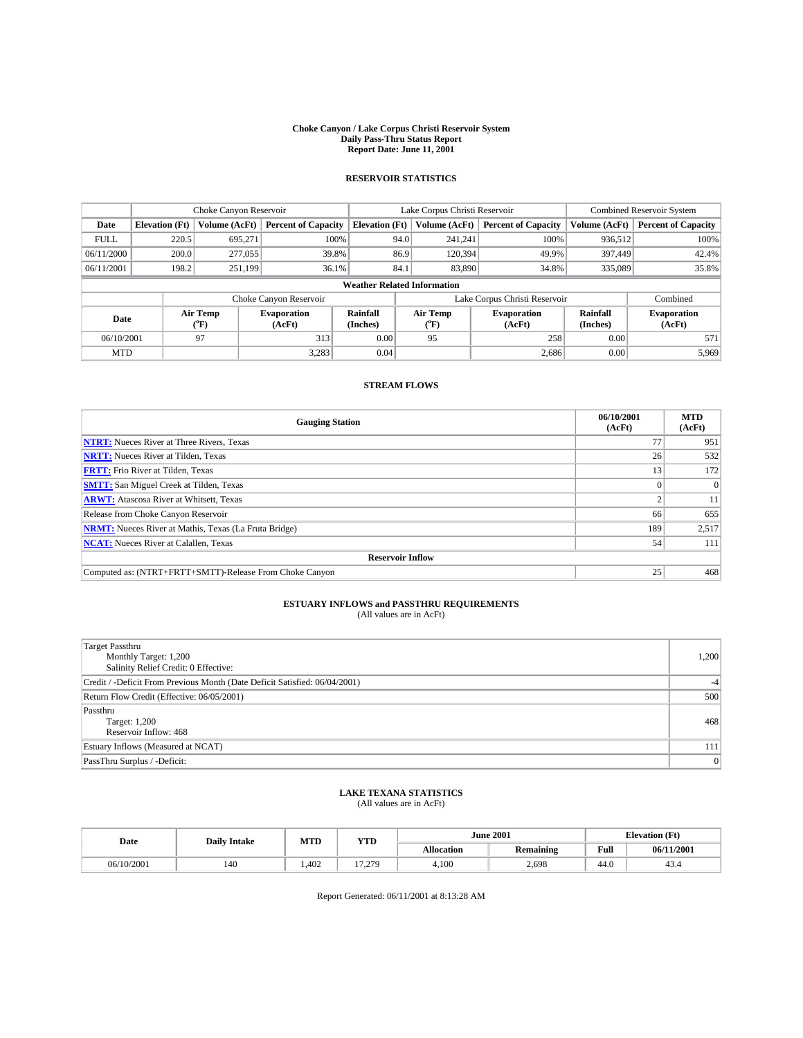#### **Choke Canyon / Lake Corpus Christi Reservoir System Daily Pass-Thru Status Report Report Date: June 11, 2001**

## **RESERVOIR STATISTICS**

|                                    | Choke Canyon Reservoir |                      |                              |                       | Lake Corpus Christi Reservoir |                  |                              |                      | <b>Combined Reservoir System</b> |  |
|------------------------------------|------------------------|----------------------|------------------------------|-----------------------|-------------------------------|------------------|------------------------------|----------------------|----------------------------------|--|
| Date                               | <b>Elevation</b> (Ft)  | <b>Volume (AcFt)</b> | <b>Percent of Capacity</b>   | <b>Elevation (Ft)</b> |                               | Volume (AcFt)    | <b>Percent of Capacity</b>   | Volume (AcFt)        | <b>Percent of Capacity</b>       |  |
| <b>FULL</b>                        | 220.5                  | 695.271              | 100%                         |                       | 94.0                          | 241,241          | 100%                         | 936,512              | 100%                             |  |
| 06/11/2000                         | 200.0                  | 277,055              | 39.8%                        |                       | 86.9                          | 120.394          | 49.9%                        | 397,449              | 42.4%                            |  |
| 06/11/2001                         | 198.2                  | 251,199              | 36.1%                        |                       | 84.1                          | 83,890           | 34.8%                        | 335,089              | 35.8%                            |  |
| <b>Weather Related Information</b> |                        |                      |                              |                       |                               |                  |                              |                      |                                  |  |
|                                    |                        |                      | Choke Canyon Reservoir       |                       | Lake Corpus Christi Reservoir |                  |                              |                      | Combined                         |  |
| Date                               |                        | Air Temp<br>(°F)     | <b>Evaporation</b><br>(AcFt) | Rainfall<br>(Inches)  |                               | Air Temp<br>("F) | <b>Evaporation</b><br>(AcFt) | Rainfall<br>(Inches) | <b>Evaporation</b><br>(AcFt)     |  |
| 06/10/2001                         |                        | 97                   | 313                          | 0.00                  |                               | 95               | 258                          | 0.00                 | 571                              |  |
| <b>MTD</b>                         |                        |                      | 3,283                        | 0.04                  |                               |                  | 2,686                        | 0.00                 | 5,969                            |  |

### **STREAM FLOWS**

| <b>Gauging Station</b>                                       | 06/10/2001<br>(AcFt) | <b>MTD</b><br>(AcFt) |  |  |  |  |  |
|--------------------------------------------------------------|----------------------|----------------------|--|--|--|--|--|
| <b>NTRT:</b> Nueces River at Three Rivers, Texas             | 77                   | 951                  |  |  |  |  |  |
| <b>NRTT:</b> Nueces River at Tilden, Texas                   | 26                   | 532                  |  |  |  |  |  |
| <b>FRTT:</b> Frio River at Tilden, Texas                     | 13                   | 172                  |  |  |  |  |  |
| <b>SMTT:</b> San Miguel Creek at Tilden, Texas               |                      |                      |  |  |  |  |  |
| <b>ARWT:</b> Atascosa River at Whitsett, Texas               |                      | 11                   |  |  |  |  |  |
| Release from Choke Canyon Reservoir                          | 66                   | 655                  |  |  |  |  |  |
| <b>NRMT:</b> Nueces River at Mathis, Texas (La Fruta Bridge) | 189                  | 2,517                |  |  |  |  |  |
| <b>NCAT:</b> Nueces River at Calallen, Texas                 | 54                   | 111                  |  |  |  |  |  |
| <b>Reservoir Inflow</b>                                      |                      |                      |  |  |  |  |  |
| Computed as: (NTRT+FRTT+SMTT)-Release From Choke Canyon      | 25                   | 468                  |  |  |  |  |  |

## **ESTUARY INFLOWS and PASSTHRU REQUIREMENTS**<br>(All values are in AcFt)

| Target Passthru<br>Monthly Target: 1,200<br>Salinity Relief Credit: 0 Effective: | 1,200 |
|----------------------------------------------------------------------------------|-------|
| Credit / -Deficit From Previous Month (Date Deficit Satisfied: 06/04/2001)       |       |
| Return Flow Credit (Effective: 06/05/2001)                                       | 500   |
| Passthru<br>Target: 1,200<br>Reservoir Inflow: 468                               | 468   |
| Estuary Inflows (Measured at NCAT)                                               | 111   |
| PassThru Surplus / -Deficit:                                                     | 0     |

## **LAKE TEXANA STATISTICS** (All values are in AcFt)

| Date       | <b>Daily Intake</b> | MTD   | <b>YTD</b> |            | <b>June 2001</b> |      | <b>Elevation (Ft)</b> |
|------------|---------------------|-------|------------|------------|------------------|------|-----------------------|
|            |                     |       |            | Allocation | <b>Remaining</b> | Full | 06/11/2001            |
| 06/10/2001 | 140                 | 1.402 | 17.279     | 4,100      | 2,698            | 44.0 | 43.4                  |

Report Generated: 06/11/2001 at 8:13:28 AM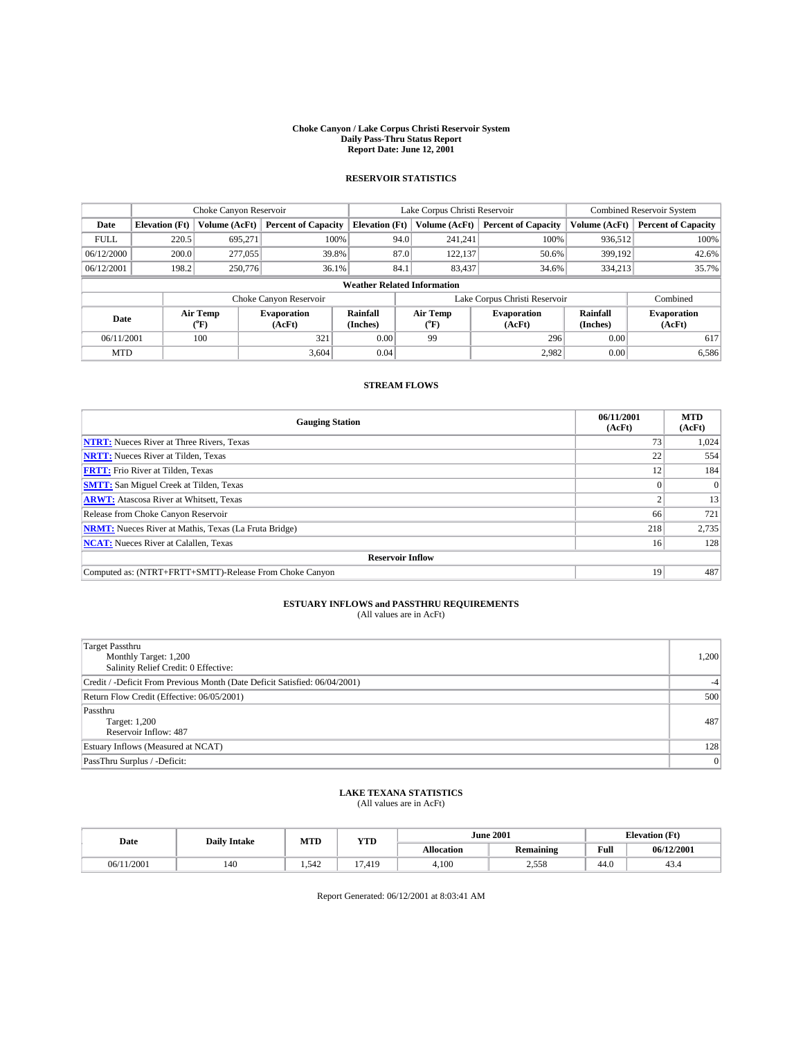#### **Choke Canyon / Lake Corpus Christi Reservoir System Daily Pass-Thru Status Report Report Date: June 12, 2001**

## **RESERVOIR STATISTICS**

|                                    | Choke Canyon Reservoir |                  |                              |                       | Lake Corpus Christi Reservoir    | Combined Reservoir System    |                      |                              |
|------------------------------------|------------------------|------------------|------------------------------|-----------------------|----------------------------------|------------------------------|----------------------|------------------------------|
| Date                               | <b>Elevation</b> (Ft)  | Volume (AcFt)    | <b>Percent of Capacity</b>   | <b>Elevation</b> (Ft) | Volume (AcFt)                    | <b>Percent of Capacity</b>   | Volume (AcFt)        | <b>Percent of Capacity</b>   |
| <b>FULL</b>                        | 220.5                  | 695.271          | 100%                         | 94.0                  | 241,241                          | 100%                         | 936,512              | 100%                         |
| 06/12/2000                         | 200.0                  | 277,055          | 39.8%                        | 87.0                  | 122.137                          | 50.6%                        | 399,192              | 42.6%                        |
| 06/12/2001                         | 198.2                  | 250,776          | 36.1%                        | 84.1                  | 83,437                           | 34.6%                        | 334,213              | 35.7%                        |
| <b>Weather Related Information</b> |                        |                  |                              |                       |                                  |                              |                      |                              |
|                                    |                        |                  | Choke Canyon Reservoir       |                       | Lake Corpus Christi Reservoir    |                              |                      | Combined                     |
| Date                               |                        | Air Temp<br>("F) | <b>Evaporation</b><br>(AcFt) | Rainfall<br>(Inches)  | Air Temp<br>$(^{\circ}\text{F})$ | <b>Evaporation</b><br>(AcFt) | Rainfall<br>(Inches) | <b>Evaporation</b><br>(AcFt) |
| 06/11/2001                         |                        | 100              | 321                          | 0.00                  | 99                               | 296                          | 0.00                 | 617                          |
| <b>MTD</b>                         |                        |                  | 3,604                        | 0.04                  |                                  | 2,982                        | 0.00                 | 6,586                        |

### **STREAM FLOWS**

| <b>Gauging Station</b>                                       | 06/11/2001<br>(AcFt) | <b>MTD</b><br>(AcFt) |  |  |  |  |  |
|--------------------------------------------------------------|----------------------|----------------------|--|--|--|--|--|
| <b>NTRT:</b> Nueces River at Three Rivers, Texas             | 73                   | 1,024                |  |  |  |  |  |
| <b>NRTT:</b> Nueces River at Tilden, Texas                   | 22                   | 554                  |  |  |  |  |  |
| <b>FRTT:</b> Frio River at Tilden, Texas                     | 12                   | 184                  |  |  |  |  |  |
| <b>SMTT:</b> San Miguel Creek at Tilden, Texas               |                      | $\Omega$             |  |  |  |  |  |
| <b>ARWT:</b> Atascosa River at Whitsett, Texas               |                      | 13                   |  |  |  |  |  |
| Release from Choke Canyon Reservoir                          | 66                   | 721                  |  |  |  |  |  |
| <b>NRMT:</b> Nueces River at Mathis, Texas (La Fruta Bridge) | 218                  | 2,735                |  |  |  |  |  |
| <b>NCAT:</b> Nueces River at Calallen, Texas                 | 16                   | 128                  |  |  |  |  |  |
| <b>Reservoir Inflow</b>                                      |                      |                      |  |  |  |  |  |
| Computed as: (NTRT+FRTT+SMTT)-Release From Choke Canyon      | 19                   | 487                  |  |  |  |  |  |

## **ESTUARY INFLOWS and PASSTHRU REQUIREMENTS**<br>(All values are in AcFt)

| <b>Target Passthru</b><br>Monthly Target: 1,200<br>Salinity Relief Credit: 0 Effective: | 1,200 |
|-----------------------------------------------------------------------------------------|-------|
| Credit / -Deficit From Previous Month (Date Deficit Satisfied: 06/04/2001)              |       |
| Return Flow Credit (Effective: 06/05/2001)                                              | 500   |
| Passthru<br><b>Target: 1,200</b><br>Reservoir Inflow: 487                               | 487   |
| Estuary Inflows (Measured at NCAT)                                                      | 128   |
| PassThru Surplus / -Deficit:                                                            | 0     |

## **LAKE TEXANA STATISTICS** (All values are in AcFt)

| Date       | <b>Daily Intake</b> | MTD  | <b>YTD</b>   | <b>June 2001</b>  |                  | <b>Elevation</b> (Ft) |            |
|------------|---------------------|------|--------------|-------------------|------------------|-----------------------|------------|
|            |                     |      |              | <b>Allocation</b> | <b>Remaining</b> | Full                  | 06/12/2001 |
| 06/11/2001 | 140                 | .542 | /.419<br>$-$ | 4,100             | 2,558            | 44.0                  | 43.4       |

Report Generated: 06/12/2001 at 8:03:41 AM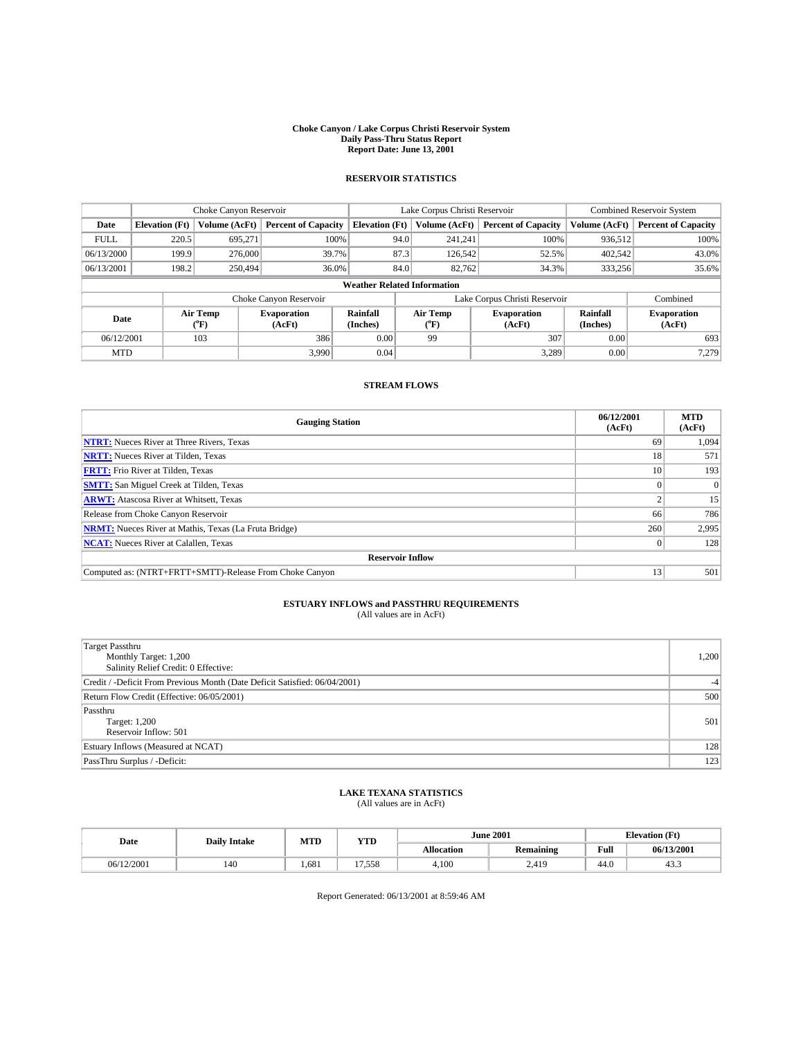#### **Choke Canyon / Lake Corpus Christi Reservoir System Daily Pass-Thru Status Report Report Date: June 13, 2001**

## **RESERVOIR STATISTICS**

|                                    | Choke Canyon Reservoir |                      |                              |                       | Lake Corpus Christi Reservoir |                  |                              |                      | <b>Combined Reservoir System</b> |  |
|------------------------------------|------------------------|----------------------|------------------------------|-----------------------|-------------------------------|------------------|------------------------------|----------------------|----------------------------------|--|
| Date                               | <b>Elevation</b> (Ft)  | <b>Volume (AcFt)</b> | <b>Percent of Capacity</b>   | <b>Elevation (Ft)</b> |                               | Volume (AcFt)    | <b>Percent of Capacity</b>   | Volume (AcFt)        | <b>Percent of Capacity</b>       |  |
| <b>FULL</b>                        | 220.5                  | 695.271              | 100%                         |                       | 94.0                          | 241.241          | 100%                         | 936,512              | 100%                             |  |
| 06/13/2000                         | 199.9                  | 276,000              | 39.7%                        |                       | 87.3                          | 126,542          | 52.5%                        | 402.542              | 43.0%                            |  |
| 06/13/2001                         | 198.2                  | 250,494              | 36.0%                        |                       | 84.0                          | 82,762           | 34.3%                        | 333,256              | 35.6%                            |  |
| <b>Weather Related Information</b> |                        |                      |                              |                       |                               |                  |                              |                      |                                  |  |
|                                    |                        |                      | Choke Canyon Reservoir       |                       | Lake Corpus Christi Reservoir |                  |                              |                      | Combined                         |  |
| Date                               |                        | Air Temp<br>(°F)     | <b>Evaporation</b><br>(AcFt) | Rainfall<br>(Inches)  |                               | Air Temp<br>("F) | <b>Evaporation</b><br>(AcFt) | Rainfall<br>(Inches) | <b>Evaporation</b><br>(AcFt)     |  |
| 06/12/2001                         |                        | 103                  | 386                          | 0.00                  |                               | 99               | 307                          | 0.00                 | 693                              |  |
| <b>MTD</b>                         |                        |                      | 3,990                        | 0.04                  |                               |                  | 3,289                        | 0.00                 | 7,279                            |  |

### **STREAM FLOWS**

| <b>Gauging Station</b>                                       | 06/12/2001<br>(AcFt) | <b>MTD</b><br>(AcFt) |  |  |  |  |  |  |
|--------------------------------------------------------------|----------------------|----------------------|--|--|--|--|--|--|
| <b>NTRT:</b> Nueces River at Three Rivers, Texas             | 69                   | 1,094                |  |  |  |  |  |  |
| <b>NRTT:</b> Nueces River at Tilden, Texas                   | 18                   | 571                  |  |  |  |  |  |  |
| <b>FRTT:</b> Frio River at Tilden, Texas                     | 10                   | 193                  |  |  |  |  |  |  |
| <b>SMTT:</b> San Miguel Creek at Tilden, Texas               |                      | $\Omega$             |  |  |  |  |  |  |
| <b>ARWT:</b> Atascosa River at Whitsett, Texas               |                      | 15                   |  |  |  |  |  |  |
| Release from Choke Canyon Reservoir                          | 66                   | 786                  |  |  |  |  |  |  |
| <b>NRMT:</b> Nueces River at Mathis, Texas (La Fruta Bridge) | 260                  | 2,995                |  |  |  |  |  |  |
| <b>NCAT:</b> Nueces River at Calallen, Texas                 |                      | 128                  |  |  |  |  |  |  |
| <b>Reservoir Inflow</b>                                      |                      |                      |  |  |  |  |  |  |
| Computed as: (NTRT+FRTT+SMTT)-Release From Choke Canyon      | 13                   | 501                  |  |  |  |  |  |  |

## **ESTUARY INFLOWS and PASSTHRU REQUIREMENTS**<br>(All values are in AcFt)

| <b>Target Passthru</b><br>Monthly Target: 1,200<br>Salinity Relief Credit: 0 Effective: | 1,200 |
|-----------------------------------------------------------------------------------------|-------|
| Credit / -Deficit From Previous Month (Date Deficit Satisfied: 06/04/2001)              | $-4$  |
| Return Flow Credit (Effective: 06/05/2001)                                              | 500   |
| Passthru<br><b>Target: 1,200</b><br>Reservoir Inflow: 501                               | 501   |
| Estuary Inflows (Measured at NCAT)                                                      | 128   |
| PassThru Surplus / -Deficit:                                                            | 123   |

## **LAKE TEXANA STATISTICS** (All values are in AcFt)

| Date       | <b>Daily Intake</b> | MTD   | <b>YTD</b> |                   | <b>June 2001</b> | <b>Elevation</b> (Ft) |            |  |
|------------|---------------------|-------|------------|-------------------|------------------|-----------------------|------------|--|
|            |                     |       |            | <b>Allocation</b> | <b>Remaining</b> | Full                  | 06/13/2001 |  |
| 06/12/2001 | 140                 | 1.681 | 17,558     | 4,100             | 2,419            | 44.0                  | ت          |  |

Report Generated: 06/13/2001 at 8:59:46 AM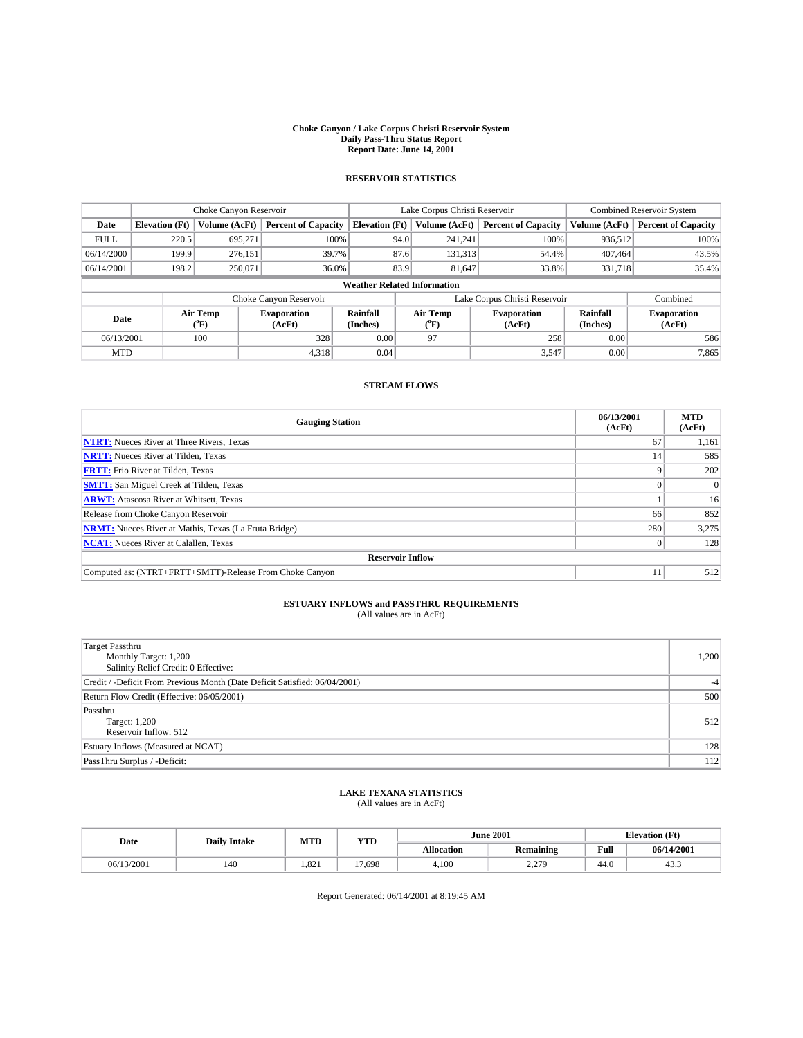#### **Choke Canyon / Lake Corpus Christi Reservoir System Daily Pass-Thru Status Report Report Date: June 14, 2001**

## **RESERVOIR STATISTICS**

|                                    | Choke Canyon Reservoir |                  |                              |                       | Lake Corpus Christi Reservoir | <b>Combined Reservoir System</b> |                      |                              |
|------------------------------------|------------------------|------------------|------------------------------|-----------------------|-------------------------------|----------------------------------|----------------------|------------------------------|
| Date                               | <b>Elevation</b> (Ft)  | Volume (AcFt)    | <b>Percent of Capacity</b>   | <b>Elevation</b> (Ft) | Volume (AcFt)                 | <b>Percent of Capacity</b>       | Volume (AcFt)        | <b>Percent of Capacity</b>   |
| <b>FULL</b>                        | 220.5                  | 695,271          | 100%                         | 94.0                  | 241,241                       | 100%                             | 936,512              | 100%                         |
| 06/14/2000                         | 199.9                  | 276,151          | 39.7%                        | 87.6                  | 131,313                       | 54.4%                            | 407.464              | 43.5%                        |
| 06/14/2001                         | 198.2                  | 250,071          | 36.0%                        | 83.9                  | 81,647                        | 33.8%                            | 331,718              | 35.4%                        |
| <b>Weather Related Information</b> |                        |                  |                              |                       |                               |                                  |                      |                              |
|                                    |                        |                  | Choke Canyon Reservoir       |                       | Lake Corpus Christi Reservoir |                                  |                      | Combined                     |
| Date                               |                        | Air Temp<br>(°F) | <b>Evaporation</b><br>(AcFt) | Rainfall<br>(Inches)  | Air Temp<br>("F)              | <b>Evaporation</b><br>(AcFt)     | Rainfall<br>(Inches) | <b>Evaporation</b><br>(AcFt) |
| 06/13/2001                         |                        | 100              | 328                          | 0.00                  | 97                            | 258                              | 0.00                 | 586                          |
| <b>MTD</b>                         |                        |                  | 4,318                        | 0.04                  |                               | 3,547                            | 0.00                 | 7,865                        |

### **STREAM FLOWS**

| <b>Gauging Station</b>                                       | 06/13/2001<br>(AcFt) | <b>MTD</b><br>(AcFt) |
|--------------------------------------------------------------|----------------------|----------------------|
| <b>NTRT:</b> Nueces River at Three Rivers, Texas             | 67                   | 1,161                |
| <b>NRTT:</b> Nueces River at Tilden, Texas                   | 14                   | 585                  |
| <b>FRTT:</b> Frio River at Tilden, Texas                     |                      | 202                  |
| <b>SMTT:</b> San Miguel Creek at Tilden, Texas               |                      | 0                    |
| <b>ARWT:</b> Atascosa River at Whitsett, Texas               |                      | 16                   |
| Release from Choke Canyon Reservoir                          | 66                   | 852                  |
| <b>NRMT:</b> Nueces River at Mathis, Texas (La Fruta Bridge) | 280                  | 3,275                |
| <b>NCAT:</b> Nueces River at Calallen, Texas                 |                      | 128                  |
| <b>Reservoir Inflow</b>                                      |                      |                      |
| Computed as: (NTRT+FRTT+SMTT)-Release From Choke Canyon      |                      | 512                  |

## **ESTUARY INFLOWS and PASSTHRU REQUIREMENTS**<br>(All values are in AcFt)

| <b>Target Passthru</b><br>Monthly Target: 1,200<br>Salinity Relief Credit: 0 Effective: | 1,200 |
|-----------------------------------------------------------------------------------------|-------|
| Credit / -Deficit From Previous Month (Date Deficit Satisfied: 06/04/2001)              |       |
| Return Flow Credit (Effective: 06/05/2001)                                              | 500   |
| Passthru<br><b>Target: 1,200</b><br>Reservoir Inflow: 512                               | 512   |
| Estuary Inflows (Measured at NCAT)                                                      | 128   |
| PassThru Surplus / -Deficit:                                                            | 112   |

## **LAKE TEXANA STATISTICS** (All values are in AcFt)

| Date       | <b>Daily Intake</b> | MTD   | <b>YTD</b>              |            | <b>June 2001</b>    | <b>Elevation (Ft)</b> |            |  |
|------------|---------------------|-------|-------------------------|------------|---------------------|-----------------------|------------|--|
|            |                     |       |                         | Allocation | <b>Remaining</b>    | Full                  | 06/14/2001 |  |
| 06/13/2001 | 140                 | 1.821 | 7,698<br>$\overline{ }$ | 4,100      | 2.270<br><u>___</u> | 44.0                  | 45.5       |  |

Report Generated: 06/14/2001 at 8:19:45 AM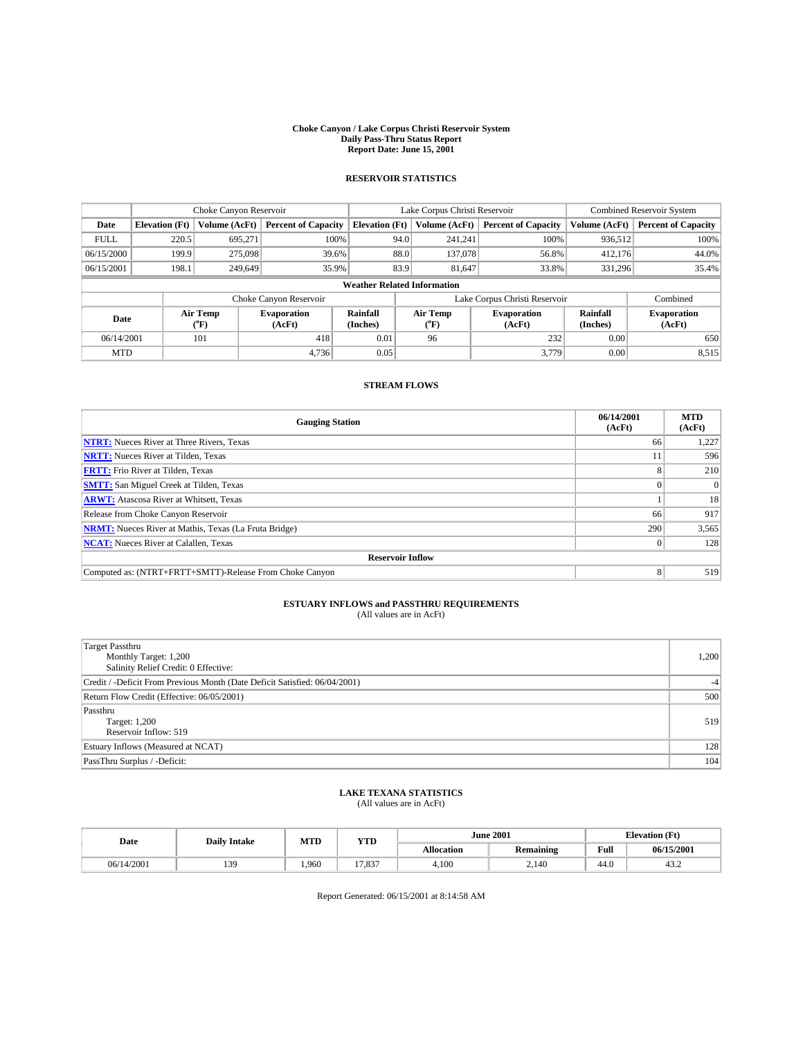#### **Choke Canyon / Lake Corpus Christi Reservoir System Daily Pass-Thru Status Report Report Date: June 15, 2001**

## **RESERVOIR STATISTICS**

|                                    | Choke Canyon Reservoir |                      | Lake Corpus Christi Reservoir |                       |                               |         | <b>Combined Reservoir System</b> |                      |                              |
|------------------------------------|------------------------|----------------------|-------------------------------|-----------------------|-------------------------------|---------|----------------------------------|----------------------|------------------------------|
| Date                               | <b>Elevation</b> (Ft)  | <b>Volume (AcFt)</b> | <b>Percent of Capacity</b>    | <b>Elevation (Ft)</b> | Volume (AcFt)                 |         | <b>Percent of Capacity</b>       | Volume (AcFt)        | <b>Percent of Capacity</b>   |
| <b>FULL</b>                        | 220.5                  | 695,271              | 100%                          | 94.0                  |                               | 241,241 | 100%                             | 936,512              | 100%                         |
| 06/15/2000                         | 199.9                  | 275,098              | 39.6%                         | 88.0                  |                               | 137,078 | 56.8%                            | 412,176              | 44.0%                        |
| 06/15/2001                         | 198.1                  | 249,649              | 35.9%                         | 83.9                  |                               | 81,647  | 33.8%                            | 331,296              | 35.4%                        |
| <b>Weather Related Information</b> |                        |                      |                               |                       |                               |         |                                  |                      |                              |
|                                    |                        |                      | Choke Canyon Reservoir        |                       | Lake Corpus Christi Reservoir |         |                                  |                      | Combined                     |
| Date                               |                        | Air Temp<br>(°F)     | <b>Evaporation</b><br>(AcFt)  | Rainfall<br>(Inches)  | Air Temp<br>("F)              |         | <b>Evaporation</b><br>(AcFt)     | Rainfall<br>(Inches) | <b>Evaporation</b><br>(AcFt) |
| 06/14/2001                         |                        | 101                  | 418                           | 0.01                  | 96                            |         | 232                              | 0.00                 | 650                          |
| <b>MTD</b>                         |                        |                      | 4,736                         | 0.05                  |                               |         | 3,779                            | 0.00                 | 8,515                        |

### **STREAM FLOWS**

| <b>Gauging Station</b>                                       | 06/14/2001<br>(AcFt) | <b>MTD</b><br>(AcFt) |  |  |  |  |  |  |
|--------------------------------------------------------------|----------------------|----------------------|--|--|--|--|--|--|
| <b>NTRT:</b> Nueces River at Three Rivers, Texas             | 66                   | 1,227                |  |  |  |  |  |  |
| <b>NRTT:</b> Nueces River at Tilden, Texas                   |                      | 596                  |  |  |  |  |  |  |
| <b>FRTT:</b> Frio River at Tilden, Texas                     |                      | 210                  |  |  |  |  |  |  |
| <b>SMTT:</b> San Miguel Creek at Tilden, Texas               |                      | 0                    |  |  |  |  |  |  |
| <b>ARWT:</b> Atascosa River at Whitsett, Texas               |                      | 18                   |  |  |  |  |  |  |
| Release from Choke Canyon Reservoir                          | 66                   | 917                  |  |  |  |  |  |  |
| <b>NRMT:</b> Nueces River at Mathis, Texas (La Fruta Bridge) | 290                  | 3,565                |  |  |  |  |  |  |
| <b>NCAT:</b> Nueces River at Calallen, Texas                 |                      | 128                  |  |  |  |  |  |  |
| <b>Reservoir Inflow</b>                                      |                      |                      |  |  |  |  |  |  |
| Computed as: (NTRT+FRTT+SMTT)-Release From Choke Canyon      | 8                    | 519                  |  |  |  |  |  |  |

## **ESTUARY INFLOWS and PASSTHRU REQUIREMENTS**<br>(All values are in AcFt)

| <b>Target Passthru</b><br>Monthly Target: 1,200<br>Salinity Relief Credit: 0 Effective: | 1,200 |
|-----------------------------------------------------------------------------------------|-------|
| Credit / -Deficit From Previous Month (Date Deficit Satisfied: 06/04/2001)              |       |
| Return Flow Credit (Effective: 06/05/2001)                                              | 500   |
| Passthru<br><b>Target: 1,200</b><br>Reservoir Inflow: 519                               | 519   |
| Estuary Inflows (Measured at NCAT)                                                      | 128   |
| PassThru Surplus / -Deficit:                                                            | 104   |

## **LAKE TEXANA STATISTICS** (All values are in AcFt)

| Date       | <b>Daily Intake</b> | MTD  | YTD    |                   | <b>June 2001</b> | <b>Elevation</b> (Ft) |            |
|------------|---------------------|------|--------|-------------------|------------------|-----------------------|------------|
|            |                     |      |        | <b>Allocation</b> | Remaining        | Full                  | 06/15/2001 |
| 06/14/2001 | 130<br>193          | .960 | 17.837 | 4,100             | 2,140            | 44.0                  | 43.Z       |

Report Generated: 06/15/2001 at 8:14:58 AM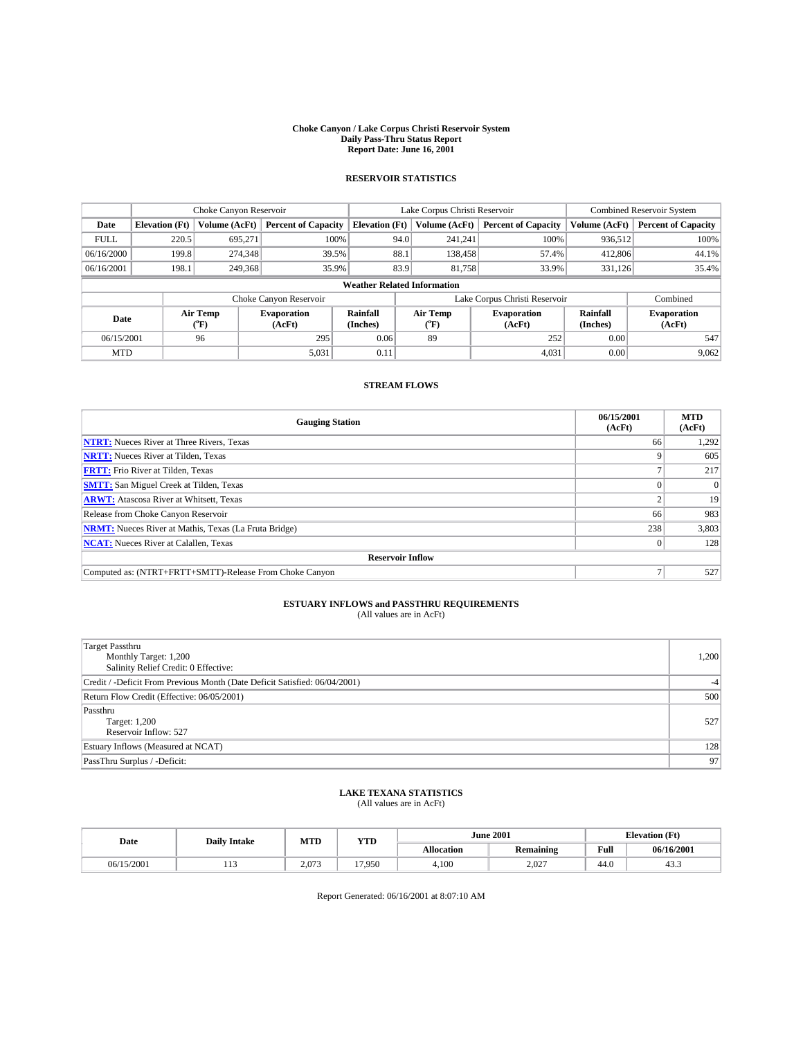#### **Choke Canyon / Lake Corpus Christi Reservoir System Daily Pass-Thru Status Report Report Date: June 16, 2001**

## **RESERVOIR STATISTICS**

|                                    | Choke Canyon Reservoir |                  | Lake Corpus Christi Reservoir |                       |                               |                  | <b>Combined Reservoir System</b> |                      |                              |
|------------------------------------|------------------------|------------------|-------------------------------|-----------------------|-------------------------------|------------------|----------------------------------|----------------------|------------------------------|
| Date                               | <b>Elevation</b> (Ft)  | Volume (AcFt)    | <b>Percent of Capacity</b>    | <b>Elevation</b> (Ft) |                               | Volume (AcFt)    | <b>Percent of Capacity</b>       | Volume (AcFt)        | <b>Percent of Capacity</b>   |
| <b>FULL</b>                        | 220.5                  | 695,271          | 100%                          |                       | 94.0                          | 241.241          | 100%                             | 936,512              | 100%                         |
| 06/16/2000                         | 199.8                  | 274,348          | 39.5%                         |                       | 88.1                          | 138,458          | 57.4%                            | 412,806              | 44.1%                        |
| 06/16/2001                         | 198.1                  | 249,368          | 35.9%                         |                       | 83.9                          | 81,758           | 33.9%                            | 331,126              | 35.4%                        |
| <b>Weather Related Information</b> |                        |                  |                               |                       |                               |                  |                                  |                      |                              |
|                                    |                        |                  | Choke Canyon Reservoir        |                       | Lake Corpus Christi Reservoir |                  |                                  |                      | Combined                     |
| Date                               |                        | Air Temp<br>(°F) | <b>Evaporation</b><br>(AcFt)  | Rainfall<br>(Inches)  |                               | Air Temp<br>("F) | <b>Evaporation</b><br>(AcFt)     | Rainfall<br>(Inches) | <b>Evaporation</b><br>(AcFt) |
| 06/15/2001                         |                        | 96               | 295                           | 0.06                  |                               | 89               | 252                              | 0.00                 | 547                          |
| <b>MTD</b>                         |                        |                  | 5,031                         | 0.11                  |                               |                  | 4,031                            | 0.00                 | 9,062                        |

### **STREAM FLOWS**

| <b>Gauging Station</b>                                       | 06/15/2001<br>(AcFt) | <b>MTD</b><br>(AcFt) |
|--------------------------------------------------------------|----------------------|----------------------|
| <b>NTRT:</b> Nueces River at Three Rivers, Texas             | 66                   | 1,292                |
| <b>NRTT:</b> Nueces River at Tilden, Texas                   |                      | 605                  |
| <b>FRTT:</b> Frio River at Tilden, Texas                     |                      | 217                  |
| <b>SMTT:</b> San Miguel Creek at Tilden, Texas               |                      | $\Omega$             |
| <b>ARWT:</b> Atascosa River at Whitsett, Texas               |                      | 19                   |
| Release from Choke Canyon Reservoir                          | 66                   | 983                  |
| <b>NRMT:</b> Nueces River at Mathis, Texas (La Fruta Bridge) | 238                  | 3,803                |
| <b>NCAT:</b> Nueces River at Calallen, Texas                 |                      | 128                  |
| <b>Reservoir Inflow</b>                                      |                      |                      |
| Computed as: (NTRT+FRTT+SMTT)-Release From Choke Canyon      |                      | 527                  |

## **ESTUARY INFLOWS and PASSTHRU REQUIREMENTS**<br>(All values are in AcFt)

| <b>Target Passthru</b><br>Monthly Target: 1,200<br>Salinity Relief Credit: 0 Effective: | 1,200 |
|-----------------------------------------------------------------------------------------|-------|
| Credit / -Deficit From Previous Month (Date Deficit Satisfied: 06/04/2001)              |       |
| Return Flow Credit (Effective: 06/05/2001)                                              | 500   |
| Passthru<br><b>Target: 1,200</b><br>Reservoir Inflow: 527                               | 527   |
| Estuary Inflows (Measured at NCAT)                                                      | 128   |
| PassThru Surplus / -Deficit:                                                            | 97    |

## **LAKE TEXANA STATISTICS** (All values are in AcFt)

| Date       | <b>Daily Intake</b> |       |        | MTD<br>YTD        |           | <b>June 2001</b> | <b>Elevation</b> (Ft) |  |
|------------|---------------------|-------|--------|-------------------|-----------|------------------|-----------------------|--|
|            |                     |       |        | <b>Allocation</b> | Remaining | Full             | 06/16/2001            |  |
| 06/15/2001 | .<br>1 L J          | 2,073 | 17.950 | 4,100             | 2,027     | 44.0             | 43.5                  |  |

Report Generated: 06/16/2001 at 8:07:10 AM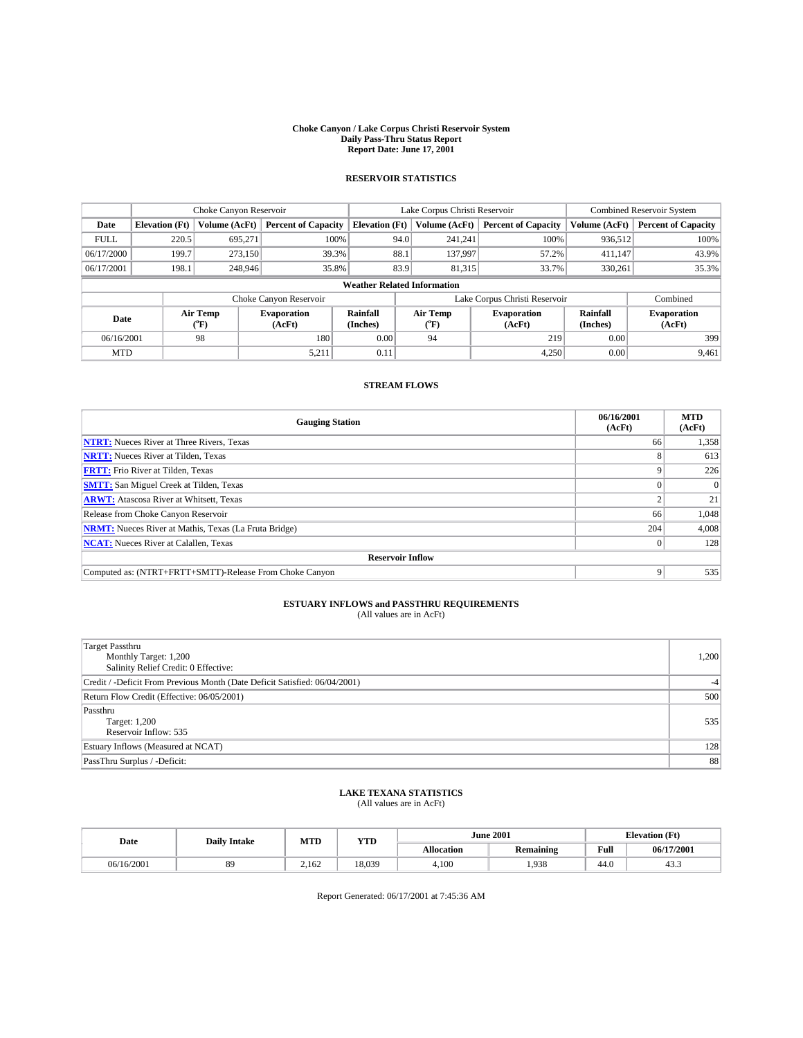#### **Choke Canyon / Lake Corpus Christi Reservoir System Daily Pass-Thru Status Report Report Date: June 17, 2001**

## **RESERVOIR STATISTICS**

|             | Choke Canyon Reservoir             |                          | Lake Corpus Christi Reservoir |                       |                               |                  | <b>Combined Reservoir System</b> |                      |                              |
|-------------|------------------------------------|--------------------------|-------------------------------|-----------------------|-------------------------------|------------------|----------------------------------|----------------------|------------------------------|
| Date        | <b>Elevation</b> (Ft)              | Volume (AcFt)            | <b>Percent of Capacity</b>    | <b>Elevation</b> (Ft) |                               | Volume (AcFt)    | <b>Percent of Capacity</b>       | Volume (AcFt)        | <b>Percent of Capacity</b>   |
| <b>FULL</b> | 220.5                              | 695,271                  | 100%                          |                       | 94.0                          | 241,241          | 100%                             | 936,512              | 100%                         |
| 06/17/2000  | 199.7                              | 273,150                  | 39.3%                         |                       | 88.1                          | 137.997          | 57.2%                            | 411.147              | 43.9%                        |
| 06/17/2001  | 198.1                              | 248,946                  | 35.8%                         |                       | 83.9                          | 81,315           | 33.7%                            | 330,261              | 35.3%                        |
|             | <b>Weather Related Information</b> |                          |                               |                       |                               |                  |                                  |                      |                              |
|             |                                    |                          | Choke Canyon Reservoir        |                       | Lake Corpus Christi Reservoir |                  |                                  |                      | Combined                     |
| Date        |                                    | Air Temp<br>$\rm ^{o}F)$ | <b>Evaporation</b><br>(AcFt)  | Rainfall<br>(Inches)  |                               | Air Temp<br>("F) | <b>Evaporation</b><br>(AcFt)     | Rainfall<br>(Inches) | <b>Evaporation</b><br>(AcFt) |
| 06/16/2001  |                                    | 98                       | 180                           | 0.00                  |                               | 94               | 219                              | 0.00                 | 399                          |
| <b>MTD</b>  |                                    |                          | 5,211                         | 0.11                  |                               |                  | 4,250                            | 0.00                 | 9,461                        |

### **STREAM FLOWS**

| <b>Gauging Station</b>                                       | 06/16/2001<br>(AcFt) | <b>MTD</b><br>(AcFt) |
|--------------------------------------------------------------|----------------------|----------------------|
| <b>NTRT:</b> Nueces River at Three Rivers, Texas             | 66                   | 1,358                |
| <b>NRTT:</b> Nueces River at Tilden, Texas                   |                      | 613                  |
| <b>FRTT:</b> Frio River at Tilden, Texas                     |                      | 226                  |
| <b>SMTT:</b> San Miguel Creek at Tilden, Texas               |                      | $\Omega$             |
| <b>ARWT:</b> Atascosa River at Whitsett, Texas               |                      | 21                   |
| Release from Choke Canyon Reservoir                          | 66                   | 1,048                |
| <b>NRMT:</b> Nueces River at Mathis, Texas (La Fruta Bridge) | 204                  | 4,008                |
| <b>NCAT:</b> Nueces River at Calallen, Texas                 |                      | 128                  |
| <b>Reservoir Inflow</b>                                      |                      |                      |
| Computed as: (NTRT+FRTT+SMTT)-Release From Choke Canyon      |                      | 535                  |

## **ESTUARY INFLOWS and PASSTHRU REQUIREMENTS**<br>(All values are in AcFt)

| <b>Target Passthru</b><br>Monthly Target: 1,200<br>Salinity Relief Credit: 0 Effective: | 1,200 |
|-----------------------------------------------------------------------------------------|-------|
| Credit / -Deficit From Previous Month (Date Deficit Satisfied: 06/04/2001)              |       |
| Return Flow Credit (Effective: 06/05/2001)                                              | 500   |
| Passthru<br><b>Target: 1,200</b><br>Reservoir Inflow: 535                               | 535   |
| Estuary Inflows (Measured at NCAT)                                                      | 128   |
| PassThru Surplus / -Deficit:                                                            | 88    |

## **LAKE TEXANA STATISTICS** (All values are in AcFt)

| Date       | <b>Daily Intake</b> | MTD   | YTD    |                   | <b>June 2001</b> |      | <b>Elevation</b> (Ft) |
|------------|---------------------|-------|--------|-------------------|------------------|------|-----------------------|
|            |                     |       |        | <b>Allocation</b> | <b>Remaining</b> | Full | 06/17/2001            |
| 06/16/2001 | 89                  | 2.162 | 18.039 | 4,100             | .938             | 44.0 | 45.3                  |

Report Generated: 06/17/2001 at 7:45:36 AM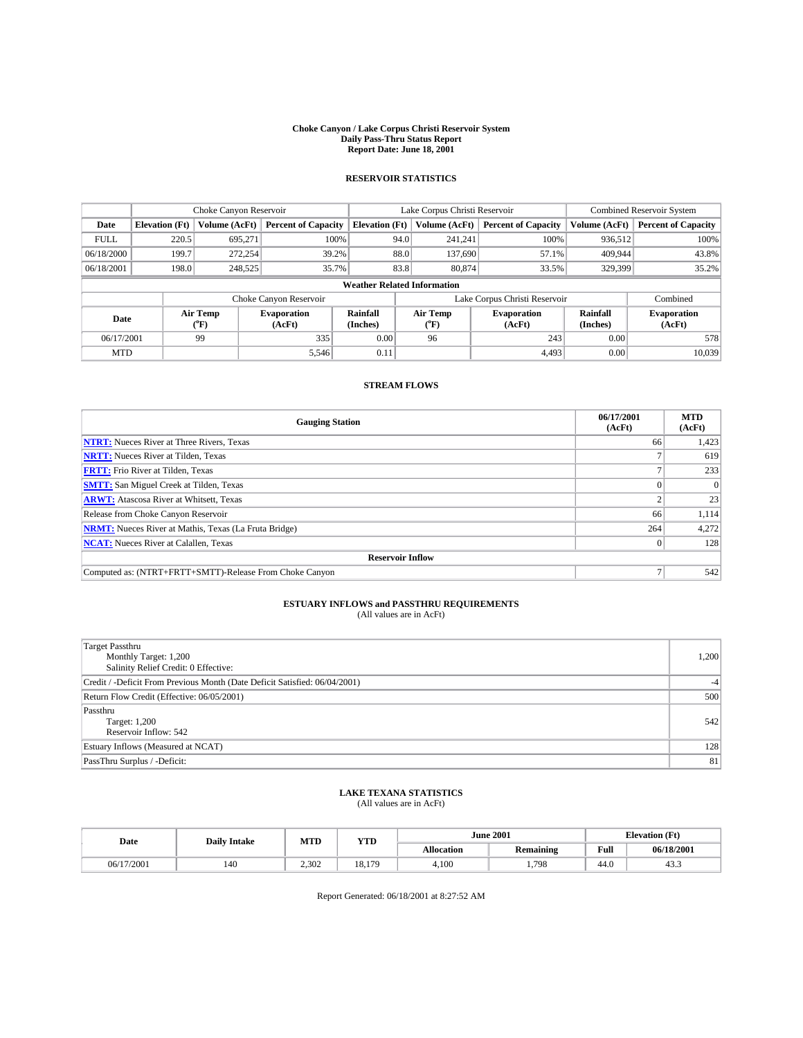#### **Choke Canyon / Lake Corpus Christi Reservoir System Daily Pass-Thru Status Report Report Date: June 18, 2001**

## **RESERVOIR STATISTICS**

|                                    | Choke Canyon Reservoir |                      | Lake Corpus Christi Reservoir |                       |                               |                  | <b>Combined Reservoir System</b> |                      |                              |
|------------------------------------|------------------------|----------------------|-------------------------------|-----------------------|-------------------------------|------------------|----------------------------------|----------------------|------------------------------|
| Date                               | <b>Elevation</b> (Ft)  | <b>Volume (AcFt)</b> | <b>Percent of Capacity</b>    | <b>Elevation (Ft)</b> |                               | Volume (AcFt)    | <b>Percent of Capacity</b>       | Volume (AcFt)        | <b>Percent of Capacity</b>   |
| <b>FULL</b>                        | 220.5                  | 695,271              | 100%                          |                       | 94.0                          | 241,241          | 100%                             | 936,512              | 100%                         |
| 06/18/2000                         | 199.7                  | 272,254              | 39.2%                         |                       | 88.0                          | 137,690          | 57.1%                            | 409.944              | 43.8%                        |
| 06/18/2001                         | 198.0                  | 248,525              | 35.7%                         |                       | 83.8                          | 80,874           | 33.5%                            | 329,399              | 35.2%                        |
| <b>Weather Related Information</b> |                        |                      |                               |                       |                               |                  |                                  |                      |                              |
|                                    |                        |                      | Choke Canyon Reservoir        |                       | Lake Corpus Christi Reservoir |                  |                                  |                      | Combined                     |
| Date                               |                        | Air Temp<br>(°F)     | <b>Evaporation</b><br>(AcFt)  | Rainfall<br>(Inches)  |                               | Air Temp<br>("F) | <b>Evaporation</b><br>(AcFt)     | Rainfall<br>(Inches) | <b>Evaporation</b><br>(AcFt) |
| 06/17/2001                         |                        | 99                   | 335                           | 0.00                  |                               | 96               | 243                              | 0.00                 | 578                          |
| <b>MTD</b>                         |                        |                      | 5,546                         | 0.11                  |                               |                  | 4,493                            | 0.00                 | 10,039                       |

### **STREAM FLOWS**

| <b>Gauging Station</b>                                       | 06/17/2001<br>(AcFt) | <b>MTD</b><br>(AcFt) |
|--------------------------------------------------------------|----------------------|----------------------|
| <b>NTRT:</b> Nueces River at Three Rivers, Texas             | 66                   | 1,423                |
| <b>NRTT:</b> Nueces River at Tilden, Texas                   |                      | 619                  |
| <b>FRTT:</b> Frio River at Tilden, Texas                     |                      | 233                  |
| <b>SMTT:</b> San Miguel Creek at Tilden, Texas               |                      | $\Omega$             |
| <b>ARWT:</b> Atascosa River at Whitsett, Texas               |                      | 23                   |
| Release from Choke Canyon Reservoir                          | 66                   | 1,114                |
| <b>NRMT:</b> Nueces River at Mathis, Texas (La Fruta Bridge) | 264                  | 4,272                |
| <b>NCAT:</b> Nueces River at Calallen, Texas                 |                      | 128                  |
| <b>Reservoir Inflow</b>                                      |                      |                      |
| Computed as: (NTRT+FRTT+SMTT)-Release From Choke Canyon      |                      | 542                  |

## **ESTUARY INFLOWS and PASSTHRU REQUIREMENTS**<br>(All values are in AcFt)

| <b>Target Passthru</b><br>Monthly Target: 1,200<br>Salinity Relief Credit: 0 Effective: | 1,200 |
|-----------------------------------------------------------------------------------------|-------|
| Credit / -Deficit From Previous Month (Date Deficit Satisfied: 06/04/2001)              |       |
| Return Flow Credit (Effective: 06/05/2001)                                              | 500   |
| Passthru<br><b>Target: 1,200</b><br>Reservoir Inflow: 542                               | 542   |
| Estuary Inflows (Measured at NCAT)                                                      | 128   |
| PassThru Surplus / -Deficit:                                                            | 81    |

## **LAKE TEXANA STATISTICS** (All values are in AcFt)

| Date       | <b>Daily Intake</b> | MTD   | YTD    |                   |           | <b>June 2001</b> |            | <b>Elevation</b> (Ft) |
|------------|---------------------|-------|--------|-------------------|-----------|------------------|------------|-----------------------|
|            |                     |       |        | <b>Allocation</b> | Remaining | Full             | 06/18/2001 |                       |
| 06/17/2001 | 140                 | 2,302 | 18.179 | 4,100             | 1,798     | 44.0             | 43.5       |                       |

Report Generated: 06/18/2001 at 8:27:52 AM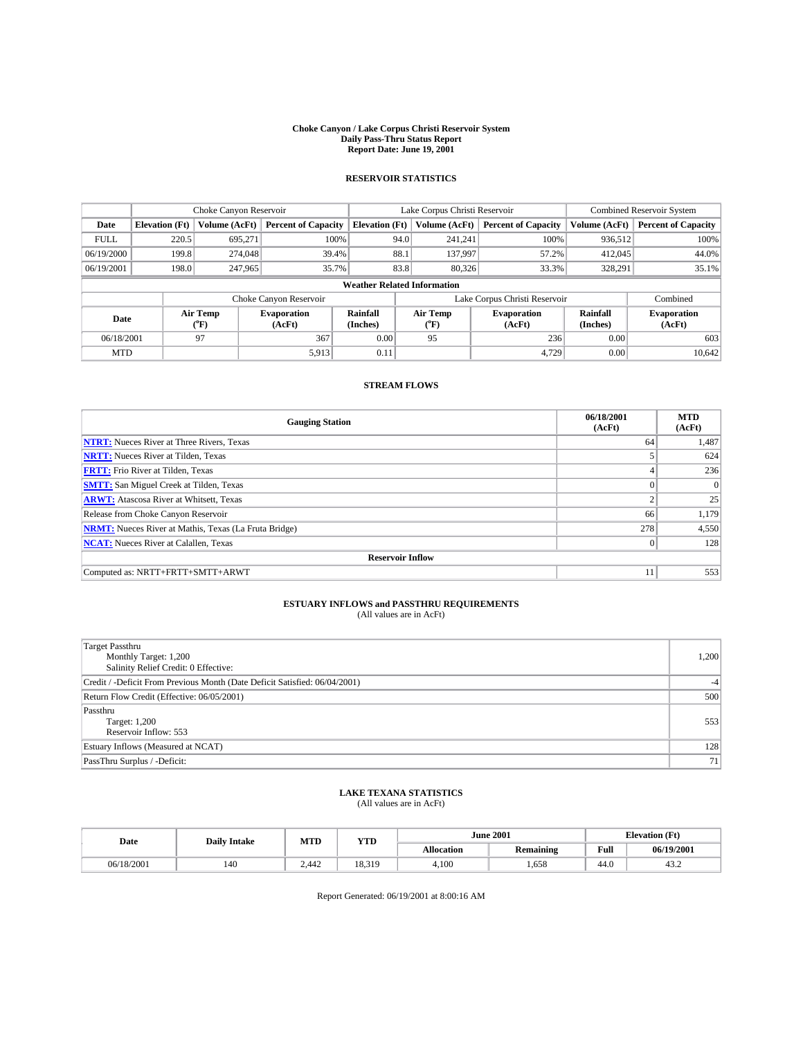#### **Choke Canyon / Lake Corpus Christi Reservoir System Daily Pass-Thru Status Report Report Date: June 19, 2001**

## **RESERVOIR STATISTICS**

|                                    | Choke Canyon Reservoir |                      |                              |                       | Lake Corpus Christi Reservoir |                  |                              |                      | <b>Combined Reservoir System</b> |  |  |
|------------------------------------|------------------------|----------------------|------------------------------|-----------------------|-------------------------------|------------------|------------------------------|----------------------|----------------------------------|--|--|
| Date                               | <b>Elevation</b> (Ft)  | <b>Volume (AcFt)</b> | <b>Percent of Capacity</b>   | <b>Elevation (Ft)</b> |                               | Volume (AcFt)    | <b>Percent of Capacity</b>   | Volume (AcFt)        | <b>Percent of Capacity</b>       |  |  |
| <b>FULL</b>                        | 220.5                  | 695,271              | 100%                         |                       | 94.0                          | 241,241          | 100%                         | 936,512              | 100%                             |  |  |
| 06/19/2000                         | 199.8                  | 274,048              | 39.4%                        |                       | 88.1                          | 137.997          | 57.2%                        | 412,045              | 44.0%                            |  |  |
| 06/19/2001                         | 198.0                  | 247,965              | 35.7%                        |                       | 83.8                          | 80,326           | 33.3%                        | 328,291              | 35.1%                            |  |  |
| <b>Weather Related Information</b> |                        |                      |                              |                       |                               |                  |                              |                      |                                  |  |  |
|                                    |                        |                      | Choke Canyon Reservoir       |                       | Lake Corpus Christi Reservoir |                  |                              |                      | Combined                         |  |  |
| Date                               |                        | Air Temp<br>(°F)     | <b>Evaporation</b><br>(AcFt) | Rainfall<br>(Inches)  |                               | Air Temp<br>("F) | <b>Evaporation</b><br>(AcFt) | Rainfall<br>(Inches) | <b>Evaporation</b><br>(AcFt)     |  |  |
| 06/18/2001                         |                        | 97                   | 367                          | 0.00                  |                               | 95               | 236                          | 0.00                 | 603                              |  |  |
| <b>MTD</b>                         |                        |                      | 5,913                        | 0.11                  |                               |                  | 4,729                        | 0.00                 | 10,642                           |  |  |

### **STREAM FLOWS**

| <b>Gauging Station</b>                                       | 06/18/2001<br>(AcFt) | <b>MTD</b><br>(AcFt) |  |  |  |  |  |
|--------------------------------------------------------------|----------------------|----------------------|--|--|--|--|--|
| <b>NTRT:</b> Nueces River at Three Rivers, Texas             | 64                   | 1,487                |  |  |  |  |  |
| <b>NRTT:</b> Nueces River at Tilden, Texas                   |                      | 624                  |  |  |  |  |  |
| <b>FRTT:</b> Frio River at Tilden, Texas                     |                      | 236                  |  |  |  |  |  |
| <b>SMTT:</b> San Miguel Creek at Tilden, Texas               |                      | $\Omega$             |  |  |  |  |  |
| <b>ARWT:</b> Atascosa River at Whitsett, Texas               |                      | 25                   |  |  |  |  |  |
| Release from Choke Canyon Reservoir                          | 66                   | 1,179                |  |  |  |  |  |
| <b>NRMT:</b> Nueces River at Mathis, Texas (La Fruta Bridge) | 278                  | 4,550                |  |  |  |  |  |
| <b>NCAT:</b> Nueces River at Calallen, Texas                 | $\mathbf{0}$         | 128                  |  |  |  |  |  |
| <b>Reservoir Inflow</b>                                      |                      |                      |  |  |  |  |  |
| Computed as: NRTT+FRTT+SMTT+ARWT                             | 11                   | 553                  |  |  |  |  |  |

## **ESTUARY INFLOWS and PASSTHRU REQUIREMENTS**<br>(All values are in AcFt)

| <b>Target Passthru</b><br>Monthly Target: 1,200<br>Salinity Relief Credit: 0 Effective: | 1,200 |
|-----------------------------------------------------------------------------------------|-------|
| Credit / -Deficit From Previous Month (Date Deficit Satisfied: 06/04/2001)              |       |
| Return Flow Credit (Effective: 06/05/2001)                                              | 500   |
| Passthru<br><b>Target: 1,200</b><br>Reservoir Inflow: 553                               | 553   |
| Estuary Inflows (Measured at NCAT)                                                      | 128   |
| PassThru Surplus / -Deficit:                                                            | 71    |

## **LAKE TEXANA STATISTICS** (All values are in AcFt)

| Date       | <b>Daily Intake</b> | MTD   | YTD    |                   | <b>June 2001</b> | <b>Elevation</b> (Ft) |            |
|------------|---------------------|-------|--------|-------------------|------------------|-----------------------|------------|
|            |                     |       |        | <b>Allocation</b> | Remaining        | Full                  | 06/19/2001 |
| 06/18/2001 | 140                 | 2.442 | 18.319 | 4.100             | .658             | 44.0                  | 43.2       |

Report Generated: 06/19/2001 at 8:00:16 AM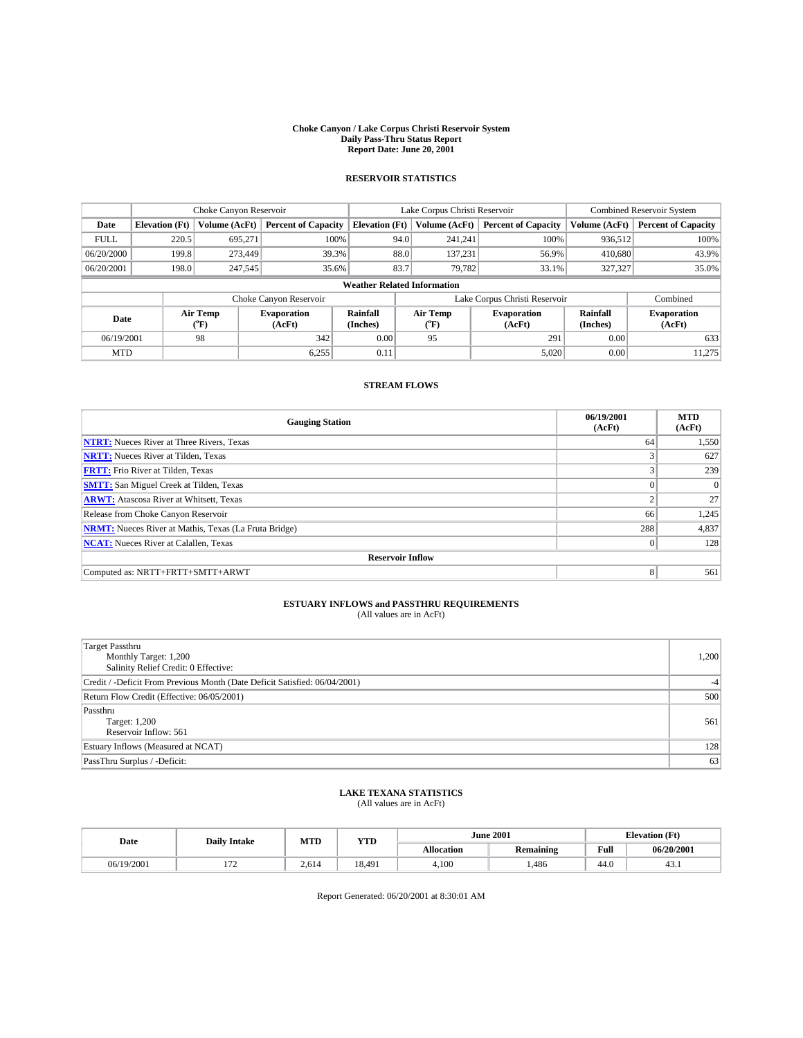#### **Choke Canyon / Lake Corpus Christi Reservoir System Daily Pass-Thru Status Report Report Date: June 20, 2001**

## **RESERVOIR STATISTICS**

|                                    | Choke Canyon Reservoir |                      |                              |                       | Lake Corpus Christi Reservoir |         |                              |                             | Combined Reservoir System    |  |  |
|------------------------------------|------------------------|----------------------|------------------------------|-----------------------|-------------------------------|---------|------------------------------|-----------------------------|------------------------------|--|--|
| Date                               | <b>Elevation</b> (Ft)  | <b>Volume (AcFt)</b> | <b>Percent of Capacity</b>   | <b>Elevation</b> (Ft) | Volume (AcFt)                 |         | <b>Percent of Capacity</b>   | Volume (AcFt)               | <b>Percent of Capacity</b>   |  |  |
| <b>FULL</b>                        | 220.5                  | 695.271              | 100%                         | 94.0                  |                               | 241.241 | 100%                         | 936,512                     | 100%                         |  |  |
| 06/20/2000                         | 199.8                  | 273,449              | 39.3%                        | 88.0                  |                               | 137.231 | 56.9%                        | 410,680                     | 43.9%                        |  |  |
| 06/20/2001                         | 198.0                  | 247,545              | 35.6%                        | 83.7                  |                               | 79,782  | 33.1%                        | 327,327                     | 35.0%                        |  |  |
| <b>Weather Related Information</b> |                        |                      |                              |                       |                               |         |                              |                             |                              |  |  |
|                                    |                        |                      | Choke Canyon Reservoir       |                       | Lake Corpus Christi Reservoir |         |                              |                             | Combined                     |  |  |
| Date                               |                        | Air Temp<br>("F)     | <b>Evaporation</b><br>(AcFt) | Rainfall<br>(Inches)  | Air Temp<br>("F)              |         | <b>Evaporation</b><br>(AcFt) | <b>Rainfall</b><br>(Inches) | <b>Evaporation</b><br>(AcFt) |  |  |
| 06/19/2001                         |                        | 98                   | 342                          | 0.00                  | 95                            |         | 291                          | 0.00                        | 633                          |  |  |
| <b>MTD</b>                         |                        |                      | 6,255                        | 0.11                  |                               |         | 5,020                        | 0.00                        | 11.275                       |  |  |

### **STREAM FLOWS**

| <b>Gauging Station</b>                                       | 06/19/2001<br>(AcFt) | <b>MTD</b><br>(AcFt) |  |  |  |  |  |
|--------------------------------------------------------------|----------------------|----------------------|--|--|--|--|--|
| <b>NTRT:</b> Nueces River at Three Rivers, Texas             | 64                   | 1,550                |  |  |  |  |  |
| <b>NRTT:</b> Nueces River at Tilden, Texas                   |                      | 627                  |  |  |  |  |  |
| <b>FRTT:</b> Frio River at Tilden, Texas                     |                      | 239                  |  |  |  |  |  |
| <b>SMTT:</b> San Miguel Creek at Tilden, Texas               |                      | $\Omega$             |  |  |  |  |  |
| <b>ARWT:</b> Atascosa River at Whitsett, Texas               | ◠                    | 27                   |  |  |  |  |  |
| Release from Choke Canyon Reservoir                          | 66                   | 1,245                |  |  |  |  |  |
| <b>NRMT:</b> Nueces River at Mathis, Texas (La Fruta Bridge) | 288                  | 4,837                |  |  |  |  |  |
| <b>NCAT:</b> Nueces River at Calallen, Texas                 | $\Omega$             | 128                  |  |  |  |  |  |
| <b>Reservoir Inflow</b>                                      |                      |                      |  |  |  |  |  |
| Computed as: NRTT+FRTT+SMTT+ARWT                             | 8                    | 561                  |  |  |  |  |  |

## **ESTUARY INFLOWS and PASSTHRU REQUIREMENTS**<br>(All values are in AcFt)

| <b>Target Passthru</b><br>Monthly Target: 1,200<br>Salinity Relief Credit: 0 Effective: | 1,200 |
|-----------------------------------------------------------------------------------------|-------|
| Credit / -Deficit From Previous Month (Date Deficit Satisfied: 06/04/2001)              | $-4$  |
| Return Flow Credit (Effective: 06/05/2001)                                              | 500   |
| Passthru<br><b>Target: 1,200</b><br>Reservoir Inflow: 561                               | 561   |
| Estuary Inflows (Measured at NCAT)                                                      | 128   |
| PassThru Surplus / -Deficit:                                                            | 63    |

## **LAKE TEXANA STATISTICS** (All values are in AcFt)

| Date       | <b>Daily Intake</b> | MTD   | YTD    |                   | <b>June 2001</b> | <b>Elevation</b> (Ft) |            |
|------------|---------------------|-------|--------|-------------------|------------------|-----------------------|------------|
|            |                     |       |        | <b>Allocation</b> | <b>Remaining</b> | Full                  | 06/20/2001 |
| 06/19/2001 | $-$                 | 2,614 | 18.491 | 4.100             | ,486             | 44.0                  | 43.1       |

Report Generated: 06/20/2001 at 8:30:01 AM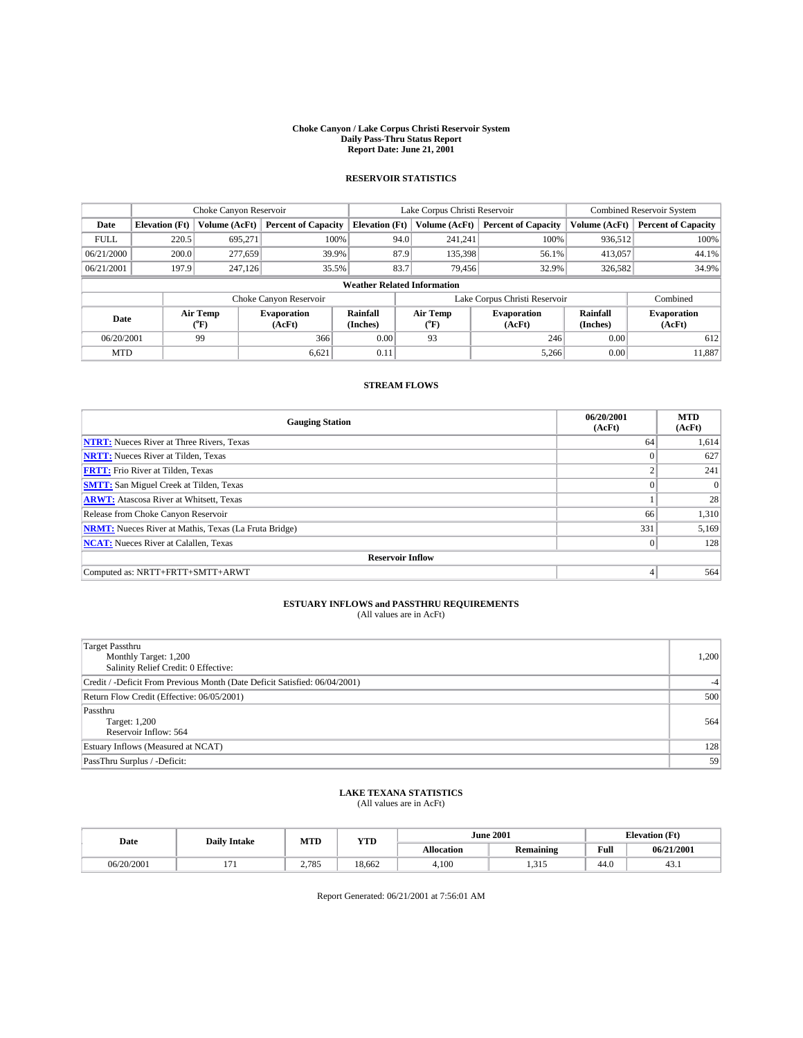#### **Choke Canyon / Lake Corpus Christi Reservoir System Daily Pass-Thru Status Report Report Date: June 21, 2001**

## **RESERVOIR STATISTICS**

|                                    | Choke Canyon Reservoir |                  | Lake Corpus Christi Reservoir |                       |                               |               | <b>Combined Reservoir System</b> |                      |                              |
|------------------------------------|------------------------|------------------|-------------------------------|-----------------------|-------------------------------|---------------|----------------------------------|----------------------|------------------------------|
| Date                               | <b>Elevation</b> (Ft)  | Volume (AcFt)    | <b>Percent of Capacity</b>    | <b>Elevation (Ft)</b> |                               | Volume (AcFt) | <b>Percent of Capacity</b>       | Volume (AcFt)        | <b>Percent of Capacity</b>   |
| <b>FULL</b>                        | 220.5                  | 695.271          | 100%                          | 94.0                  |                               | 241.241       | 100%                             | 936,512              | 100%                         |
| 06/21/2000                         | 200.0                  | 277,659          | 39.9%                         | 87.9                  |                               | 135,398       | 56.1%                            | 413,057              | 44.1%                        |
| 06/21/2001                         | 197.9                  | 247,126          | 35.5%                         | 83.7                  |                               | 79,456        | 32.9%                            | 326,582              | 34.9%                        |
| <b>Weather Related Information</b> |                        |                  |                               |                       |                               |               |                                  |                      |                              |
|                                    |                        |                  | Choke Canyon Reservoir        |                       | Lake Corpus Christi Reservoir |               |                                  |                      | Combined                     |
| Date                               |                        | Air Temp<br>(°F) | <b>Evaporation</b><br>(AcFt)  | Rainfall<br>(Inches)  | Air Temp<br>("F)              |               | <b>Evaporation</b><br>(AcFt)     | Rainfall<br>(Inches) | <b>Evaporation</b><br>(AcFt) |
| 06/20/2001                         |                        | 99               | 366                           | 0.00                  | 93                            |               | 246                              | 0.00                 | 612                          |
| <b>MTD</b>                         |                        |                  | 6,621                         | 0.11                  |                               |               | 5,266                            | 0.00                 | 11,887                       |

### **STREAM FLOWS**

| <b>Gauging Station</b>                                       | 06/20/2001<br>(AcFt) | <b>MTD</b><br>(AcFt) |  |  |  |  |
|--------------------------------------------------------------|----------------------|----------------------|--|--|--|--|
| <b>NTRT:</b> Nueces River at Three Rivers, Texas             | 64                   | 1,614                |  |  |  |  |
| <b>NRTT:</b> Nueces River at Tilden, Texas                   |                      | 627                  |  |  |  |  |
| <b>FRTT:</b> Frio River at Tilden, Texas                     |                      | 241                  |  |  |  |  |
| <b>SMTT:</b> San Miguel Creek at Tilden, Texas               |                      | $\Omega$             |  |  |  |  |
| <b>ARWT:</b> Atascosa River at Whitsett, Texas               |                      | 28                   |  |  |  |  |
| Release from Choke Canyon Reservoir                          | 66                   | 1,310                |  |  |  |  |
| <b>NRMT:</b> Nueces River at Mathis, Texas (La Fruta Bridge) | 331                  | 5,169                |  |  |  |  |
| <b>NCAT:</b> Nueces River at Calallen, Texas                 | $\Omega$             | 128                  |  |  |  |  |
| <b>Reservoir Inflow</b>                                      |                      |                      |  |  |  |  |
| Computed as: NRTT+FRTT+SMTT+ARWT                             | 4                    | 564                  |  |  |  |  |

## **ESTUARY INFLOWS and PASSTHRU REQUIREMENTS**<br>(All values are in AcFt)

| <b>Target Passthru</b><br>Monthly Target: 1,200<br>Salinity Relief Credit: 0 Effective: | 1,200 |
|-----------------------------------------------------------------------------------------|-------|
| Credit / -Deficit From Previous Month (Date Deficit Satisfied: 06/04/2001)              |       |
| Return Flow Credit (Effective: 06/05/2001)                                              | 500   |
| Passthru<br><b>Target: 1,200</b><br>Reservoir Inflow: 564                               | 564   |
| Estuary Inflows (Measured at NCAT)                                                      | 128   |
| PassThru Surplus / -Deficit:                                                            | 59    |

## **LAKE TEXANA STATISTICS** (All values are in AcFt)

| Date       | <b>Daily Intake</b>      | MTD   | YTD    |                   | <b>June 2001</b> |      | <b>Elevation</b> (Ft) |
|------------|--------------------------|-------|--------|-------------------|------------------|------|-----------------------|
|            |                          |       |        | <b>Allocation</b> | Remaining        | Full | 06/21/2001            |
| 06/20/2001 | $\overline{\phantom{a}}$ | 2,785 | 18.662 | 4,100             | 215<br>سلاسدا    | 44.0 | 43.1                  |

Report Generated: 06/21/2001 at 7:56:01 AM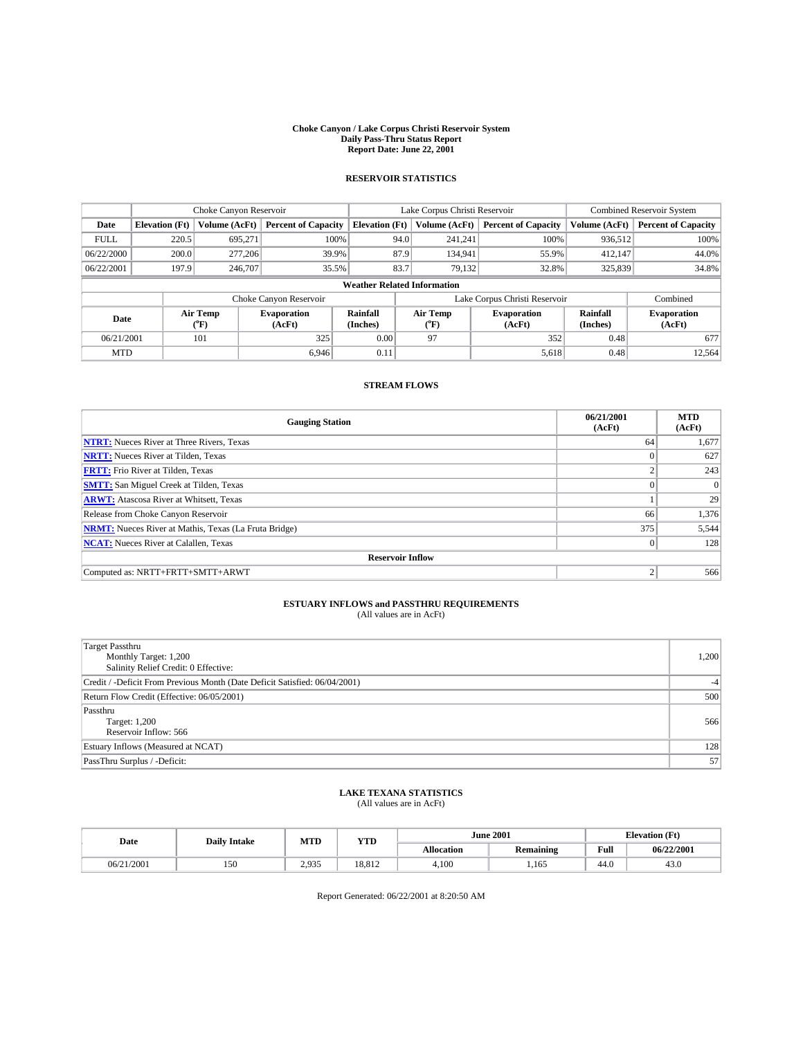#### **Choke Canyon / Lake Corpus Christi Reservoir System Daily Pass-Thru Status Report Report Date: June 22, 2001**

## **RESERVOIR STATISTICS**

|                                    | Choke Canyon Reservoir |                      | Lake Corpus Christi Reservoir |                       |                               |                           | Combined Reservoir System    |                             |                              |
|------------------------------------|------------------------|----------------------|-------------------------------|-----------------------|-------------------------------|---------------------------|------------------------------|-----------------------------|------------------------------|
| Date                               | <b>Elevation</b> (Ft)  | <b>Volume (AcFt)</b> | <b>Percent of Capacity</b>    | <b>Elevation</b> (Ft) |                               | Volume (AcFt)             | <b>Percent of Capacity</b>   | Volume (AcFt)               | <b>Percent of Capacity</b>   |
| <b>FULL</b>                        | 220.5                  | 695.271              | 100%                          |                       | 94.0                          | 241,241                   | 100%                         | 936,512                     | 100%                         |
| 06/22/2000                         | 200.0                  | 277,206              | 39.9%                         |                       | 87.9                          | 134.941                   | 55.9%                        | 412.147                     | 44.0%                        |
| 06/22/2001                         | 197.9                  | 246,707              | 35.5%                         |                       | 83.7                          | 79,132                    | 32.8%                        | 325,839                     | 34.8%                        |
| <b>Weather Related Information</b> |                        |                      |                               |                       |                               |                           |                              |                             |                              |
|                                    |                        |                      | Choke Canyon Reservoir        |                       | Lake Corpus Christi Reservoir |                           |                              |                             | Combined                     |
| Date                               |                        | Air Temp<br>("F)     | <b>Evaporation</b><br>(AcFt)  | Rainfall<br>(Inches)  |                               | Air Temp<br>$^{\circ}$ F) | <b>Evaporation</b><br>(AcFt) | <b>Rainfall</b><br>(Inches) | <b>Evaporation</b><br>(AcFt) |
| 06/21/2001                         |                        | 101                  | 325                           | 0.00                  |                               | 97                        | 352                          | 0.48                        | 677                          |
| <b>MTD</b>                         |                        |                      | 6.946                         | 0.11                  |                               |                           | 5,618                        | 0.48                        | 12.564                       |

### **STREAM FLOWS**

| <b>Gauging Station</b>                                       | 06/21/2001<br>(AcFt) | <b>MTD</b><br>(AcFt) |
|--------------------------------------------------------------|----------------------|----------------------|
| <b>NTRT:</b> Nueces River at Three Rivers, Texas             | 64                   | 1,677                |
| <b>NRTT:</b> Nueces River at Tilden, Texas                   |                      | 627                  |
| <b>FRTT:</b> Frio River at Tilden, Texas                     |                      | 243                  |
| <b>SMTT:</b> San Miguel Creek at Tilden, Texas               |                      | $\Omega$             |
| <b>ARWT:</b> Atascosa River at Whitsett, Texas               |                      | 29                   |
| Release from Choke Canyon Reservoir                          | 66                   | 1,376                |
| <b>NRMT:</b> Nueces River at Mathis, Texas (La Fruta Bridge) | 375                  | 5,544                |
| <b>NCAT:</b> Nueces River at Calallen, Texas                 | $\Omega$             | 128                  |
| <b>Reservoir Inflow</b>                                      |                      |                      |
| Computed as: NRTT+FRTT+SMTT+ARWT                             |                      | 566                  |

## **ESTUARY INFLOWS and PASSTHRU REQUIREMENTS**<br>(All values are in AcFt)

| <b>Target Passthru</b><br>Monthly Target: 1,200<br>Salinity Relief Credit: 0 Effective: | 1,200 |
|-----------------------------------------------------------------------------------------|-------|
| Credit / -Deficit From Previous Month (Date Deficit Satisfied: 06/04/2001)              | $-4$  |
| Return Flow Credit (Effective: 06/05/2001)                                              | 500   |
| Passthru<br><b>Target: 1,200</b><br>Reservoir Inflow: 566                               | 566   |
| Estuary Inflows (Measured at NCAT)                                                      | 128   |
| PassThru Surplus / -Deficit:                                                            | 57    |

## **LAKE TEXANA STATISTICS** (All values are in AcFt)

| Date       | <b>Daily Intake</b> | MTD   | <b>YTD</b> |                   | <b>June 2001</b> |      | <b>Elevation</b> (Ft) |
|------------|---------------------|-------|------------|-------------------|------------------|------|-----------------------|
|            |                     |       |            | <b>Allocation</b> | Remaining        | Full | 06/22/2001            |
| 06/21/2001 | 150                 | 2.935 | 18.812     | 4,100             | ,165             | 44.0 | 43.0                  |

Report Generated: 06/22/2001 at 8:20:50 AM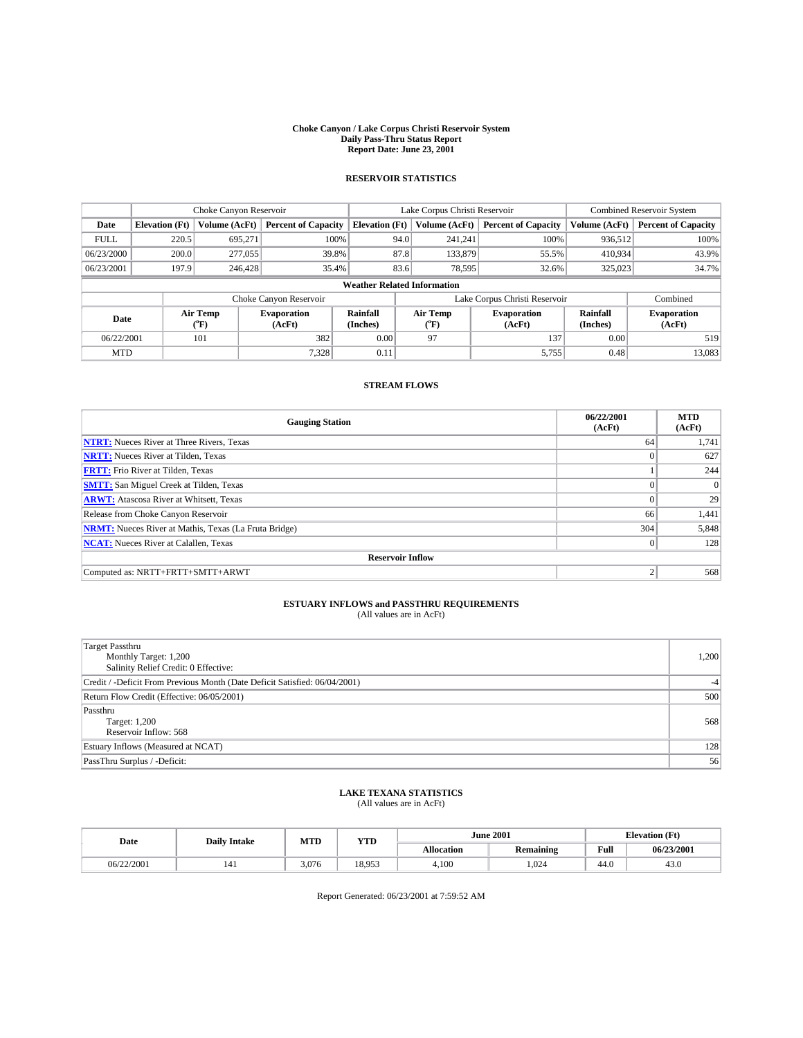#### **Choke Canyon / Lake Corpus Christi Reservoir System Daily Pass-Thru Status Report Report Date: June 23, 2001**

## **RESERVOIR STATISTICS**

|                                    | Choke Canyon Reservoir |                  | Lake Corpus Christi Reservoir |                       |                               |                  | <b>Combined Reservoir System</b> |                      |                              |
|------------------------------------|------------------------|------------------|-------------------------------|-----------------------|-------------------------------|------------------|----------------------------------|----------------------|------------------------------|
| Date                               | <b>Elevation</b> (Ft)  | Volume (AcFt)    | <b>Percent of Capacity</b>    | <b>Elevation (Ft)</b> |                               | Volume (AcFt)    | <b>Percent of Capacity</b>       | Volume (AcFt)        | <b>Percent of Capacity</b>   |
| <b>FULL</b>                        | 220.5                  | 695.271          | 100%                          |                       | 94.0                          | 241.241          | 100%                             | 936,512              | 100%                         |
| 06/23/2000                         | 200.0                  | 277,055          | 39.8%                         |                       | 87.8                          | 133,879          | 55.5%                            | 410.934              | 43.9%                        |
| 06/23/2001                         | 197.9                  | 246,428          | 35.4%                         |                       | 83.6                          | 78,595           | 32.6%                            | 325,023              | 34.7%                        |
| <b>Weather Related Information</b> |                        |                  |                               |                       |                               |                  |                                  |                      |                              |
|                                    |                        |                  | Choke Canyon Reservoir        |                       | Lake Corpus Christi Reservoir |                  |                                  |                      | Combined                     |
| Date                               |                        | Air Temp<br>(°F) | <b>Evaporation</b><br>(AcFt)  | Rainfall<br>(Inches)  |                               | Air Temp<br>("F) | <b>Evaporation</b><br>(AcFt)     | Rainfall<br>(Inches) | <b>Evaporation</b><br>(AcFt) |
| 06/22/2001                         |                        | 101              | 382                           | 0.00                  |                               | 97               | 137                              | 0.00                 | 519                          |
| <b>MTD</b>                         |                        |                  | 7,328                         | 0.11                  |                               |                  | 5,755                            | 0.48                 | 13,083                       |

### **STREAM FLOWS**

| <b>Gauging Station</b>                                       | 06/22/2001<br>(AcFt) | <b>MTD</b><br>(AcFt) |  |  |  |  |
|--------------------------------------------------------------|----------------------|----------------------|--|--|--|--|
| <b>NTRT:</b> Nueces River at Three Rivers, Texas             | 64                   | 1,741                |  |  |  |  |
| <b>NRTT:</b> Nueces River at Tilden, Texas                   |                      | 627                  |  |  |  |  |
| <b>FRTT:</b> Frio River at Tilden, Texas                     |                      | 244                  |  |  |  |  |
| <b>SMTT:</b> San Miguel Creek at Tilden, Texas               |                      | $\Omega$             |  |  |  |  |
| <b>ARWT:</b> Atascosa River at Whitsett, Texas               |                      | 29                   |  |  |  |  |
| Release from Choke Canyon Reservoir                          | 66                   | 1,441                |  |  |  |  |
| <b>NRMT:</b> Nueces River at Mathis, Texas (La Fruta Bridge) | 304                  | 5,848                |  |  |  |  |
| <b>NCAT:</b> Nueces River at Calallen, Texas                 | $\Omega$             | 128                  |  |  |  |  |
| <b>Reservoir Inflow</b>                                      |                      |                      |  |  |  |  |
| Computed as: NRTT+FRTT+SMTT+ARWT                             |                      | 568                  |  |  |  |  |

## **ESTUARY INFLOWS and PASSTHRU REQUIREMENTS**<br>(All values are in AcFt)

| <b>Target Passthru</b><br>Monthly Target: 1,200<br>Salinity Relief Credit: 0 Effective: | 1,200 |
|-----------------------------------------------------------------------------------------|-------|
| Credit / -Deficit From Previous Month (Date Deficit Satisfied: 06/04/2001)              | $-4$  |
| Return Flow Credit (Effective: 06/05/2001)                                              | 500   |
| Passthru<br><b>Target: 1,200</b><br>Reservoir Inflow: 568                               | 568   |
| Estuary Inflows (Measured at NCAT)                                                      | 128   |
| PassThru Surplus / -Deficit:                                                            | 56    |

## **LAKE TEXANA STATISTICS** (All values are in AcFt)

| Date       | <b>Daily Intake</b> | MTD   | YTD    |                   | <b>June 2001</b> |      | <b>Elevation</b> (Ft) |
|------------|---------------------|-------|--------|-------------------|------------------|------|-----------------------|
|            |                     |       |        | <b>Allocation</b> | Remaining        | Full | 06/23/2001            |
| 06/22/2001 | 141                 | 3,076 | 18.953 | 4,100             | .024             | 44.0 | 43.0                  |

Report Generated: 06/23/2001 at 7:59:52 AM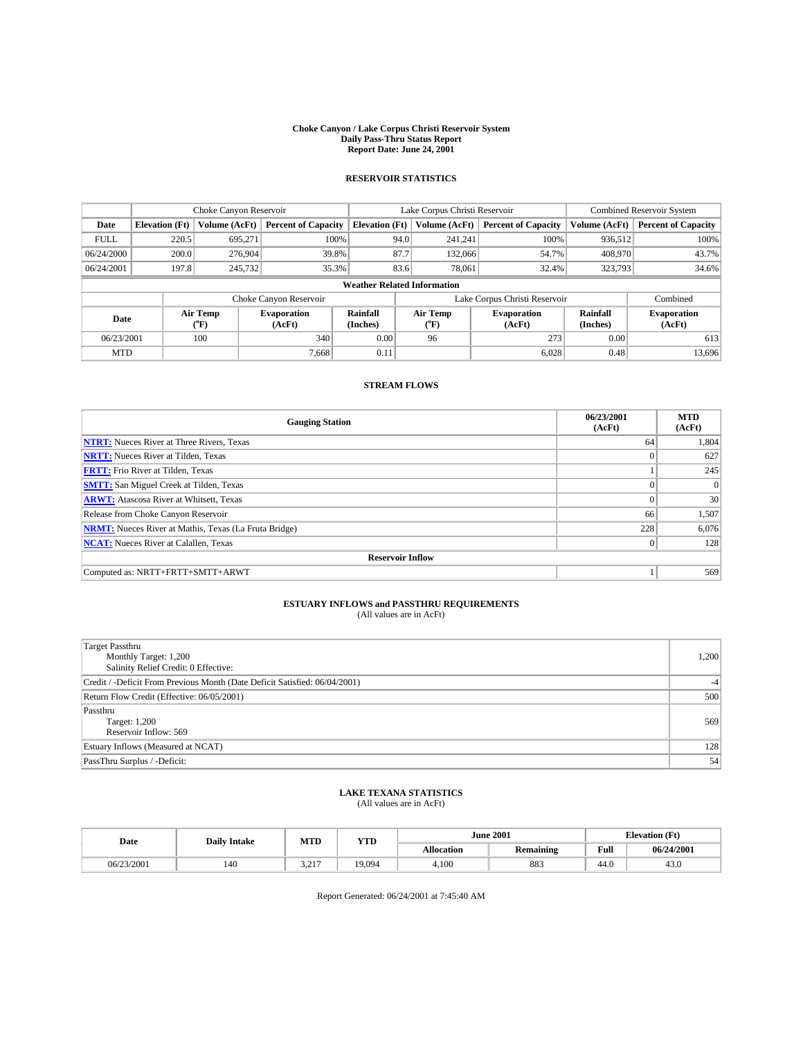#### **Choke Canyon / Lake Corpus Christi Reservoir System Daily Pass-Thru Status Report Report Date: June 24, 2001**

## **RESERVOIR STATISTICS**

|             | Choke Canyon Reservoir             |                      |                              |                       | Lake Corpus Christi Reservoir |                  |                              |                      | <b>Combined Reservoir System</b> |  |
|-------------|------------------------------------|----------------------|------------------------------|-----------------------|-------------------------------|------------------|------------------------------|----------------------|----------------------------------|--|
| Date        | <b>Elevation</b> (Ft)              | <b>Volume (AcFt)</b> | <b>Percent of Capacity</b>   | <b>Elevation (Ft)</b> |                               | Volume (AcFt)    | <b>Percent of Capacity</b>   | Volume (AcFt)        | <b>Percent of Capacity</b>       |  |
| <b>FULL</b> | 220.5                              | 695.271              | 100%                         |                       | 94.0                          | 241.241          | 100%                         | 936,512              | 100%                             |  |
| 06/24/2000  | 200.0                              | 276,904              | 39.8%                        |                       | 87.7                          | 132,066          | 54.7%                        | 408,970              | 43.7%                            |  |
| 06/24/2001  | 197.8                              | 245,732              | 35.3%                        |                       | 83.6                          | 78,061           | 32.4%                        | 323,793              | 34.6%                            |  |
|             | <b>Weather Related Information</b> |                      |                              |                       |                               |                  |                              |                      |                                  |  |
|             |                                    |                      | Choke Canyon Reservoir       |                       | Lake Corpus Christi Reservoir |                  |                              | Combined             |                                  |  |
| Date        |                                    | Air Temp<br>(°F)     | <b>Evaporation</b><br>(AcFt) | Rainfall<br>(Inches)  |                               | Air Temp<br>("F) | <b>Evaporation</b><br>(AcFt) | Rainfall<br>(Inches) | <b>Evaporation</b><br>(AcFt)     |  |
| 06/23/2001  |                                    | 100                  | 340                          | 0.00                  |                               | 96               | 273                          | 0.00                 | 613                              |  |
| <b>MTD</b>  |                                    |                      | 7,668                        | 0.11                  |                               |                  | 6,028                        | 0.48                 | 13,696                           |  |

### **STREAM FLOWS**

| <b>Gauging Station</b>                                       | 06/23/2001<br>(AcFt) | <b>MTD</b><br>(AcFt) |
|--------------------------------------------------------------|----------------------|----------------------|
| <b>NTRT:</b> Nueces River at Three Rivers, Texas             | 64                   | 1,804                |
| <b>NRTT:</b> Nueces River at Tilden, Texas                   |                      | 627                  |
| <b>FRTT:</b> Frio River at Tilden, Texas                     |                      | 245                  |
| <b>SMTT:</b> San Miguel Creek at Tilden, Texas               |                      | $\Omega$             |
| <b>ARWT:</b> Atascosa River at Whitsett, Texas               | $\theta$             | 30                   |
| Release from Choke Canyon Reservoir                          | 66                   | 1,507                |
| <b>NRMT:</b> Nueces River at Mathis, Texas (La Fruta Bridge) | 228                  | 6,076                |
| <b>NCAT:</b> Nueces River at Calallen, Texas                 | $\Omega$             | 128                  |
| <b>Reservoir Inflow</b>                                      |                      |                      |
| Computed as: NRTT+FRTT+SMTT+ARWT                             |                      | 569                  |

## **ESTUARY INFLOWS and PASSTHRU REQUIREMENTS**<br>(All values are in AcFt)

| <b>Target Passthru</b><br>Monthly Target: 1,200<br>Salinity Relief Credit: 0 Effective: | 1,200 |
|-----------------------------------------------------------------------------------------|-------|
| Credit / -Deficit From Previous Month (Date Deficit Satisfied: 06/04/2001)              | $-4$  |
| Return Flow Credit (Effective: 06/05/2001)                                              | 500   |
| Passthru<br><b>Target: 1,200</b><br>Reservoir Inflow: 569                               | 569   |
| Estuary Inflows (Measured at NCAT)                                                      | 128   |
| PassThru Surplus / -Deficit:                                                            | 54    |

## **LAKE TEXANA STATISTICS** (All values are in AcFt)

| Date       | MTD<br>YTD<br><b>Daily Intake</b> |                   |        | <b>June 2001</b>  | <b>Elevation</b> (Ft) |      |            |
|------------|-----------------------------------|-------------------|--------|-------------------|-----------------------|------|------------|
|            |                                   |                   |        | <b>Allocation</b> | <b>Remaining</b>      | Full | 06/24/2001 |
| 06/23/2001 | 140                               | 2.217<br><u>.</u> | 19,094 | 4.100             | 883                   | 44.0 | 43.0       |

Report Generated: 06/24/2001 at 7:45:40 AM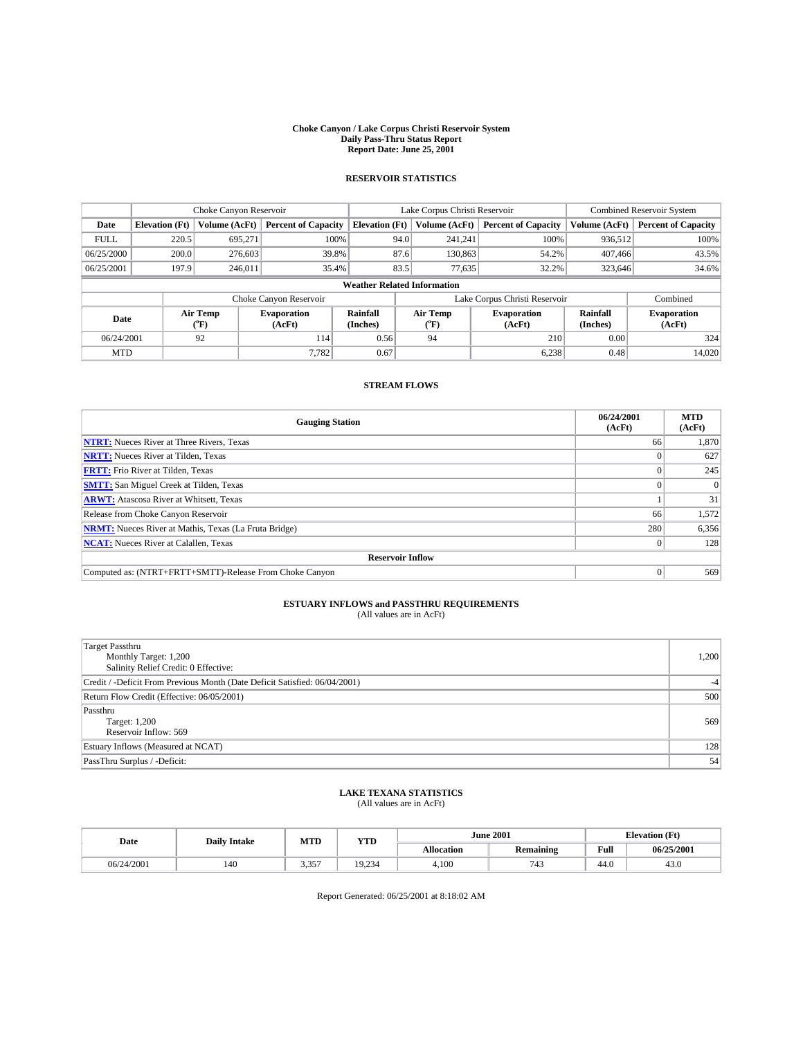#### **Choke Canyon / Lake Corpus Christi Reservoir System Daily Pass-Thru Status Report Report Date: June 25, 2001**

## **RESERVOIR STATISTICS**

|             | Choke Canyon Reservoir             |                      |                              |                       | Lake Corpus Christi Reservoir |         |                              |                             | Combined Reservoir System    |  |
|-------------|------------------------------------|----------------------|------------------------------|-----------------------|-------------------------------|---------|------------------------------|-----------------------------|------------------------------|--|
| Date        | <b>Elevation</b> (Ft)              | <b>Volume (AcFt)</b> | <b>Percent of Capacity</b>   | <b>Elevation</b> (Ft) | Volume (AcFt)                 |         | <b>Percent of Capacity</b>   | Volume (AcFt)               | <b>Percent of Capacity</b>   |  |
| <b>FULL</b> | 220.5                              | 695.271              | 100%                         | 94.0                  |                               | 241,241 | 100%                         | 936,512                     | 100%                         |  |
| 06/25/2000  | 200.0                              | 276,603              | 39.8%                        | 87.6                  |                               | 130,863 | 54.2%                        | 407.466                     | 43.5%                        |  |
| 06/25/2001  | 197.9                              | 246,011              | 35.4%                        | 83.5                  |                               | 77,635  | 32.2%                        | 323,646                     | 34.6%                        |  |
|             | <b>Weather Related Information</b> |                      |                              |                       |                               |         |                              |                             |                              |  |
|             |                                    |                      | Choke Canyon Reservoir       |                       | Lake Corpus Christi Reservoir |         |                              |                             | Combined                     |  |
| Date        |                                    | Air Temp<br>("F)     | <b>Evaporation</b><br>(AcFt) | Rainfall<br>(Inches)  | Air Temp<br>("F)              |         | <b>Evaporation</b><br>(AcFt) | <b>Rainfall</b><br>(Inches) | <b>Evaporation</b><br>(AcFt) |  |
| 06/24/2001  |                                    | 92                   | 114                          | 0.56                  | 94                            |         | 210                          | 0.00                        | 324                          |  |
| <b>MTD</b>  |                                    |                      | 7.782                        | 0.67                  |                               |         | 6,238                        | 0.48                        | 14,020                       |  |

### **STREAM FLOWS**

| <b>Gauging Station</b>                                       | 06/24/2001<br>(AcFt) | <b>MTD</b><br>(AcFt) |
|--------------------------------------------------------------|----------------------|----------------------|
| <b>NTRT:</b> Nueces River at Three Rivers, Texas             | 66                   | 1,870                |
| <b>NRTT:</b> Nueces River at Tilden, Texas                   |                      | 627                  |
| <b>FRTT:</b> Frio River at Tilden, Texas                     |                      | 245                  |
| <b>SMTT:</b> San Miguel Creek at Tilden, Texas               |                      | $\Omega$             |
| <b>ARWT:</b> Atascosa River at Whitsett, Texas               |                      | 31                   |
| Release from Choke Canyon Reservoir                          | 66                   | 1,572                |
| <b>NRMT:</b> Nueces River at Mathis, Texas (La Fruta Bridge) | 280                  | 6,356                |
| <b>NCAT:</b> Nueces River at Calallen, Texas                 |                      | 128                  |
| <b>Reservoir Inflow</b>                                      |                      |                      |
| Computed as: (NTRT+FRTT+SMTT)-Release From Choke Canyon      | 0                    | 569                  |

## **ESTUARY INFLOWS and PASSTHRU REQUIREMENTS**<br>(All values are in AcFt)

| <b>Target Passthru</b><br>Monthly Target: 1,200<br>Salinity Relief Credit: 0 Effective: | 1,200 |
|-----------------------------------------------------------------------------------------|-------|
| Credit / -Deficit From Previous Month (Date Deficit Satisfied: 06/04/2001)              | $-4$  |
| Return Flow Credit (Effective: 06/05/2001)                                              | 500   |
| Passthru<br><b>Target: 1,200</b><br>Reservoir Inflow: 569                               | 569   |
| Estuary Inflows (Measured at NCAT)                                                      | 128   |
| PassThru Surplus / -Deficit:                                                            | 54    |

## **LAKE TEXANA STATISTICS** (All values are in AcFt)

| Date       | <b>Daily Intake</b> | MTD   | YTD    |                   | <b>June 2001</b> | <b>Elevation</b> (Ft) |            |  |
|------------|---------------------|-------|--------|-------------------|------------------|-----------------------|------------|--|
|            |                     |       |        | <b>Allocation</b> | <b>Remaining</b> | Full                  | 06/25/2001 |  |
| 06/24/2001 | 140                 | 3,357 | 19.234 | 4,100             | 743              | 44.0                  | 43.U       |  |

Report Generated: 06/25/2001 at 8:18:02 AM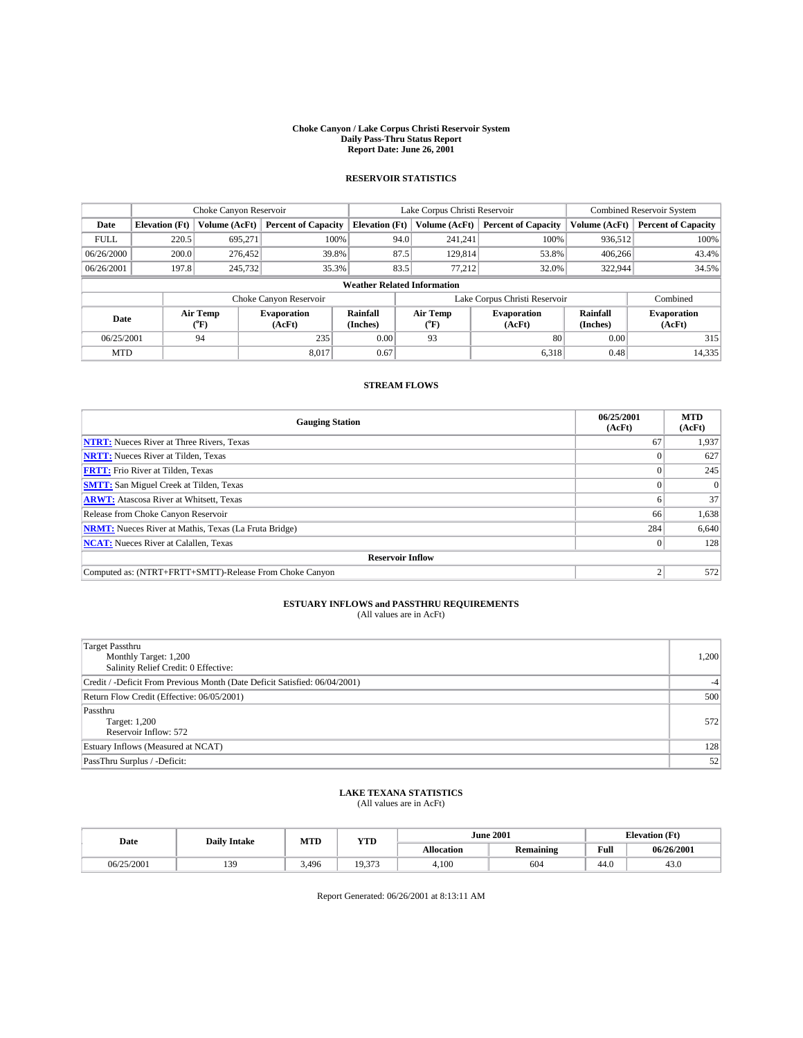#### **Choke Canyon / Lake Corpus Christi Reservoir System Daily Pass-Thru Status Report Report Date: June 26, 2001**

## **RESERVOIR STATISTICS**

|             | Choke Canyon Reservoir             |                           |                              |                       | Lake Corpus Christi Reservoir |                              |       |                             | Combined Reservoir System    |  |
|-------------|------------------------------------|---------------------------|------------------------------|-----------------------|-------------------------------|------------------------------|-------|-----------------------------|------------------------------|--|
| Date        | <b>Elevation</b> (Ft)              | <b>Volume (AcFt)</b>      | <b>Percent of Capacity</b>   | <b>Elevation (Ft)</b> | Volume (AcFt)                 | <b>Percent of Capacity</b>   |       | Volume (AcFt)               | <b>Percent of Capacity</b>   |  |
| <b>FULL</b> | 220.5                              | 695.271                   | 100%                         | 94.0                  | 241.241                       |                              | 100%  | 936,512                     | 100%                         |  |
| 06/26/2000  | 200.0                              | 276,452                   | 39.8%                        | 87.5                  | 129,814                       |                              | 53.8% | 406.266                     | 43.4%                        |  |
| 06/26/2001  | 197.8                              | 245,732                   | 35.3%                        | 83.5                  | 77,212                        |                              | 32.0% | 322,944                     | 34.5%                        |  |
|             | <b>Weather Related Information</b> |                           |                              |                       |                               |                              |       |                             |                              |  |
|             |                                    |                           | Choke Canyon Reservoir       |                       | Lake Corpus Christi Reservoir |                              |       | Combined                    |                              |  |
| Date        |                                    | Air Temp<br>$^{\circ}$ F) | <b>Evaporation</b><br>(AcFt) | Rainfall<br>(Inches)  | Air Temp<br>$^{\circ}$ F)     | <b>Evaporation</b><br>(AcFt) |       | <b>Rainfall</b><br>(Inches) | <b>Evaporation</b><br>(AcFt) |  |
| 06/25/2001  |                                    | 94                        | 235                          | 0.00                  | 93                            |                              | 80    | 0.00                        | 315                          |  |
| <b>MTD</b>  |                                    |                           | 8,017                        | 0.67                  |                               |                              | 6,318 | 0.48                        | 14,335                       |  |

### **STREAM FLOWS**

| <b>Gauging Station</b>                                       | 06/25/2001<br>(AcFt) | <b>MTD</b><br>(AcFt) |
|--------------------------------------------------------------|----------------------|----------------------|
| <b>NTRT:</b> Nueces River at Three Rivers, Texas             | 67                   | 1,937                |
| <b>NRTT:</b> Nueces River at Tilden, Texas                   |                      | 627                  |
| <b>FRTT:</b> Frio River at Tilden, Texas                     |                      | 245                  |
| <b>SMTT:</b> San Miguel Creek at Tilden, Texas               |                      | $\Omega$             |
| <b>ARWT:</b> Atascosa River at Whitsett, Texas               |                      | 37                   |
| Release from Choke Canyon Reservoir                          | 66                   | 1,638                |
| <b>NRMT:</b> Nueces River at Mathis, Texas (La Fruta Bridge) | 284                  | 6,640                |
| <b>NCAT:</b> Nueces River at Calallen, Texas                 |                      | 128                  |
| <b>Reservoir Inflow</b>                                      |                      |                      |
| Computed as: (NTRT+FRTT+SMTT)-Release From Choke Canyon      |                      | 572                  |

## **ESTUARY INFLOWS and PASSTHRU REQUIREMENTS**<br>(All values are in AcFt)

| <b>Target Passthru</b><br>Monthly Target: 1,200<br>Salinity Relief Credit: 0 Effective: | 1,200 |
|-----------------------------------------------------------------------------------------|-------|
| Credit / -Deficit From Previous Month (Date Deficit Satisfied: 06/04/2001)              |       |
| Return Flow Credit (Effective: 06/05/2001)                                              | 500   |
| Passthru<br>Target: 1,200<br>Reservoir Inflow: 572                                      | 572   |
| Estuary Inflows (Measured at NCAT)                                                      | 128   |
| PassThru Surplus / -Deficit:                                                            | 52    |

## **LAKE TEXANA STATISTICS** (All values are in AcFt)

| Date       | <b>Daily Intake</b> | MTD   | YTD    |                   | <b>June 2001</b> | <b>Elevation</b> (Ft) |            |  |
|------------|---------------------|-------|--------|-------------------|------------------|-----------------------|------------|--|
|            |                     |       |        | <b>Allocation</b> | Remaining        | Full                  | 06/26/2001 |  |
| 06/25/2001 | 139                 | 3,496 | 19.373 | 4,100             | 604              | 44.0                  | 43.U       |  |

Report Generated: 06/26/2001 at 8:13:11 AM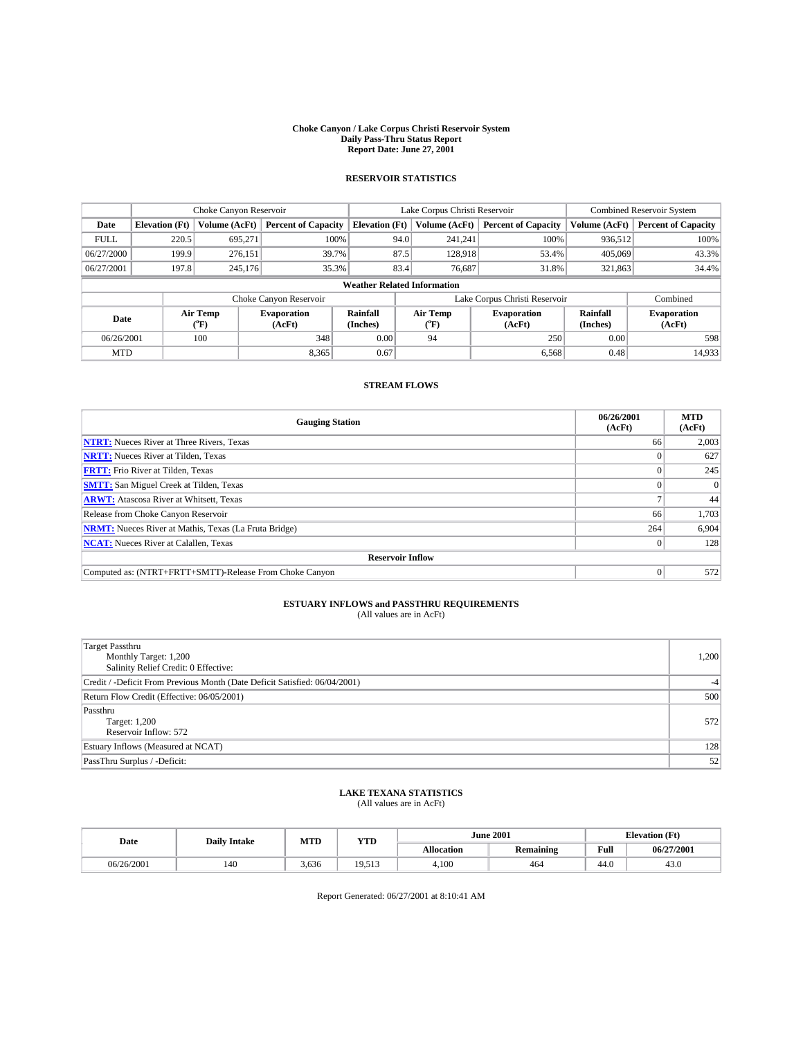#### **Choke Canyon / Lake Corpus Christi Reservoir System Daily Pass-Thru Status Report Report Date: June 27, 2001**

## **RESERVOIR STATISTICS**

|                                    | Choke Canyon Reservoir |                      | Lake Corpus Christi Reservoir |                       |                               |         | <b>Combined Reservoir System</b> |                      |                              |
|------------------------------------|------------------------|----------------------|-------------------------------|-----------------------|-------------------------------|---------|----------------------------------|----------------------|------------------------------|
| Date                               | <b>Elevation</b> (Ft)  | <b>Volume (AcFt)</b> | <b>Percent of Capacity</b>    | <b>Elevation (Ft)</b> | Volume (AcFt)                 |         | <b>Percent of Capacity</b>       | Volume (AcFt)        | <b>Percent of Capacity</b>   |
| <b>FULL</b>                        | 220.5                  | 695,271              | 100%                          | 94.0                  |                               | 241,241 | 100%                             | 936,512              | 100%                         |
| 06/27/2000                         | 199.9                  | 276,151              | 39.7%                         | 87.5                  |                               | 128.918 | 53.4%                            | 405,069              | 43.3%                        |
| 06/27/2001                         | 197.8                  | 245,176              | 35.3%                         | 83.4                  |                               | 76,687  | 31.8%                            | 321,863              | 34.4%                        |
| <b>Weather Related Information</b> |                        |                      |                               |                       |                               |         |                                  |                      |                              |
|                                    |                        |                      | Choke Canyon Reservoir        |                       | Lake Corpus Christi Reservoir |         |                                  |                      | Combined                     |
| Date                               |                        | Air Temp<br>(°F)     | <b>Evaporation</b><br>(AcFt)  | Rainfall<br>(Inches)  | Air Temp<br>("F)              |         | <b>Evaporation</b><br>(AcFt)     | Rainfall<br>(Inches) | <b>Evaporation</b><br>(AcFt) |
| 06/26/2001                         |                        | 100                  | 348                           | 0.00                  | 94                            |         | 250                              | 0.00                 | 598                          |
| <b>MTD</b>                         |                        |                      | 8,365                         | 0.67                  |                               |         | 6,568                            | 0.48                 | 14,933                       |

### **STREAM FLOWS**

| <b>Gauging Station</b>                                       | 06/26/2001<br>(AcFt) | <b>MTD</b><br>(AcFt) |
|--------------------------------------------------------------|----------------------|----------------------|
| <b>NTRT:</b> Nueces River at Three Rivers, Texas             | 66                   | 2,003                |
| <b>NRTT:</b> Nueces River at Tilden, Texas                   |                      | 627                  |
| <b>FRTT:</b> Frio River at Tilden, Texas                     |                      | 245                  |
| <b>SMTT:</b> San Miguel Creek at Tilden, Texas               |                      | $\Omega$             |
| <b>ARWT:</b> Atascosa River at Whitsett, Texas               |                      | 44                   |
| Release from Choke Canyon Reservoir                          | 66                   | 1,703                |
| <b>NRMT:</b> Nueces River at Mathis, Texas (La Fruta Bridge) | 264                  | 6,904                |
| <b>NCAT:</b> Nueces River at Calallen, Texas                 |                      | 128                  |
| <b>Reservoir Inflow</b>                                      |                      |                      |
| Computed as: (NTRT+FRTT+SMTT)-Release From Choke Canyon      | 0                    | 572                  |

## **ESTUARY INFLOWS and PASSTHRU REQUIREMENTS**<br>(All values are in AcFt)

| <b>Target Passthru</b><br>Monthly Target: 1,200<br>Salinity Relief Credit: 0 Effective: | 1,200 |
|-----------------------------------------------------------------------------------------|-------|
| Credit / -Deficit From Previous Month (Date Deficit Satisfied: 06/04/2001)              |       |
| Return Flow Credit (Effective: 06/05/2001)                                              | 500   |
| Passthru<br>Target: 1,200<br>Reservoir Inflow: 572                                      | 572   |
| Estuary Inflows (Measured at NCAT)                                                      | 128   |
| PassThru Surplus / -Deficit:                                                            | 52    |

## **LAKE TEXANA STATISTICS** (All values are in AcFt)

| Date       | <b>Daily Intake</b> | MTD<br>YTD |        | <b>June 2001</b>  |           | <b>Elevation</b> (Ft) |            |
|------------|---------------------|------------|--------|-------------------|-----------|-----------------------|------------|
|            |                     |            |        | <b>Allocation</b> | Remaining | Full                  | 06/27/2001 |
| 06/26/2001 | 140                 | 3,636      | 19.513 | 4,100             | 464       | 44.0                  | 43.U       |

Report Generated: 06/27/2001 at 8:10:41 AM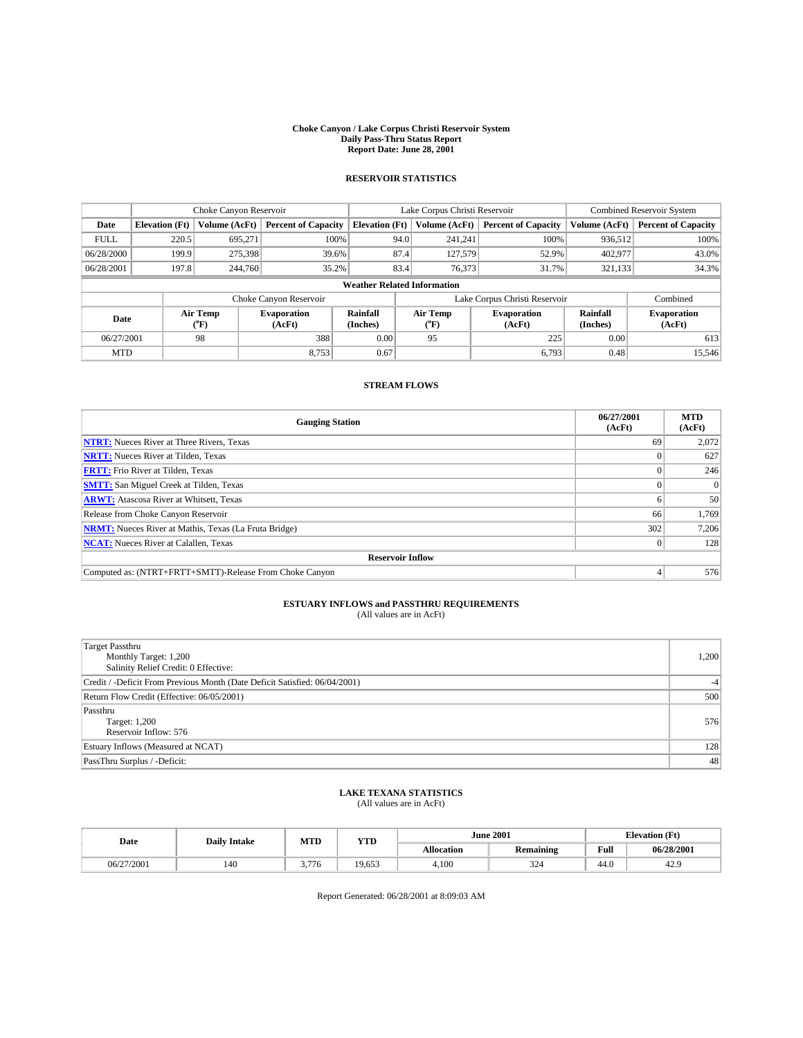#### **Choke Canyon / Lake Corpus Christi Reservoir System Daily Pass-Thru Status Report Report Date: June 28, 2001**

## **RESERVOIR STATISTICS**

|                                    | Choke Canyon Reservoir |                      | Lake Corpus Christi Reservoir |                       |                               |                  | <b>Combined Reservoir System</b> |                      |                              |
|------------------------------------|------------------------|----------------------|-------------------------------|-----------------------|-------------------------------|------------------|----------------------------------|----------------------|------------------------------|
| Date                               | <b>Elevation</b> (Ft)  | <b>Volume (AcFt)</b> | <b>Percent of Capacity</b>    | <b>Elevation (Ft)</b> |                               | Volume (AcFt)    | <b>Percent of Capacity</b>       | Volume (AcFt)        | <b>Percent of Capacity</b>   |
| <b>FULL</b>                        | 220.5                  | 695,271              | 100%                          |                       | 94.0                          | 241,241          | 100%                             | 936,512              | 100%                         |
| 06/28/2000                         | 199.9                  | 275,398              | 39.6%                         |                       | 87.4                          | 127,579          | 52.9%                            | 402,977              | 43.0%                        |
| 06/28/2001                         | 197.8                  | 244,760              | 35.2%                         |                       | 83.4                          | 76,373           | 31.7%                            | 321,133              | 34.3%                        |
| <b>Weather Related Information</b> |                        |                      |                               |                       |                               |                  |                                  |                      |                              |
|                                    |                        |                      | Choke Canyon Reservoir        |                       | Lake Corpus Christi Reservoir |                  |                                  |                      | Combined                     |
| Date                               |                        | Air Temp<br>(°F)     | <b>Evaporation</b><br>(AcFt)  | Rainfall<br>(Inches)  |                               | Air Temp<br>("F) | <b>Evaporation</b><br>(AcFt)     | Rainfall<br>(Inches) | <b>Evaporation</b><br>(AcFt) |
| 06/27/2001                         |                        | 98                   | 388                           | 0.00                  |                               | 95               | 225                              | 0.00                 | 613                          |
| <b>MTD</b>                         |                        |                      | 8,753                         | 0.67                  |                               |                  | 6,793                            | 0.48                 | 15,546                       |

### **STREAM FLOWS**

| <b>Gauging Station</b>                                       | 06/27/2001<br>(AcFt) | <b>MTD</b><br>(AcFt) |
|--------------------------------------------------------------|----------------------|----------------------|
| <b>NTRT:</b> Nueces River at Three Rivers, Texas             | 69                   | 2,072                |
| <b>NRTT:</b> Nueces River at Tilden, Texas                   |                      | 627                  |
| <b>FRTT:</b> Frio River at Tilden, Texas                     |                      | 246                  |
| <b>SMTT:</b> San Miguel Creek at Tilden, Texas               |                      | $\Omega$             |
| <b>ARWT:</b> Atascosa River at Whitsett, Texas               |                      | 50                   |
| Release from Choke Canyon Reservoir                          | 66                   | 1,769                |
| <b>NRMT:</b> Nueces River at Mathis, Texas (La Fruta Bridge) | 302                  | 7,206                |
| <b>NCAT:</b> Nueces River at Calallen, Texas                 |                      | 128                  |
| <b>Reservoir Inflow</b>                                      |                      |                      |
| Computed as: (NTRT+FRTT+SMTT)-Release From Choke Canyon      |                      | 576                  |

## **ESTUARY INFLOWS and PASSTHRU REQUIREMENTS**<br>(All values are in AcFt)

| <b>Target Passthru</b><br>Monthly Target: 1,200<br>Salinity Relief Credit: 0 Effective: | 1,200 |
|-----------------------------------------------------------------------------------------|-------|
| Credit / -Deficit From Previous Month (Date Deficit Satisfied: 06/04/2001)              |       |
| Return Flow Credit (Effective: 06/05/2001)                                              | 500   |
| Passthru<br>Target: 1,200<br>Reservoir Inflow: 576                                      | 576   |
| Estuary Inflows (Measured at NCAT)                                                      | 128   |
| PassThru Surplus / -Deficit:                                                            | 48    |

## **LAKE TEXANA STATISTICS** (All values are in AcFt)

| Date       | <b>Daily Intake</b> | MTD   | <b>YTD</b> |            | <b>June 2001</b> |      | <b>Elevation (Ft)</b> |
|------------|---------------------|-------|------------|------------|------------------|------|-----------------------|
|            |                     |       |            | Allocation | <b>Remaining</b> | Full | 06/28/2001            |
| 06/27/2001 | 140                 | 3.776 | 19,653     | 4,100      | 324              | 44.0 | 42.9                  |

Report Generated: 06/28/2001 at 8:09:03 AM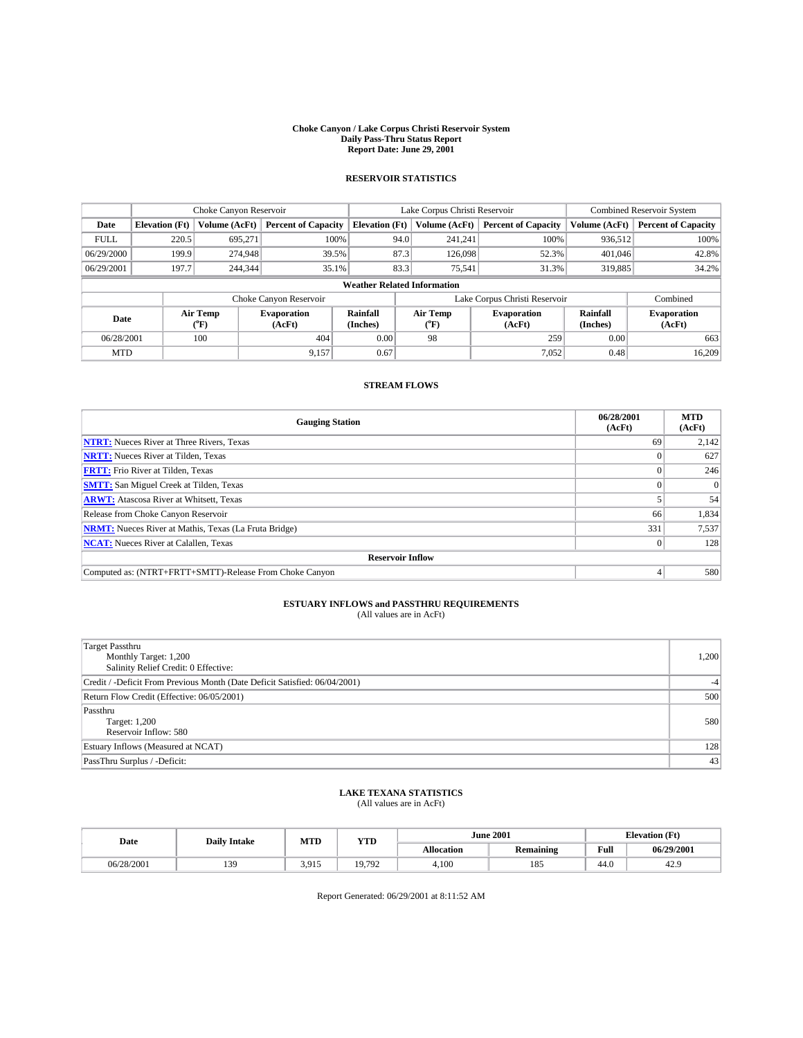#### **Choke Canyon / Lake Corpus Christi Reservoir System Daily Pass-Thru Status Report Report Date: June 29, 2001**

## **RESERVOIR STATISTICS**

|             | Choke Canyon Reservoir             |                      | Lake Corpus Christi Reservoir |                       |                               |                  | <b>Combined Reservoir System</b> |                      |                              |
|-------------|------------------------------------|----------------------|-------------------------------|-----------------------|-------------------------------|------------------|----------------------------------|----------------------|------------------------------|
| Date        | <b>Elevation</b> (Ft)              | <b>Volume (AcFt)</b> | <b>Percent of Capacity</b>    | <b>Elevation (Ft)</b> |                               | Volume (AcFt)    | <b>Percent of Capacity</b>       | Volume (AcFt)        | <b>Percent of Capacity</b>   |
| <b>FULL</b> | 220.5                              | 695,271              | 100%                          |                       | 94.0                          | 241,241          | 100%                             | 936,512              | 100%                         |
| 06/29/2000  | 199.9                              | 274,948              | 39.5%                         |                       | 87.3                          | 126,098          | 52.3%                            | 401,046              | 42.8%                        |
| 06/29/2001  | 197.7                              | 244,344              | 35.1%                         |                       | 83.3                          | 75,541           | 31.3%                            | 319,885              | 34.2%                        |
|             | <b>Weather Related Information</b> |                      |                               |                       |                               |                  |                                  |                      |                              |
|             |                                    |                      | Choke Canyon Reservoir        |                       | Lake Corpus Christi Reservoir |                  |                                  |                      | Combined                     |
| Date        |                                    | Air Temp<br>(°F)     | <b>Evaporation</b><br>(AcFt)  | Rainfall<br>(Inches)  |                               | Air Temp<br>("F) | <b>Evaporation</b><br>(AcFt)     | Rainfall<br>(Inches) | <b>Evaporation</b><br>(AcFt) |
| 06/28/2001  |                                    | 100                  | 404                           | 0.00                  |                               | 98               | 259                              | 0.00                 | 663                          |
| <b>MTD</b>  |                                    |                      | 9,157                         | 0.67                  |                               |                  | 7,052                            | 0.48                 | 16,209                       |

### **STREAM FLOWS**

| <b>Gauging Station</b>                                       | 06/28/2001<br>(AcFt) | <b>MTD</b><br>(AcFt) |
|--------------------------------------------------------------|----------------------|----------------------|
| <b>NTRT:</b> Nueces River at Three Rivers, Texas             | 69                   | 2,142                |
| <b>NRTT:</b> Nueces River at Tilden, Texas                   |                      | 627                  |
| <b>FRTT:</b> Frio River at Tilden, Texas                     |                      | 246                  |
| <b>SMTT:</b> San Miguel Creek at Tilden, Texas               |                      | $\Omega$             |
| <b>ARWT:</b> Atascosa River at Whitsett, Texas               |                      | 54                   |
| Release from Choke Canyon Reservoir                          | 66                   | 1,834                |
| <b>NRMT:</b> Nueces River at Mathis, Texas (La Fruta Bridge) | 331                  | 7,537                |
| <b>NCAT:</b> Nueces River at Calallen, Texas                 |                      | 128                  |
| <b>Reservoir Inflow</b>                                      |                      |                      |
| Computed as: (NTRT+FRTT+SMTT)-Release From Choke Canyon      |                      | 580                  |

## **ESTUARY INFLOWS and PASSTHRU REQUIREMENTS**<br>(All values are in AcFt)

| <b>Target Passthru</b><br>Monthly Target: 1,200<br>Salinity Relief Credit: 0 Effective: | 1,200 |
|-----------------------------------------------------------------------------------------|-------|
| Credit / -Deficit From Previous Month (Date Deficit Satisfied: 06/04/2001)              |       |
| Return Flow Credit (Effective: 06/05/2001)                                              | 500   |
| Passthru<br><b>Target: 1,200</b><br>Reservoir Inflow: 580                               | 580   |
| Estuary Inflows (Measured at NCAT)                                                      | 128   |
| PassThru Surplus / -Deficit:                                                            | 43    |

## **LAKE TEXANA STATISTICS** (All values are in AcFt)

| Date       | <b>Daily Intake</b> | MTD   | YTD    |                   | <b>June 2001</b> |      | <b>Elevation</b> (Ft) |
|------------|---------------------|-------|--------|-------------------|------------------|------|-----------------------|
|            |                     |       |        | <b>Allocation</b> | <b>Remaining</b> | Full | 06/29/2001            |
| 06/28/2001 | 139                 | 3.915 | 19.792 | 4,100             | 185              | 44.0 | 42.9                  |

Report Generated: 06/29/2001 at 8:11:52 AM